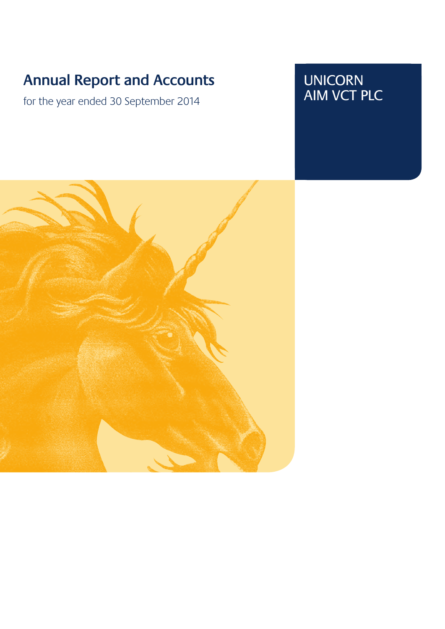# **Annual Report and Accounts**

for the year ended 30 September 2014

### UNICORN AIM VCT PLC

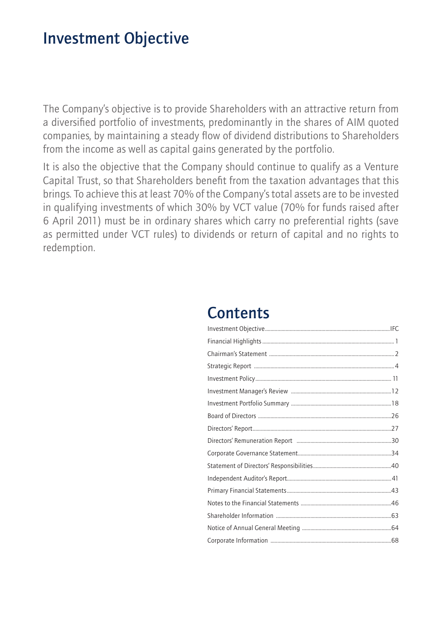# Investment Objective

The Company's objective is to provide Shareholders with an attractive return from a diversified portfolio of investments, predominantly in the shares of AIM quoted companies, by maintaining a steady flow of dividend distributions to Shareholders from the income as well as capital gains generated by the portfolio.

It is also the objective that the Company should continue to qualify as a Venture Capital Trust, so that Shareholders benefit from the taxation advantages that this brings. To achieve this at least 70% of the Company's total assets are to be invested in qualifying investments of which 30% by VCT value (70% for funds raised after 6 April 2011) must be in ordinary shares which carry no preferential rights (save as permitted under VCT rules) to dividends or return of capital and no rights to redemption.

### **Contents**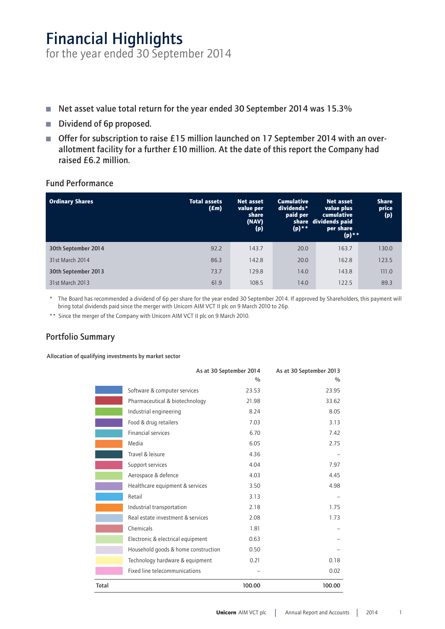# Financial Highlights

for the year ended 30 September 2014

- Net asset value total return for the year ended 30 September 2014 was 15.3%
- Dividend of 6p proposed.
- Offer for subscription to raise £15 million launched on 17 September 2014 with an overallotment facility for a further £10 million. At the date of this report the Company had raised £6.2 million.

| <b>Ordinary Shares</b> | <b>Total assets</b><br>$(\text{Em})$ | <b>Net asset</b><br>value per<br>share<br>(NAV)<br>(p) | <b>Cumulative</b><br>dividends*<br>paid per<br>$(p)$ ** | <b>Net asset</b><br>value plus<br>cumulative<br>share dividends paid<br>per share<br>$(p)$ ** | <b>Share</b><br>price<br>(p) |
|------------------------|--------------------------------------|--------------------------------------------------------|---------------------------------------------------------|-----------------------------------------------------------------------------------------------|------------------------------|
| 30th September 2014    | 92.2                                 | 143.7                                                  | 20.0                                                    | 163.7                                                                                         | 130.0                        |
| 31st March 2014        | 86.3                                 | 142.8                                                  | 20.0                                                    | 162.8                                                                                         | 123.5                        |
| 30th September 2013    | 73.7                                 | 129.8                                                  | 14.0                                                    | 143.8                                                                                         | 111.0                        |
| 31 st March 2013       | 61.9                                 | 108.5                                                  | 14.0                                                    | 122.5                                                                                         | 89.3                         |

### Fund Performance

\* The Board has recommended a dividend of 6p per share for the year ended 30 September 2014. If approved by Shareholders, this payment will bring total dividends paid since the merger with Unicorn AIM VCT II plc on 9 March 2010 to 26p.

\*\* Since the merger of the Company with Unicorn AIM VCT II plc on 9 March 2010.

### Portfolio Summary

Allocation of qualifying investments by market sector

|       |                                     | As at 30 September 2014 | As at 30 September 2013 |
|-------|-------------------------------------|-------------------------|-------------------------|
|       |                                     | $\frac{0}{0}$           | $\frac{0}{0}$           |
|       | Software & computer services        | 23.53                   | 23.95                   |
|       | Pharmaceutical & biotechnology      | 21.98                   | 33.62                   |
|       | Industrial engineering              | 8.24                    | 8.05                    |
|       | Food & drug retailers               | 7.03                    | 3.13                    |
|       | <b>Financial services</b>           | 6.70                    | 7.42                    |
|       | Media                               | 6.05                    | 2.75                    |
|       | Travel & leisure                    | 4.36                    |                         |
|       | Support services                    | 4.04                    | 7.97                    |
|       | Aerospace & defence                 | 4.03                    | 4.45                    |
|       | Healthcare equipment & services     | 3.50                    | 4.98                    |
|       | Retail                              | 3.13                    |                         |
|       | Industrial transportation           | 2.18                    | 1.75                    |
|       | Real estate investment & services   | 2.08                    | 1.73                    |
|       | Chemicals                           | 1.81                    |                         |
|       | Electronic & electrical equipment   | 0.63                    |                         |
|       | Household goods & home construction | 0.50                    |                         |
|       | Technology hardware & equipment     | 0.21                    | 0.18                    |
|       | Fixed line telecommunications       |                         | 0.02                    |
| Total |                                     | 100.00                  | 100.00                  |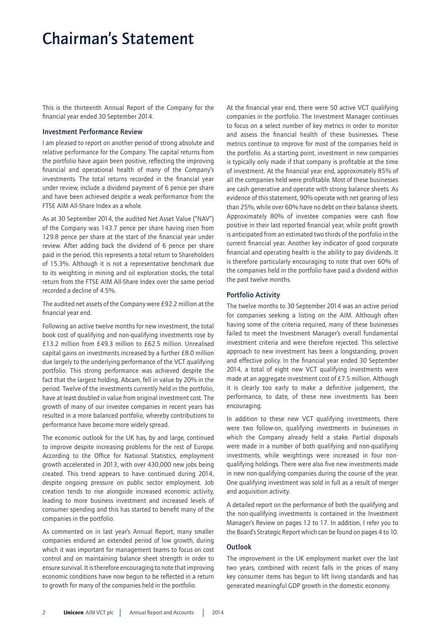### Chairman's Statement

This is the thirteenth Annual Report of the Company for the financial year ended 30 September 2014.

#### Investment Performance Review

I am pleased to report on another period of strong absolute and relative performance for the Company. The capital returns from the portfolio have again been positive, reflecting the improving financial and operational health of many of the Company's investments. The total returns recorded in the financial year under review, include a dividend payment of 6 pence per share and have been achieved despite a weak performance from the FTSE AIM All-Share Index as a whole.

As at 30 September 2014, the audited Net Asset Value ("NAV") of the Company was 143.7 pence per share having risen from 129.8 pence per share at the start of the financial year under review. After adding back the dividend of 6 pence per share paid in the period, this represents a total return to Shareholders of 15.3%. Although it is not a representative benchmark due to its weighting in mining and oil exploration stocks, the total return from the FTSE AIM All-Share Index over the same period recorded a decline of 4.5%.

#### The audited net assets of the Company were £92.2 million at the financial year end.

Following an active twelve months for new investment, the total book cost of qualifying and non-qualifying investments rose by £13.2 million from £49.3 million to £62.5 million. Unrealised capital gains on investments increased by a further £8.0 million due largely to the underlying performance of the VCT qualifying portfolio. This strong performance was achieved despite the fact that the largest holding, Abcam, fell in value by 20% in the period. Twelve of the investments currently held in the portfolio, have at least doubled in value from original investment cost. The growth of many of our investee companies in recent years has resulted in a more balanced portfolio, whereby contributions to performance have become more widely spread.

The economic outlook for the UK has, by and large, continued to improve despite increasing problems for the rest of Europe. According to the Office for National Statistics, employment growth accelerated in 2013, with over 430,000 new jobs being created. This trend appears to have continued during 2014, despite ongoing pressure on public sector employment. Job creation tends to rise alongside increased economic activity, leading to more business investment and increased levels of consumer spending and this has started to benefit many of the companies in the portfolio.

As commented on in last year's Annual Report, many smaller companies endured an extended period of low growth, during which it was important for management teams to focus on cost control and on maintaining balance sheet strength in order to ensure survival. It is therefore encouraging to note that improving economic conditions have now begun to be reflected in a return to growth for many of the companies held in the portfolio.

At the financial year end, there were 50 active VCT qualifying companies in the portfolio. The Investment Manager continues to focus on a select number of key metrics in order to monitor and assess the financial health of these businesses. These metrics continue to improve for most of the companies held in the portfolio. As a starting point, investment in new companies is typically only made if that company is profitable at the time of investment. At the financial year end, approximately 85% of all the companies held were profitable. Most of these businesses are cash generative and operate with strong balance sheets. As evidence of this statement, 90% operate with net gearing of less than 25%, while over 60% have no debt on their balance sheets. Approximately 80% of investee companies were cash flow positive in their last reported financial year, while profit growth is anticipated from an estimated two thirds of the portfolio in the current financial year. Another key indicator of good corporate financial and operating health is the ability to pay dividends. It is therefore particularly encouraging to note that over 60% of the companies held in the portfolio have paid a dividend within the past twelve months.

#### Portfolio Activity

The twelve months to 30 September 2014 was an active period for companies seeking a listing on the AIM. Although often having some of the criteria required, many of these businesses failed to meet the Investment Manager's overall fundamental investment criteria and were therefore rejected. This selective approach to new investment has been a longstanding, proven and effective policy. In the financial year ended 30 September 2014, a total of eight new VCT qualifying investments were made at an aggregate investment cost of £7.5 million. Although it is clearly too early to make a definitive judgement, the performance, to date, of these new investments has been encouraging.

In addition to these new VCT qualifying investments, there were two follow-on, qualifying investments in businesses in which the Company already held a stake. Partial disposals were made in a number of both qualifying and non-qualifying investments, while weightings were increased in four nonqualifying holdings. There were also five new investments made in new non-qualifying companies during the course of the year. One qualifying investment was sold in full as a result of merger and acquisition activity.

A detailed report on the performance of both the qualifying and the non-qualifying investments is contained in the Investment Manager's Review on pages 12 to 17. In addition, I refer you to the Board's Strategic Report which can be found on pages 4 to 10.

#### **Outlook**

The improvement in the UK employment market over the last two years, combined with recent falls in the prices of many key consumer items has begun to lift living standards and has generated meaningful GDP growth in the domestic economy.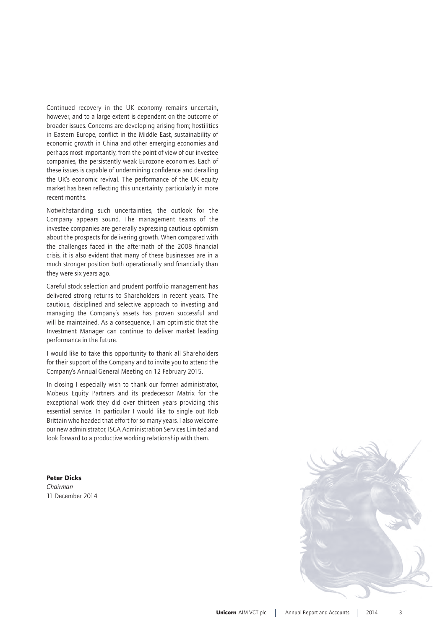Continued recovery in the UK economy remains uncertain, however, and to a large extent is dependent on the outcome of broader issues. Concerns are developing arising from; hostilities in Eastern Europe, conflict in the Middle East, sustainability of economic growth in China and other emerging economies and perhaps most importantly, from the point of view of our investee companies, the persistently weak Eurozone economies. Each of these issues is capable of undermining confidence and derailing the UK's economic revival. The performance of the UK equity market has been reflecting this uncertainty, particularly in more recent months.

Notwithstanding such uncertainties, the outlook for the Company appears sound. The management teams of the investee companies are generally expressing cautious optimism about the prospects for delivering growth. When compared with the challenges faced in the aftermath of the 2008 financial crisis, it is also evident that many of these businesses are in a much stronger position both operationally and financially than they were six years ago.

Careful stock selection and prudent portfolio management has delivered strong returns to Shareholders in recent years. The cautious, disciplined and selective approach to investing and managing the Company's assets has proven successful and will be maintained. As a consequence, I am optimistic that the Investment Manager can continue to deliver market leading performance in the future.

I would like to take this opportunity to thank all Shareholders for their support of the Company and to invite you to attend the Company's Annual General Meeting on 12 February 2015.

In closing I especially wish to thank our former administrator, Mobeus Equity Partners and its predecessor Matrix for the exceptional work they did over thirteen years providing this essential service. In particular I would like to single out Rob Brittain who headed that effort for so many years. I also welcome our new administrator, ISCA Administration Services Limited and look forward to a productive working relationship with them.

Peter Dicks *Chairman* 11 December 2014

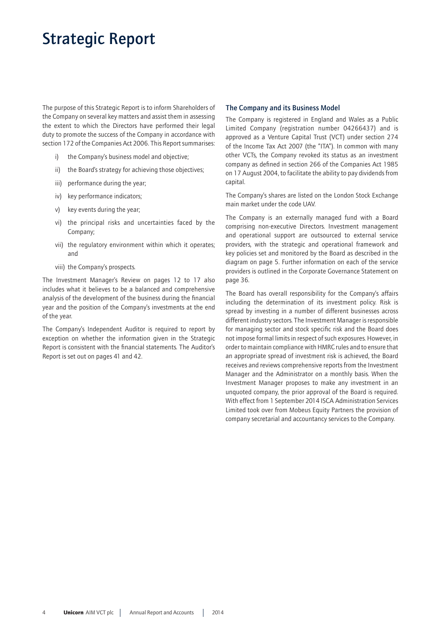The purpose of this Strategic Report is to inform Shareholders of the Company on several key matters and assist them in assessing the extent to which the Directors have performed their legal duty to promote the success of the Company in accordance with section 172 of the Companies Act 2006. This Report summarises:

- i) the Company's business model and objective;
- ii) the Board's strategy for achieving those objectives;
- iii) performance during the year;
- iv) key performance indicators;
- v) key events during the year;
- vi) the principal risks and uncertainties faced by the Company;
- vii) the regulatory environment within which it operates; and
- viii) the Company's prospects.

The Investment Manager's Review on pages 12 to 17 also includes what it believes to be a balanced and comprehensive analysis of the development of the business during the financial year and the position of the Company's investments at the end of the year.

The Company's Independent Auditor is required to report by exception on whether the information given in the Strategic Report is consistent with the financial statements. The Auditor's Report is set out on pages 41 and 42.

#### The Company and its Business Model

The Company is registered in England and Wales as a Public Limited Company (registration number 04266437) and is approved as a Venture Capital Trust (VCT) under section 274 of the Income Tax Act 2007 (the "ITA"). In common with many other VCTs, the Company revoked its status as an investment company as defined in section 266 of the Companies Act 1985 on 17 August 2004, to facilitate the ability to pay dividends from capital.

The Company's shares are listed on the London Stock Exchange main market under the code UAV.

The Company is an externally managed fund with a Board comprising non-executive Directors. Investment management and operational support are outsourced to external service providers, with the strategic and operational framework and key policies set and monitored by the Board as described in the diagram on page 5. Further information on each of the service providers is outlined in the Corporate Governance Statement on page 36.

The Board has overall responsibility for the Company's affairs including the determination of its investment policy. Risk is spread by investing in a number of different businesses across different industry sectors. The Investment Manager is responsible for managing sector and stock specific risk and the Board does not impose formal limits in respect of such exposures. However, in order to maintain compliance with HMRC rules and to ensure that an appropriate spread of investment risk is achieved, the Board receives and reviews comprehensive reports from the Investment Manager and the Administrator on a monthly basis. When the Investment Manager proposes to make any investment in an unquoted company, the prior approval of the Board is required. With effect from 1 September 2014 ISCA Administration Services Limited took over from Mobeus Equity Partners the provision of company secretarial and accountancy services to the Company.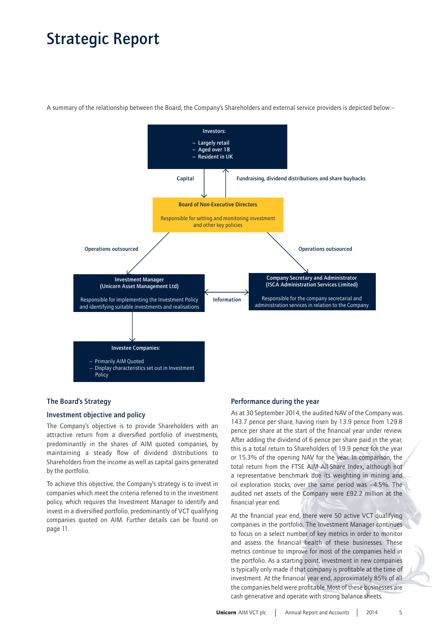

A summary of the relationship between the Board, the Company's Shareholders and external service providers is depicted below:–

#### The Board's Strategy

#### Investment objective and policy

The Company's objective is to provide Shareholders with an attractive return from a diversified portfolio of investments, predominantly in the shares of AIM quoted companies, by maintaining a steady flow of dividend distributions to Shareholders from the income as well as capital gains generated by the portfolio.

To achieve this objective, the Company's strategy is to invest in companies which meet the criteria referred to in the investment policy, which requires the Investment Manager to identify and invest in a diversified portfolio, predominantly of VCT qualifying companies quoted on AIM. Further details can be found on page 11.

#### Performance during the year

As at 30 September 2014, the audited NAV of the Company was 143.7 pence per share, having risen by 13.9 pence from 129.8 pence per share at the start of the financial year under review. After adding the dividend of 6 pence per share paid in the year, this is a total return to Shareholders of 19.9 pence for the year or 15.3% of the opening NAV for the year. In comparison, the total return from the FTSE AIM All-Share Index, although not a representative benchmark due its weighting in mining and oil exploration stocks, over the same period was –4.5%. The audited net assets of the Company were £92.2 million at the financial year end.

At the financial year end, there were 50 active VCT qualifying companies in the portfolio. The Investment Manager continues to focus on a select number of key metrics in order to monitor and assess the financial health of these businesses. These metrics continue to improve for most of the companies held in the portfolio. As a starting point, investment in new companies is typically only made if that company is profitable at the time of investment. At the financial year end, approximately 85% of all the companies held were profitable. Most of these businesses are cash generative and operate with strong balance sheets.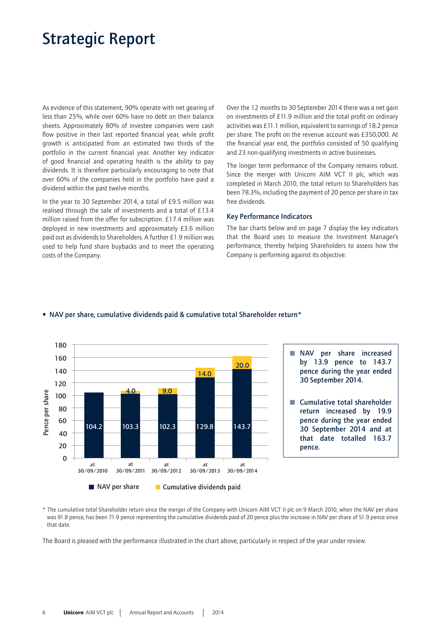As evidence of this statement, 90% operate with net gearing of less than 25%, while over 60% have no debt on their balance sheets. Approximately 80% of investee companies were cash flow positive in their last reported financial year, while profit growth is anticipated from an estimated two thirds of the portfolio in the current financial year. Another key indicator of good financial and operating health is the ability to pay dividends. It is therefore particularly encouraging to note that over 60% of the companies held in the portfolio have paid a dividend within the past twelve months.

In the year to 30 September 2014, a total of £9.5 million was realised through the sale of investments and a total of £13.4 million raised from the offer for subscription. £17.4 million was deployed in new investments and approximately £3.6 million paid out as dividends to Shareholders. A further £1.9 million was used to help fund share buybacks and to meet the operating costs of the Company.

Over the 12 months to 30 September 2014 there was a net gain on investments of £11.9 million and the total profit on ordinary activities was £11.1 million, equivalent to earnings of 18.2 pence per share. The profit on the revenue account was £350,000. At the financial year end, the portfolio consisted of 50 qualifying and 23 non-qualifying investments in active businesses.

The longer term performance of the Company remains robust. Since the merger with Unicorn AIM VCT II plc, which was completed in March 2010, the total return to Shareholders has been 78.3%, including the payment of 20 pence per share in tax free dividends.

#### Key Performance Indicators

The bar charts below and on page 7 display the key indicators that the Board uses to measure the Investment Manager's performance, thereby helping Shareholders to assess how the Company is performing against its objective:

#### • NAV per share, cumulative dividends paid & cumulative total Shareholder return\*



\* The cumulative total Shareholder return since the merger of the Company with Unicorn AIM VCT II plc on 9 March 2010, when the NAV per share was 91.8 pence, has been 71.9 pence representing the cumulative dividends paid of 20 pence plus the increase in NAV per share of 51.9 pence since that date.

The Board is pleased with the performance illustrated in the chart above, particularly in respect of the year under review.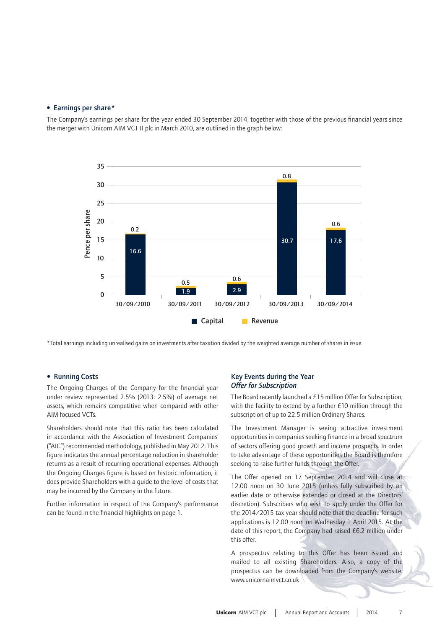#### • Earnings per share\*

The Company's earnings per share for the year ended 30 September 2014, together with those of the previous financial years since the merger with Unicorn AIM VCT II plc in March 2010, are outlined in the graph below:



\*Total earnings including unrealised gains on investments after taxation divided by the weighted average number of shares in issue.

#### • Running Costs

The Ongoing Charges of the Company for the financial year under review represented 2.5% (2013: 2.5%) of average net assets, which remains competitive when compared with other AIM focused VCTs.

Shareholders should note that this ratio has been calculated in accordance with the Association of Investment Companies' ("AIC") recommended methodology, published in May 2012. This figure indicates the annual percentage reduction in shareholder returns as a result of recurring operational expenses. Although the Ongoing Charges figure is based on historic information, it does provide Shareholders with a guide to the level of costs that may be incurred by the Company in the future.

Further information in respect of the Company's performance can be found in the financial highlights on page 1.

#### Key Events during the Year *Offer for Subscription*

The Board recently launched a £15 million Offer for Subscription, with the facility to extend by a further £10 million through the subscription of up to 22.5 million Ordinary Shares.

The Investment Manager is seeing attractive investment opportunities in companies seeking finance in a broad spectrum of sectors offering good growth and income prospects. In order to take advantage of these opportunities the Board is therefore seeking to raise further funds through the Offer.

The Offer opened on 17 September 2014 and will close at 12.00 noon on 30 June 2015 (unless fully subscribed by an earlier date or otherwise extended or closed at the Directors' discretion). Subscribers who wish to apply under the Offer for the 2014/2015 tax year should note that the deadline for such applications is 12.00 noon on Wednesday 1 April 2015. At the date of this report, the Company had raised £6.2 million under this offer.

A prospectus relating to this Offer has been issued and mailed to all existing Shareholders. Also, a copy of the prospectus can be downloaded from the Company's website: www.unicornaimvct.co.uk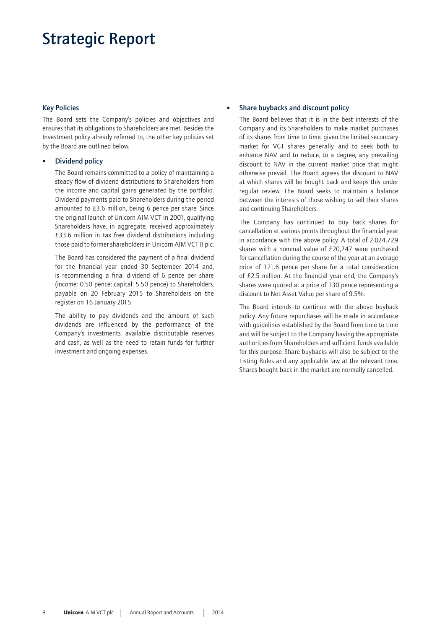#### Key Policies

The Board sets the Company's policies and objectives and ensures that its obligations to Shareholders are met. Besides the Investment policy already referred to, the other key policies set by the Board are outlined below.

#### Dividend policy

 The Board remains committed to a policy of maintaining a steady flow of dividend distributions to Shareholders from the income and capital gains generated by the portfolio. Dividend payments paid to Shareholders during the period amounted to £3.6 million, being 6 pence per share. Since the original launch of Unicorn AIM VCT in 2001, qualifying Shareholders have, in aggregate, received approximately £33.6 million in tax free dividend distributions including those paid to former shareholders in Unicorn AIM VCT II plc.

 The Board has considered the payment of a final dividend for the financial year ended 30 September 2014 and, is recommending a final dividend of 6 pence per share (income: 0.50 pence; capital: 5.50 pence) to Shareholders, payable on 20 February 2015 to Shareholders on the register on 16 January 2015.

 The ability to pay dividends and the amount of such dividends are influenced by the performance of the Company's investments, available distributable reserves and cash, as well as the need to retain funds for further investment and ongoing expenses.

#### Share buybacks and discount policy

 The Board believes that it is in the best interests of the Company and its Shareholders to make market purchases of its shares from time to time, given the limited secondary market for VCT shares generally, and to seek both to enhance NAV and to reduce, to a degree, any prevailing discount to NAV in the current market price that might otherwise prevail. The Board agrees the discount to NAV at which shares will be bought back and keeps this under regular review. The Board seeks to maintain a balance between the interests of those wishing to sell their shares and continuing Shareholders.

 The Company has continued to buy back shares for cancellation at various points throughout the financial year in accordance with the above policy. A total of 2,024,729 shares with a nominal value of £20,247 were purchased for cancellation during the course of the year at an average price of 121.6 pence per share for a total consideration of £2.5 million. At the financial year end, the Company's shares were quoted at a price of 130 pence representing a discount to Net Asset Value per share of 9.5%.

 The Board intends to continue with the above buyback policy. Any future repurchases will be made in accordance with quidelines established by the Board from time to time and will be subject to the Company having the appropriate authorities from Shareholders and sufficient funds available for this purpose. Share buybacks will also be subject to the Listing Rules and any applicable law at the relevant time. Shares bought back in the market are normally cancelled.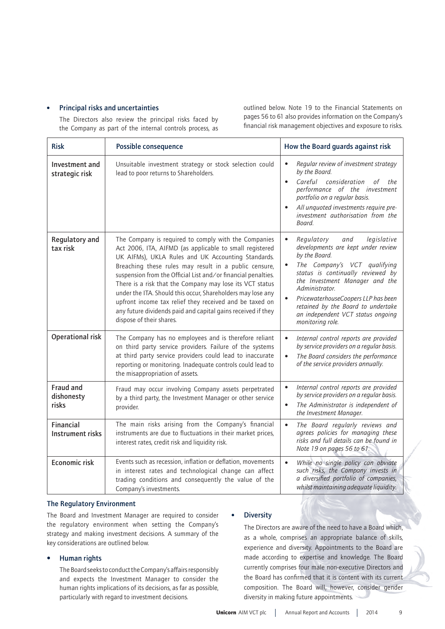#### • Principal risks and uncertainties

 The Directors also review the principal risks faced by the Company as part of the internal controls process, as outlined below. Note 19 to the Financial Statements on pages 56 to 61 also provides information on the Company's financial risk management objectives and exposure to risks.

| <b>Risk</b>                             | Possible consequence                                                                                                                                                                                                                                                                                                                                                                                                                                                                                                                                                              | How the Board guards against risk                                                                                                                                                                                                                                                                                                                                                             |
|-----------------------------------------|-----------------------------------------------------------------------------------------------------------------------------------------------------------------------------------------------------------------------------------------------------------------------------------------------------------------------------------------------------------------------------------------------------------------------------------------------------------------------------------------------------------------------------------------------------------------------------------|-----------------------------------------------------------------------------------------------------------------------------------------------------------------------------------------------------------------------------------------------------------------------------------------------------------------------------------------------------------------------------------------------|
| Investment and<br>strategic risk        | Unsuitable investment strategy or stock selection could<br>lead to poor returns to Shareholders.                                                                                                                                                                                                                                                                                                                                                                                                                                                                                  | Regular review of investment strategy<br>$\bullet$<br>by the Board.<br>Careful consideration<br>$\bullet$<br>of _<br>the<br>performance of the investment<br>portfolio on a regular basis.<br>All unquoted investments require pre-<br>$\bullet$<br>investment authorisation from the<br>Board.                                                                                               |
| Regulatory and<br>tax risk              | The Company is required to comply with the Companies<br>Act 2006, ITA, AIFMD (as applicable to small registered<br>UK AIFMs), UKLA Rules and UK Accounting Standards.<br>Breaching these rules may result in a public censure,<br>suspension from the Official List and/or financial penalties.<br>There is a risk that the Company may lose its VCT status<br>under the ITA. Should this occur, Shareholders may lose any<br>upfront income tax relief they received and be taxed on<br>any future dividends paid and capital gains received if they<br>dispose of their shares. | legislative<br>Regulatory<br>$\bullet$<br>and<br>developments are kept under review<br>by the Board.<br>The Company's VCT qualifying<br>$\bullet$<br>status is continually reviewed by<br>the Investment Manager and the<br>Administrator.<br>$\bullet$<br>PricewaterhouseCoopers LLP has been<br>retained by the Board to undertake<br>an independent VCT status ongoing<br>monitoring role. |
| <b>Operational risk</b>                 | The Company has no employees and is therefore reliant<br>on third party service providers. Failure of the systems<br>at third party service providers could lead to inaccurate<br>reporting or monitoring. Inadequate controls could lead to<br>the misappropriation of assets.                                                                                                                                                                                                                                                                                                   | Internal control reports are provided<br>$\bullet$<br>by service providers on a regular basis.<br>The Board considers the performance<br>$\bullet$<br>of the service providers annually.                                                                                                                                                                                                      |
| <b>Fraud and</b><br>dishonesty<br>risks | Fraud may occur involving Company assets perpetrated<br>by a third party, the Investment Manager or other service<br>provider.                                                                                                                                                                                                                                                                                                                                                                                                                                                    | Internal control reports are provided<br>$\bullet$<br>by service providers on a regular basis.<br>The Administrator is independent of<br>$\bullet$<br>the Investment Manager.                                                                                                                                                                                                                 |
| Financial<br><b>Instrument risks</b>    | The main risks arising from the Company's financial<br>instruments are due to fluctuations in their market prices,<br>interest rates, credit risk and liquidity risk.                                                                                                                                                                                                                                                                                                                                                                                                             | The Board regularly reviews and<br>$\bullet$<br>agrees policies for managing these<br>risks and full details can be found in<br>Note 19 on pages 56 to 61.                                                                                                                                                                                                                                    |
| Economic risk                           | Events such as recession, inflation or deflation, movements<br>in interest rates and technological change can affect<br>trading conditions and consequently the value of the<br>Company's investments.                                                                                                                                                                                                                                                                                                                                                                            | $\bullet$<br>While no single policy can obviate<br>such risks, the Company invests in<br>a diversified portfolio of companies,<br>whilst maintaining adequate liquidity.                                                                                                                                                                                                                      |

#### The Regulatory Environment

The Board and Investment Manager are required to consider the regulatory environment when setting the Company's strategy and making investment decisions. A summary of the key considerations are outlined below.

#### • Human rights

 The Board seeks to conduct the Company's affairs responsibly and expects the Investment Manager to consider the human rights implications of its decisions, as far as possible, particularly with regard to investment decisions.

#### **Diversity**

 The Directors are aware of the need to have a Board which, as a whole, comprises an appropriate balance of skills, experience and diversity. Appointments to the Board are made according to expertise and knowledge. The Board currently comprises four male non-executive Directors and the Board has confirmed that it is content with its current composition. The Board will, however, consider gender diversity in making future appointments.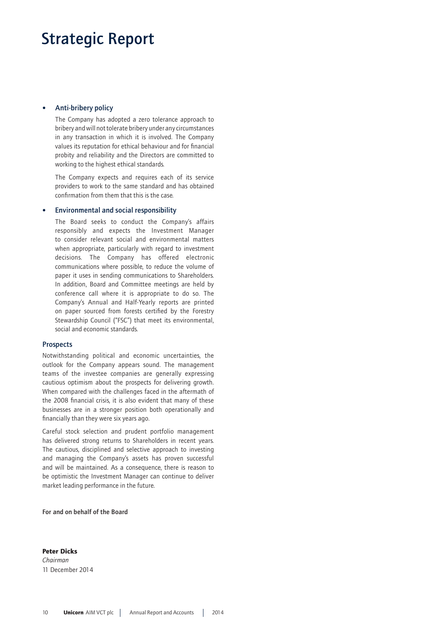#### • Anti-bribery policy

 The Company has adopted a zero tolerance approach to bribery and will not tolerate bribery under any circumstances in any transaction in which it is involved. The Company values its reputation for ethical behaviour and for financial probity and reliability and the Directors are committed to working to the highest ethical standards.

 The Company expects and requires each of its service providers to work to the same standard and has obtained confirmation from them that this is the case.

#### • Environmental and social responsibility

 The Board seeks to conduct the Company's affairs responsibly and expects the Investment Manager to consider relevant social and environmental matters when appropriate, particularly with regard to investment decisions. The Company has offered electronic communications where possible, to reduce the volume of paper it uses in sending communications to Shareholders. In addition, Board and Committee meetings are held by conference call where it is appropriate to do so. The Company's Annual and Half-Yearly reports are printed on paper sourced from forests certified by the Forestry Stewardship Council ("FSC") that meet its environmental, social and economic standards.

#### Prospects

Notwithstanding political and economic uncertainties, the outlook for the Company appears sound. The management teams of the investee companies are generally expressing cautious optimism about the prospects for delivering growth. When compared with the challenges faced in the aftermath of the 2008 financial crisis, it is also evident that many of these businesses are in a stronger position both operationally and financially than they were six years ago.

Careful stock selection and prudent portfolio management has delivered strong returns to Shareholders in recent years. The cautious, disciplined and selective approach to investing and managing the Company's assets has proven successful and will be maintained. As a consequence, there is reason to be optimistic the Investment Manager can continue to deliver market leading performance in the future.

For and on behalf of the Board

Peter Dicks *Chairman* 11 December 2014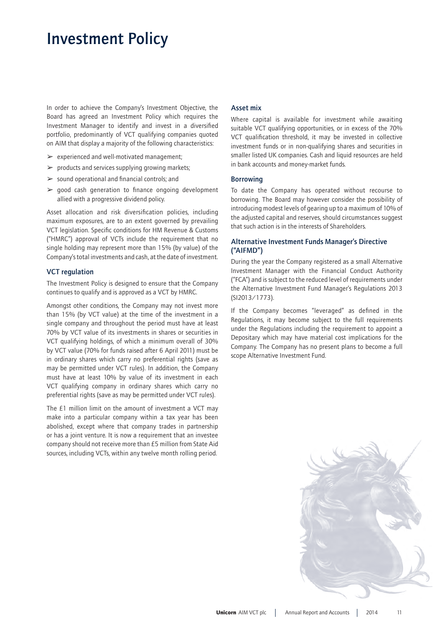# Investment Policy

In order to achieve the Company's Investment Objective, the Board has agreed an Investment Policy which requires the Investment Manager to identify and invest in a diversified portfolio, predominantly of VCT qualifying companies quoted on AIM that display a majority of the following characteristics:

- $\triangleright$  experienced and well-motivated management;
- $\triangleright$  products and services supplying growing markets;
- $\triangleright$  sound operational and financial controls; and
- $\ge$  good cash generation to finance ongoing development allied with a progressive dividend policy.

Asset allocation and risk diversification policies, including maximum exposures, are to an extent governed by prevailing VCT legislation. Specific conditions for HM Revenue & Customs ("HMRC") approval of VCTs include the requirement that no single holding may represent more than 15% (by value) of the Company's total investments and cash, at the date of investment.

#### VCT regulation

The Investment Policy is designed to ensure that the Company continues to qualify and is approved as a VCT by HMRC.

Amongst other conditions, the Company may not invest more than 15% (by VCT value) at the time of the investment in a single company and throughout the period must have at least 70% by VCT value of its investments in shares or securities in VCT qualifying holdings, of which a minimum overall of 30% by VCT value (70% for funds raised after 6 April 2011) must be in ordinary shares which carry no preferential rights (save as may be permitted under VCT rules). In addition, the Company must have at least 10% by value of its investment in each VCT qualifying company in ordinary shares which carry no preferential rights (save as may be permitted under VCT rules).

The £1 million limit on the amount of investment a VCT may make into a particular company within a tax year has been abolished, except where that company trades in partnership or has a joint venture. It is now a requirement that an investee company should not receive more than £5 million from State Aid sources, including VCTs, within any twelve month rolling period.

#### Asset mix

Where capital is available for investment while awaiting suitable VCT qualifying opportunities, or in excess of the 70% VCT qualification threshold, it may be invested in collective investment funds or in non-qualifying shares and securities in smaller listed UK companies. Cash and liquid resources are held in bank accounts and money-market funds.

#### Borrowing

To date the Company has operated without recourse to borrowing. The Board may however consider the possibility of introducing modest levels of gearing up to a maximum of 10% of the adjusted capital and reserves, should circumstances suggest that such action is in the interests of Shareholders.

#### Alternative Investment Funds Manager's Directive ("AIFMD")

During the year the Company registered as a small Alternative Investment Manager with the Financial Conduct Authority ("FCA") and is subject to the reduced level of requirements under the Alternative Investment Fund Manager's Regulations 2013 (SI2013/1773).

If the Company becomes "leveraged" as defined in the Regulations, it may become subject to the full requirements under the Regulations including the requirement to appoint a Depositary which may have material cost implications for the Company. The Company has no present plans to become a full scope Alternative Investment Fund.

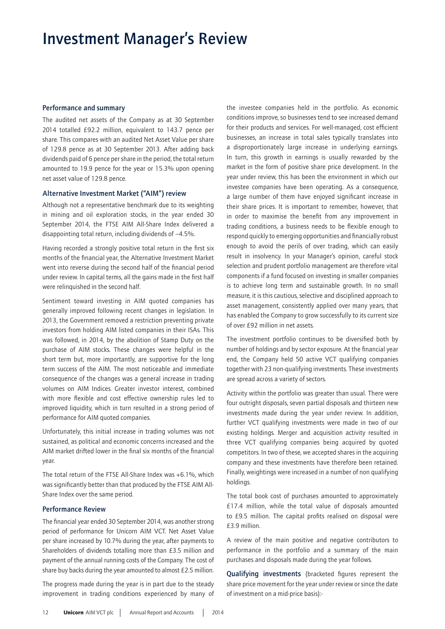### Investment Manager's Review

#### Performance and summary

The audited net assets of the Company as at 30 September 2014 totalled £92.2 million, equivalent to 143.7 pence per share. This compares with an audited Net Asset Value per share of 129.8 pence as at 30 September 2013. After adding back dividends paid of 6 pence per share in the period, the total return amounted to 19.9 pence for the year or 15.3% upon opening net asset value of 129.8 pence.

#### Alternative Investment Market ("AIM") review

Although not a representative benchmark due to its weighting in mining and oil exploration stocks, in the year ended 30 September 2014, the FTSE AIM All-Share Index delivered a disappointing total return, including dividends of –4.5%.

Having recorded a strongly positive total return in the first six months of the financial year, the Alternative Investment Market went into reverse during the second half of the financial period under review. In capital terms, all the gains made in the first half were relinquished in the second half.

Sentiment toward investing in AIM quoted companies has generally improved following recent changes in legislation. In 2013, the Government removed a restriction preventing private investors from holding AIM listed companies in their ISAs. This was followed, in 2014, by the abolition of Stamp Duty on the purchase of AIM stocks. These changes were helpful in the short term but, more importantly, are supportive for the long term success of the AIM. The most noticeable and immediate consequence of the changes was a general increase in trading volumes on AIM Indices. Greater investor interest, combined with more flexible and cost effective ownership rules led to improved liquidity, which in turn resulted in a strong period of performance for AIM quoted companies.

Unfortunately, this initial increase in trading volumes was not sustained, as political and economic concerns increased and the AIM market drifted lower in the final six months of the financial year.

The total return of the FTSE All-Share Index was +6.1%, which was significantly better than that produced by the FTSE AIM All-Share Index over the same period.

#### Performance Review

The financial year ended 30 September 2014, was another strong period of performance for Unicorn AIM VCT. Net Asset Value per share increased by 10.7% during the year, after payments to Shareholders of dividends totalling more than £3.5 million and payment of the annual running costs of the Company. The cost of share buy backs during the year amounted to almost £2.5 million.

The progress made during the year is in part due to the steady improvement in trading conditions experienced by many of the investee companies held in the portfolio. As economic conditions improve, so businesses tend to see increased demand for their products and services. For well-managed, cost efficient businesses, an increase in total sales typically translates into a disproportionately large increase in underlying earnings. In turn, this growth in earnings is usually rewarded by the market in the form of positive share price development. In the year under review, this has been the environment in which our investee companies have been operating. As a consequence, a large number of them have enjoyed significant increase in their share prices. It is important to remember, however, that in order to maximise the benefit from any improvement in trading conditions, a business needs to be flexible enough to respond quickly to emerging opportunities and financially robust enough to avoid the perils of over trading, which can easily result in insolvency. In your Manager's opinion, careful stock selection and prudent portfolio management are therefore vital components if a fund focused on investing in smaller companies is to achieve long term and sustainable growth. In no small measure, it is this cautious, selective and disciplined approach to asset management, consistently applied over many years, that has enabled the Company to grow successfully to its current size of over £92 million in net assets.

The investment portfolio continues to be diversified both by number of holdings and by sector exposure. At the financial year end, the Company held 50 active VCT qualifying companies together with 23 non-qualifying investments. These investments are spread across a variety of sectors.

Activity within the portfolio was greater than usual. There were four outright disposals, seven partial disposals and thirteen new investments made during the year under review. In addition, further VCT qualifying investments were made in two of our existing holdings. Merger and acquisition activity resulted in three VCT qualifying companies being acquired by quoted competitors. In two of these, we accepted shares in the acquiring company and these investments have therefore been retained. Finally, weightings were increased in a number of non qualifying holdings.

The total book cost of purchases amounted to approximately £17.4 million, while the total value of disposals amounted to £9.5 million. The capital profits realised on disposal were £3.9 million.

A review of the main positive and negative contributors to performance in the portfolio and a summary of the main purchases and disposals made during the year follows.

Qualifying investments (bracketed figures represent the share price movement for the year under review or since the date of investment on a mid-price basis):-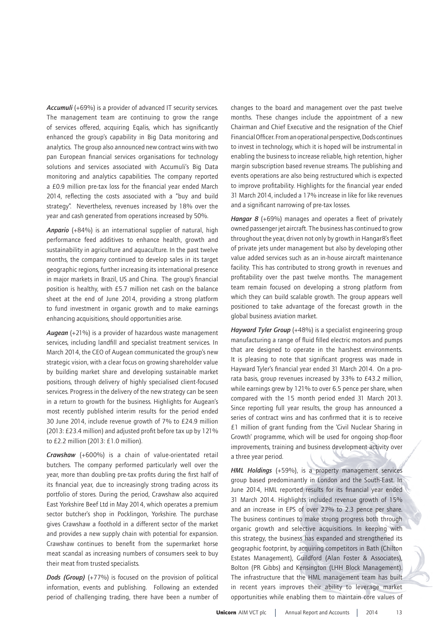*Accumuli* (+69%) is a provider of advanced IT security services. The management team are continuing to grow the range of services offered, acquiring Eqalis, which has significantly enhanced the group's capability in Big Data monitoring and analytics. The group also announced new contract wins with two pan European financial services organisations for technology solutions and services associated with Accumuli's Big Data monitoring and analytics capabilities. The company reported a £0.9 million pre-tax loss for the financial year ended March 2014, reflecting the costs associated with a "buy and build strategy". Nevertheless, revenues increased by 18% over the year and cash generated from operations increased by 50%.

*Anpario* (+84%) is an international supplier of natural, high performance feed additives to enhance health, growth and sustainability in agriculture and aquaculture. In the past twelve months, the company continued to develop sales in its target geographic regions, further increasing its international presence in major markets in Brazil, US and China. The group's financial position is healthy, with £5.7 million net cash on the balance sheet at the end of June 2014, providing a strong platform to fund investment in organic growth and to make earnings enhancing acquisitions, should opportunities arise.

*Augean* (+21%) is a provider of hazardous waste management services, including landfill and specialist treatment services. In March 2014, the CEO of Augean communicated the group's new strategic vision, with a clear focus on growing shareholder value by building market share and developing sustainable market positions, through delivery of highly specialised client-focused services. Progress in the delivery of the new strategy can be seen in a return to growth for the business. Highlights for Augean's most recently published interim results for the period ended 30 June 2014, include revenue growth of 7% to £24.9 million (2013: £23.4 million) and adjusted profit before tax up by 121% to £2.2 million (2013: £1.0 million).

*Crawshaw* (+600%) is a chain of value-orientated retail butchers. The company performed particularly well over the year, more than doubling pre-tax profits during the first half of its financial year, due to increasingly strong trading across its portfolio of stores. During the period, Crawshaw also acquired East Yorkshire Beef Ltd in May 2014, which operates a premium sector butcher's shop in Pocklingon, Yorkshire. The purchase gives Crawshaw a foothold in a different sector of the market and provides a new supply chain with potential for expansion. Crawshaw continues to benefit from the supermarket horse meat scandal as increasing numbers of consumers seek to buy their meat from trusted specialists.

*Dods (Group)* (+77%) is focused on the provision of political information, events and publishing. Following an extended period of challenging trading, there have been a number of changes to the board and management over the past twelve months. These changes include the appointment of a new Chairman and Chief Executive and the resignation of the Chief Financial Officer. From an operational perspective, Dods continues to invest in technology, which it is hoped will be instrumental in enabling the business to increase reliable, high retention, higher margin subscription based revenue streams. The publishing and events operations are also being restructured which is expected to improve profitability. Highlights for the financial year ended 31 March 2014, included a 17% increase in like for like revenues and a significant narrowing of pre-tax losses.

*Hangar 8* (+69%) manages and operates a fleet of privately owned passenger jet aircraft. The business has continued to grow throughout the year, driven not only by growth in Hangar8's fleet of private jets under management but also by developing other value added services such as an in-house aircraft maintenance facility. This has contributed to strong growth in revenues and profitability over the past twelve months. The management team remain focused on developing a strong platform from which they can build scalable growth. The group appears well positioned to take advantage of the forecast growth in the global business aviation market.

*Hayward Tyler Group* (+48%) is a specialist engineering group manufacturing a range of fluid filled electric motors and pumps that are designed to operate in the harshest environments. It is pleasing to note that significant progress was made in Hayward Tyler's financial year ended 31 March 2014. On a prorata basis, group revenues increased by 33% to £43.2 million, while earnings grew by 121% to over 6.5 pence per share, when compared with the 15 month period ended 31 March 2013. Since reporting full year results, the group has announced a series of contract wins and has confirmed that it is to receive £1 million of grant funding from the 'Civil Nuclear Sharing in Growth' programme, which will be used for ongoing shop-floor improvements, training and business development activity over a three year period.

*HML Holdings* (+59%), is a property management services group based predominantly in London and the South-East. In June 2014, HML reported results for its financial year ended 31 March 2014. Highlights included revenue growth of 15% and an increase in EPS of over 27% to 2.3 pence per share. The business continues to make strong progress both through organic growth and selective acquisitions. In keeping with this strategy, the business has expanded and strengthened its geographic footprint, by acquiring competitors in Bath (Chilton Estates Management), Guildford (Alan Foster & Associates), Bolton (PR Gibbs) and Kensington (LHH Block Management). The infrastructure that the HML management team has built in recent years improves their ability to leverage market opportunities while enabling them to maintain core values of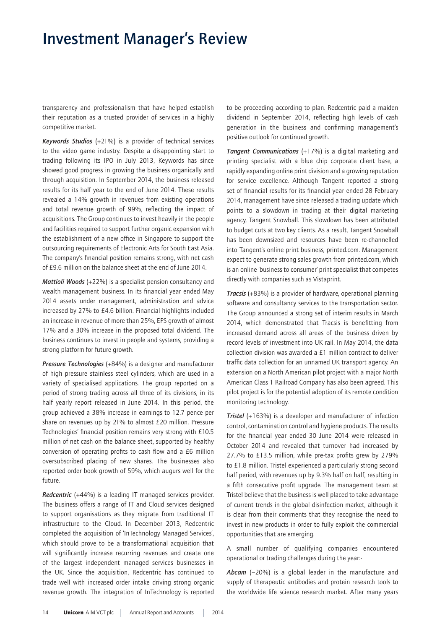### Investment Manager's Review

transparency and professionalism that have helped establish their reputation as a trusted provider of services in a highly competitive market.

*Keywords Studios* (+21%) is a provider of technical services to the video game industry. Despite a disappointing start to trading following its IPO in July 2013, Keywords has since showed good progress in growing the business organically and through acquisition. In September 2014, the business released results for its half year to the end of June 2014. These results revealed a 14% growth in revenues from existing operations and total revenue growth of 99%, reflecting the impact of acquisitions. The Group continues to invest heavily in the people and facilities required to support further organic expansion with the establishment of a new office in Singapore to support the outsourcing requirements of Electronic Arts for South East Asia. The company's financial position remains strong, with net cash of £9.6 million on the balance sheet at the end of June 2014.

*Mattioli Woods* (+22%) is a specialist pension consultancy and wealth management business. In its financial year ended May 2014 assets under management, administration and advice increased by 27% to £4.6 billion. Financial highlights included an increase in revenue of more than 25%, EPS growth of almost 17% and a 30% increase in the proposed total dividend. The business continues to invest in people and systems, providing a strong platform for future growth.

*Pressure Technologies* (+84%) is a designer and manufacturer of high pressure stainless steel cylinders, which are used in a variety of specialised applications. The group reported on a period of strong trading across all three of its divisions, in its half yearly report released in June 2014. In this period, the group achieved a 38% increase in earnings to 12.7 pence per share on revenues up by 21% to almost £20 million. Pressure Technologies' financial position remains very strong with £10.5 million of net cash on the balance sheet, supported by healthy conversion of operating profits to cash flow and a £6 million oversubscribed placing of new shares. The businesses also reported order book growth of 59%, which augurs well for the future.

*Redcentric* (+44%) is a leading IT managed services provider. The business offers a range of IT and Cloud services designed to support organisations as they migrate from traditional IT infrastructure to the Cloud. In December 2013, Redcentric completed the acquisition of 'InTechnology Managed Services', which should prove to be a transformational acquisition that will significantly increase recurring revenues and create one of the largest independent managed services businesses in the UK. Since the acquisition, Redcentric has continued to trade well with increased order intake driving strong organic revenue growth. The integration of InTechnology is reported

to be proceeding according to plan. Redcentric paid a maiden dividend in September 2014, reflecting high levels of cash generation in the business and confirming management's positive outlook for continued growth.

*Tangent Communications* (+17%) is a digital marketing and printing specialist with a blue chip corporate client base, a rapidly expanding online print division and a growing reputation for service excellence. Although Tangent reported a strong set of financial results for its financial year ended 28 February 2014, management have since released a trading update which points to a slowdown in trading at their digital marketing agency, Tangent Snowball. This slowdown has been attributed to budget cuts at two key clients. As a result, Tangent Snowball has been downsized and resources have been re-channelled into Tangent's online print business, printed.com. Management expect to generate strong sales growth from printed.com, which is an online 'business to consumer' print specialist that competes directly with companies such as Vistaprint.

*Tracsis* (+83%) is a provider of hardware, operational planning software and consultancy services to the transportation sector. The Group announced a strong set of interim results in March 2014, which demonstrated that Tracsis is benefitting from increased demand across all areas of the business driven by record levels of investment into UK rail. In May 2014, the data collection division was awarded a £1 million contract to deliver traffic data collection for an unnamed UK transport agency. An extension on a North American pilot project with a major North American Class 1 Railroad Company has also been agreed. This pilot project is for the potential adoption of its remote condition monitoring technology.

*Tristel* (+163%) is a developer and manufacturer of infection control, contamination control and hygiene products. The results for the financial year ended 30 June 2014 were released in October 2014 and revealed that turnover had increased by 27.7% to £13.5 million, while pre-tax profits grew by 279% to £1.8 million. Tristel experienced a particularly strong second half period, with revenues up by 9.3% half on half, resulting in a fifth consecutive profit upgrade. The management team at Tristel believe that the business is well placed to take advantage of current trends in the global disinfection market, although it is clear from their comments that they recognise the need to invest in new products in order to fully exploit the commercial opportunities that are emerging.

A small number of qualifying companies encountered operational or trading challenges during the year:-

*Abcam* (–20%) is a global leader in the manufacture and supply of therapeutic antibodies and protein research tools to the worldwide life science research market. After many years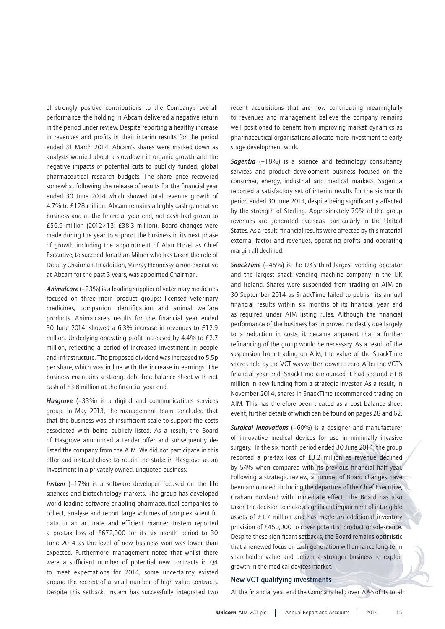of strongly positive contributions to the Company's overall performance, the holding in Abcam delivered a negative return in the period under review. Despite reporting a healthy increase in revenues and profits in their interim results for the period ended 31 March 2014, Abcam's shares were marked down as analysts worried about a slowdown in organic growth and the negative impacts of potential cuts to publicly funded, global pharmaceutical research budgets. The share price recovered somewhat following the release of results for the financial year ended 30 June 2014 which showed total revenue growth of 4.7% to £128 million. Abcam remains a highly cash generative business and at the financial year end, net cash had grown to £56.9 million (2012/13: £38.3 million). Board changes were made during the year to support the business in its next phase of growth including the appointment of Alan Hirzel as Chief Executive, to succeed Jonathan Milner who has taken the role of Deputy Chairman. In addition, Murray Hennessy, a non-executive at Abcam for the past 3 years, was appointed Chairman.

*Animalcare* (–23%) is a leading supplier of veterinary medicines focused on three main product groups: licensed veterinary medicines, companion identification and animal welfare products. Animalcare's results for the financial year ended 30 June 2014, showed a 6.3% increase in revenues to £12.9 million. Underlying operating profit increased by 4.4% to £2.7 million, reflecting a period of increased investment in people and infrastructure. The proposed dividend was increased to 5.5p per share, which was in line with the increase in earnings. The business maintains a strong, debt free balance sheet with net cash of £3.8 million at the financial year end.

*Hasgrove* (–33%) is a digital and communications services group. In May 2013, the management team concluded that that the business was of insufficient scale to support the costs associated with being publicly listed. As a result, the Board of Hasgrove announced a tender offer and subsequently delisted the company from the AIM. We did not participate in this offer and instead chose to retain the stake in Hasgrove as an investment in a privately owned, unquoted business.

*Instem* (–17%) is a software developer focused on the life sciences and biotechnology markets. The group has developed world leading software enabling pharmaceutical companies to collect, analyse and report large volumes of complex scientific data in an accurate and efficient manner. Instem reported a pre-tax loss of £672,000 for its six month period to 30 June 2014 as the level of new business won was lower than expected. Furthermore, management noted that whilst there were a sufficient number of potential new contracts in Q4 to meet expectations for 2014, some uncertainty existed around the receipt of a small number of high value contracts. Despite this setback, Instem has successfully integrated two

recent acquisitions that are now contributing meaningfully to revenues and management believe the company remains well positioned to benefit from improving market dynamics as pharmaceutical organisations allocate more investment to early stage development work.

*Sagentia* (–18%) is a science and technology consultancy services and product development business focused on the consumer, energy, industrial and medical markets. Sagentia reported a satisfactory set of interim results for the six month period ended 30 June 2014, despite being significantly affected by the strength of Sterling. Approximately 79% of the group revenues are generated overseas, particularly in the United States. As a result, financial results were affected by this material external factor and revenues, operating profits and operating margin all declined.

*SnackTime* (–45%) is the UK's third largest vending operator and the largest snack vending machine company in the UK and Ireland. Shares were suspended from trading on AIM on 30 September 2014 as SnackTime failed to publish its annual financial results within six months of its financial year end as required under AIM listing rules. Although the financial performance of the business has improved modestly due largely to a reduction in costs, it became apparent that a further refinancing of the group would be necessary. As a result of the suspension from trading on AIM, the value of the SnackTime shares held by the VCT was written down to zero. After the VCT's financial year end, SnackTime announced it had secured £1.8 million in new funding from a strategic investor. As a result, in November 2014, shares in SnackTime recommenced trading on AIM. This has therefore been treated as a post balance sheet event, further details of which can be found on pages 28 and 62.

*Surgical Innovations* (–60%) is a designer and manufacturer of innovative medical devices for use in minimally invasive surgery. In the six month period ended 30 June 2014, the group reported a pre-tax loss of £3.2 million as revenue declined by 54% when compared with its previous financial half year. Following a strategic review, a number of Board changes have been announced, including the departure of the Chief Executive, Graham Bowland with immediate effect. The Board has also taken the decision to make a significant impairment of intangible assets of £1.7 million and has made an additional inventory provision of £450,000 to cover potential product obsolescence. Despite these significant setbacks, the Board remains optimistic that a renewed focus on cash generation will enhance long-term shareholder value and deliver a stronger business to exploit growth in the medical devices market.

#### New VCT qualifying investments

At the financial year end the Company held over 70% of its total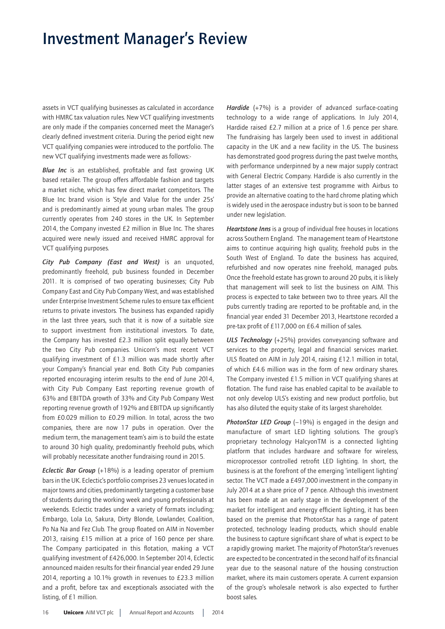### Investment Manager's Review

assets in VCT qualifying businesses as calculated in accordance with HMRC tax valuation rules. New VCT qualifying investments are only made if the companies concerned meet the Manager's clearly defined investment criteria. During the period eight new VCT qualifying companies were introduced to the portfolio. The new VCT qualifying investments made were as follows:-

*Blue Inc* is an established, profitable and fast growing UK based retailer. The group offers affordable fashion and targets a market niche, which has few direct market competitors. The Blue Inc brand vision is 'Style and Value for the under 25s' and is predominantly aimed at young urban males. The group currently operates from 240 stores in the UK. In September 2014, the Company invested £2 million in Blue Inc. The shares acquired were newly issued and received HMRC approval for VCT qualifying purposes.

*City Pub Company (East and West)* is an unquoted, predominantly freehold, pub business founded in December 2011. It is comprised of two operating businesses; City Pub Company East and City Pub Company West, and was established under Enterprise Investment Scheme rules to ensure tax efficient returns to private investors. The business has expanded rapidly in the last three years, such that it is now of a suitable size to support investment from institutional investors. To date, the Company has invested £2.3 million split equally between the two City Pub companies. Unicorn's most recent VCT qualifying investment of £1.3 million was made shortly after your Company's financial year end. Both City Pub companies reported encouraging interim results to the end of June 2014, with City Pub Company East reporting revenue growth of 63% and EBITDA growth of 33% and City Pub Company West reporting revenue growth of 192% and EBITDA up significantly from £0.029 million to £0.29 million. In total, across the two companies, there are now 17 pubs in operation. Over the medium term, the management team's aim is to build the estate to around 30 high quality, predominantly freehold pubs, which will probably necessitate another fundraising round in 2015.

*Eclectic Bar Group* (+18%) is a leading operator of premium bars in the UK. Eclectic's portfolio comprises 23 venues located in major towns and cities, predominantly targeting a customer base of students during the working week and young professionals at weekends. Eclectic trades under a variety of formats including; Embargo, Lola Lo, Sakura, Dirty Blonde, Lowlander, Coalition, Po Na Na and Fez Club. The group floated on AIM in November 2013, raising £15 million at a price of 160 pence per share. The Company participated in this flotation, making a VCT qualifying investment of £426,000. In September 2014, Eclectic announced maiden results for their financial year ended 29 June 2014, reporting a 10.1% growth in revenues to £23.3 million and a profit, before tax and exceptionals associated with the listing, of £1 million.

*Hardide* (+7%) is a provider of advanced surface-coating technology to a wide range of applications. In July 2014, Hardide raised £2.7 million at a price of 1.6 pence per share. The fundraising has largely been used to invest in additional capacity in the UK and a new facility in the US. The business has demonstrated good progress during the past twelve months, with performance underpinned by a new major supply contract with General Electric Company. Hardide is also currently in the latter stages of an extensive test programme with Airbus to provide an alternative coating to the hard chrome plating which is widely used in the aerospace industry but is soon to be banned under new legislation.

*Heartstone Inns* is a group of individual free houses in locations across Southern England. The management team of Heartstone aims to continue acquiring high quality, freehold pubs in the South West of England. To date the business has acquired, refurbished and now operates nine freehold, managed pubs. Once the freehold estate has grown to around 20 pubs, it is likely that management will seek to list the business on AIM. This process is expected to take between two to three years. All the pubs currently trading are reported to be profitable and, in the financial year ended 31 December 2013, Heartstone recorded a pre-tax profit of £117,000 on £6.4 million of sales.

*ULS Technology* (+25%) provides conveyancing software and services to the property, legal and financial services market. ULS floated on AIM in July 2014, raising £12.1 million in total, of which £4.6 million was in the form of new ordinary shares. The Company invested £1.5 million in VCT qualifying shares at flotation. The fund raise has enabled capital to be available to not only develop ULS's existing and new product portfolio, but has also diluted the equity stake of its largest shareholder.

*PhotonStar LED Group* (-19%) is engaged in the design and manufacture of smart LED lighting solutions. The group's proprietary technology HalcyonTM is a connected lighting platform that includes hardware and software for wireless, microprocessor controlled retrofit LED lighting. In short, the business is at the forefront of the emerging 'intelligent lighting' sector. The VCT made a £497,000 investment in the company in July 2014 at a share price of 7 pence. Although this investment has been made at an early stage in the development of the market for intelligent and energy efficient lighting, it has been based on the premise that PhotonStar has a range of patent protected, technology leading products, which should enable the business to capture significant share of what is expect to be a rapidly growing market. The majority of PhotonStar's revenues are expected to be concentrated in the second half of its financial year due to the seasonal nature of the housing construction market, where its main customers operate. A current expansion of the group's wholesale network is also expected to further boost sales.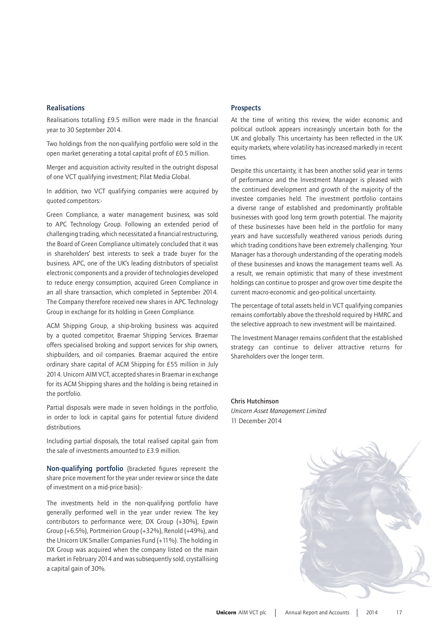#### Realisations

Realisations totalling £9.5 million were made in the financial year to 30 September 2014.

Two holdings from the non-qualifying portfolio were sold in the open market generating a total capital profit of £0.5 million.

Merger and acquisition activity resulted in the outright disposal of one VCT qualifying investment; Pilat Media Global.

In addition, two VCT qualifying companies were acquired by quoted competitors:-

Green Compliance, a water management business, was sold to APC Technology Group. Following an extended period of challenging trading, which necessitated a financial restructuring, the Board of Green Compliance ultimately concluded that it was in shareholders' best interests to seek a trade buyer for the business. APC, one of the UK's leading distributors of specialist electronic components and a provider of technologies developed to reduce energy consumption, acquired Green Compliance in an all share transaction, which completed in September 2014. The Company therefore received new shares in APC Technology Group in exchange for its holding in Green Compliance.

ACM Shipping Group, a ship-broking business was acquired by a quoted competitor, Braemar Shipping Services. Braemar offers specialised broking and support services for ship owners, shipbuilders, and oil companies. Braemar acquired the entire ordinary share capital of ACM Shipping for £55 million in July 2014. Unicorn AIM VCT, accepted shares in Braemar in exchange for its ACM Shipping shares and the holding is being retained in the portfolio.

Partial disposals were made in seven holdings in the portfolio, in order to lock in capital gains for potential future dividend distributions.

Including partial disposals, the total realised capital gain from the sale of investments amounted to £3.9 million.

Non-qualifying portfolio (bracketed figures represent the share price movement for the year under review or since the date of investment on a mid-price basis):-

The investments held in the non-qualifying portfolio have generally performed well in the year under review. The key contributors to performance were; DX Group (+30%), Epwin Group (+6.5%), Portmeirion Group (+32%), Renold (+49%), and the Unicorn UK Smaller Companies Fund (+11%). The holding in DX Group was acquired when the company listed on the main market in February 2014 and was subsequently sold, crystallising a capital gain of 30%.

#### **Prospects**

At the time of writing this review, the wider economic and political outlook appears increasingly uncertain both for the UK and globally. This uncertainty has been reflected in the UK equity markets, where volatility has increased markedly in recent times.

Despite this uncertainty, it has been another solid year in terms of performance and the Investment Manager is pleased with the continued development and growth of the majority of the investee companies held. The investment portfolio contains a diverse range of established and predominantly profitable businesses with good long term growth potential. The majority of these businesses have been held in the portfolio for many years and have successfully weathered various periods during which trading conditions have been extremely challenging. Your Manager has a thorough understanding of the operating models of these businesses and knows the management teams well. As a result, we remain optimistic that many of these investment holdings can continue to prosper and grow over time despite the current macro-economic and geo-political uncertainty.

The percentage of total assets held in VCT qualifying companies remains comfortably above the threshold required by HMRC and the selective approach to new investment will be maintained.

The Investment Manager remains confident that the established strategy can continue to deliver attractive returns for Shareholders over the longer term.

#### Chris Hutchinson *Unicorn Asset Management Limited* 11 December 2014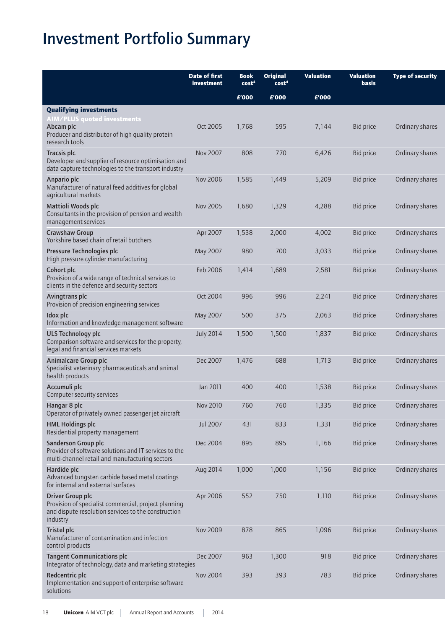|                                                                                                                                                    | Date of first<br>investment | <b>Book</b><br>cost <sup>4</sup> | <b>Original</b><br>cost <sup>4</sup> | <b>Valuation</b> | <b>Valuation</b><br><b>basis</b> | <b>Type of security</b> |
|----------------------------------------------------------------------------------------------------------------------------------------------------|-----------------------------|----------------------------------|--------------------------------------|------------------|----------------------------------|-------------------------|
|                                                                                                                                                    |                             | £'000                            | £'000                                | £'000            |                                  |                         |
| <b>Qualifying investments</b><br>AIM/PLUS quoted investments<br>Abcam plc<br>Producer and distributor of high quality protein<br>research tools    | Oct 2005                    | 1,768                            | 595                                  | 7,144            | <b>Bid price</b>                 | Ordinary shares         |
| <b>Tracsis plc</b><br>Developer and supplier of resource optimisation and<br>data capture technologies to the transport industry                   | Nov 2007                    | 808                              | 770                                  | 6,426            | Bid price                        | Ordinary shares         |
| Anpario plc<br>Manufacturer of natural feed additives for global<br>agricultural markets                                                           | Nov 2006                    | 1,585                            | 1,449                                | 5,209            | Bid price                        | Ordinary shares         |
| Mattioli Woods plc<br>Consultants in the provision of pension and wealth<br>management services                                                    | Nov 2005                    | 1,680                            | 1,329                                | 4,288            | <b>Bid price</b>                 | Ordinary shares         |
| <b>Crawshaw Group</b><br>Yorkshire based chain of retail butchers                                                                                  | Apr 2007                    | 1,538                            | 2,000                                | 4,002            | <b>Bid price</b>                 | Ordinary shares         |
| Pressure Technologies plc<br>High pressure cylinder manufacturing                                                                                  | May 2007                    | 980                              | 700                                  | 3,033            | <b>Bid price</b>                 | Ordinary shares         |
| Cohort plc<br>Provision of a wide range of technical services to<br>clients in the defence and security sectors                                    | Feb 2006                    | 1,414                            | 1,689                                | 2,581            | Bid price                        | Ordinary shares         |
| Avingtrans plc<br>Provision of precision engineering services                                                                                      | Oct 2004                    | 996                              | 996                                  | 2,241            | Bid price                        | Ordinary shares         |
| Idox plc<br>Information and knowledge management software                                                                                          | May 2007                    | 500                              | 375                                  | 2,063            | <b>Bid price</b>                 | Ordinary shares         |
| ULS Technology plc<br>Comparison software and services for the property,<br>legal and financial services markets                                   | <b>July 2014</b>            | 1,500                            | 1,500                                | 1,837            | <b>Bid price</b>                 | Ordinary shares         |
| Animalcare Group plc<br>Specialist veterinary pharmaceuticals and animal<br>health products                                                        | Dec 2007                    | 1,476                            | 688                                  | 1,713            | <b>Bid price</b>                 | Ordinary shares         |
| Accumuli plc<br>Computer security services                                                                                                         | Jan 2011                    | 400                              | 400                                  | 1,538            | <b>Bid price</b>                 | Ordinary shares         |
| Hangar 8 plc<br>Operator of privately owned passenger jet aircraft                                                                                 | Nov 2010                    | 760                              | 760                                  | 1,335            | Bid price                        | Ordinary shares         |
| <b>HML Holdings plc</b><br>Residential property management                                                                                         | Jul 2007                    | 431                              | 833                                  | 1,331            | <b>Bid price</b>                 | Ordinary shares         |
| Sanderson Group plc<br>Provider of software solutions and IT services to the<br>multi-channel retail and manufacturing sectors                     | Dec 2004                    | 895                              | 895                                  | 1,166            | <b>Bid price</b>                 | Ordinary shares         |
| Hardide plc<br>Advanced tungsten carbide based metal coatings<br>for internal and external surfaces                                                | Aug 2014                    | 1,000                            | 1,000                                | 1,156            | <b>Bid price</b>                 | Ordinary shares         |
| <b>Driver Group plc</b><br>Provision of specialist commercial, project planning<br>and dispute resolution services to the construction<br>industry | Apr 2006                    | 552                              | 750                                  | 1,110            | <b>Bid price</b>                 | Ordinary shares         |
| <b>Tristel plc</b><br>Manufacturer of contamination and infection<br>control products                                                              | Nov 2009                    | 878                              | 865                                  | 1,096            | <b>Bid price</b>                 | Ordinary shares         |
| <b>Tangent Communications plc</b><br>Integrator of technology, data and marketing strategies                                                       | Dec 2007                    | 963                              | 1,300                                | 918              | <b>Bid price</b>                 | Ordinary shares         |
| Redcentric plc<br>Implementation and support of enterprise software<br>solutions                                                                   | Nov 2004                    | 393                              | 393                                  | 783              | <b>Bid price</b>                 | Ordinary shares         |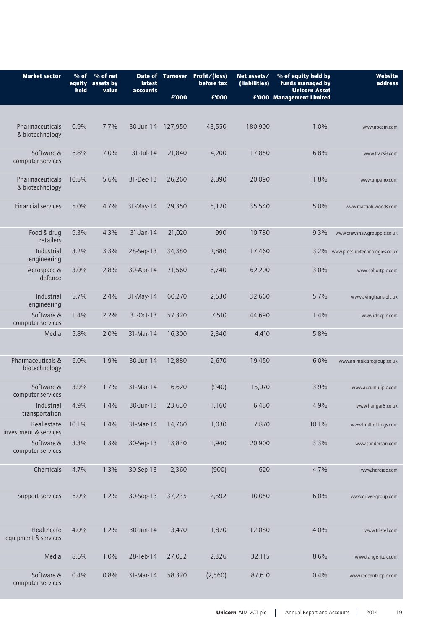| Website<br>address                  | % of equity held by<br>funds managed by<br><b>Unicorn Asset</b> | Net assets/<br>(liabilities) | Date of Turnover Profit/(loss)<br>before tax |        | latest<br>accounts    | % of % of net<br>equity assets by<br>value | held    | <b>Market sector</b>                       |
|-------------------------------------|-----------------------------------------------------------------|------------------------------|----------------------------------------------|--------|-----------------------|--------------------------------------------|---------|--------------------------------------------|
|                                     | £'000 Management Limited                                        |                              | £'000                                        | £'000  |                       |                                            |         |                                            |
|                                     | 1.0%                                                            |                              |                                              |        |                       |                                            | 0.9%    |                                            |
| www.abcam.com                       |                                                                 | 180,900                      | 43,550                                       |        | 30-Jun-14 127,950     | 7.7%                                       |         | Pharmaceuticals<br>& biotechnology         |
| www.tracsis.com                     | 6.8%                                                            | 17,850                       | 4,200                                        | 21,840 | 31-Jul-14             | 7.0%                                       | 6.8%    | Software &<br>computer services            |
| www.anpario.com                     | 11.8%                                                           | 20,090                       | 2,890                                        | 26,260 | 31-Dec-13             | 5.6%                                       | 10.5%   | Pharmaceuticals<br>& biotechnology         |
| www.mattioli-woods.com              | 5.0%                                                            | 35,540                       | 5,120                                        |        | 31-May-14 29,350      | 4.7%                                       | 5.0%    | Financial services                         |
| www.crawshawgroupplc.co.uk          | $9.3\%$                                                         | 10,780                       | 990                                          | 21,020 | $31$ -Jan-14          | 4.3%                                       | 9.3%    | Food & drug<br>retailers                   |
| 3.2% www.pressuretechnologies.co.uk |                                                                 | 17,460                       | 2,880                                        |        | 28-Sep-13 34,380      | 3.3%                                       | 3.2%    | Industrial<br>engineering                  |
| www.cohortplc.com                   | $3.0\%$                                                         | 62,200                       | 6,740                                        | 71,560 | 30-Apr-14             | 2.8%                                       | 3.0%    | Aerospace &<br>defence                     |
| www.avingtrans.plc.uk               | 5.7%                                                            | 32,660                       | 2,530                                        | 60,270 | 31-May-14             | 2.4%                                       | 5.7%    | Industrial<br>engineering                  |
| www.idoxplc.com                     | 1.4%                                                            | 44,690                       | 7,510                                        | 57,320 | 31-Oct-13             | 2.2%                                       | 1.4%    | Software &<br>computer services            |
|                                     | 5.8%                                                            | 4,410                        | 2,340                                        | 16,300 | 31-Mar-14             | 2.0%                                       | 5.8%    | Media                                      |
| www.animalcaregroup.co.uk           | 6.0%                                                            | 19,450                       | 2,670                                        | 12,880 | 30-Jun-14             | 1.9%                                       | 6.0%    | Pharmaceuticals &<br>biotechnology         |
| www.accumuliplc.com                 | 3.9%                                                            | 15,070                       | (940)                                        | 16,620 | 31-Mar-14             | $1.7\%$                                    | 3.9%    | Software &<br>computer services            |
| www.hangar8.co.uk                   | 4.9%                                                            | 6,480                        | 1,160                                        |        | 30-Jun-13 23,630      | $1.4\%$                                    | 4.9%    | Industrial<br>transportation               |
| www.hmlholdings.com                 | 10.1%                                                           | 7,870                        | 1,030                                        |        | 1.4% 31-Mar-14 14,760 |                                            |         | Real estate 10.1%<br>investment & services |
| www.sanderson.com                   | 3.3%                                                            | 20,900                       | 1,940                                        | 13,830 | 1.3% 30-Sep-13        |                                            | $3.3\%$ | Software &<br>computer services            |
| www.hardide.com                     | 4.7%                                                            | 620                          | (900)                                        | 2,360  | 1.3% 30-Sep-13        |                                            | 4.7%    | Chemicals                                  |
| www.driver-group.com                | 6.0%                                                            | 10,050                       | 2,592                                        |        | 1.2% 30-Sep-13 37,235 |                                            | $6.0\%$ | Support services                           |
| www.tristel.com                     | 4.0%                                                            | 12,080                       | 1,820                                        | 13,470 | 30-Jun-14             | $1.2\%$                                    | 4.0%    | Healthcare<br>equipment & services         |
| www.tangentuk.com                   | 8.6%                                                            | 32,115                       | 2,326                                        |        | 28-Feb-14 27,032      | $1.0\%$                                    | 8.6%    | Media                                      |
| www.redcentricplc.com               | 0.4%                                                            | 87,610                       | (2,560)                                      |        | 0.8% 31-Mar-14 58,320 |                                            | 0.4%    | Software &<br>computer services            |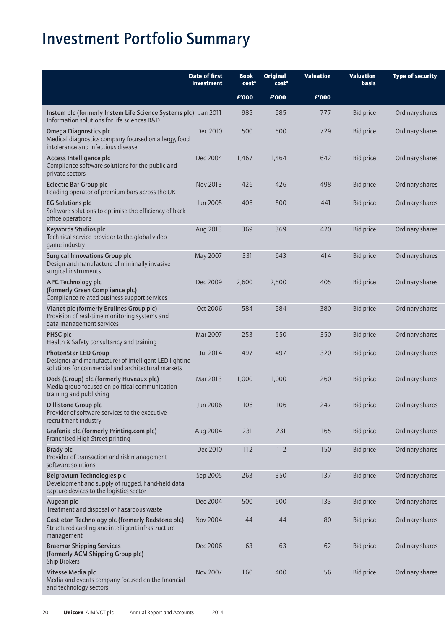|                                                                                                                                            | Date of first<br>investment | <b>Book</b><br>cost <sup>4</sup> | Original<br>cost <sup>4</sup> | <b>Valuation</b> | <b>Valuation</b><br><b>basis</b> | <b>Type of security</b> |
|--------------------------------------------------------------------------------------------------------------------------------------------|-----------------------------|----------------------------------|-------------------------------|------------------|----------------------------------|-------------------------|
|                                                                                                                                            |                             | £'000                            | £'000                         | £'000            |                                  |                         |
| Instem plc (formerly Instem Life Science Systems plc) Jan 2011<br>Information solutions for life sciences R&D                              |                             | 985                              | 985                           | 777              | <b>Bid price</b>                 | Ordinary shares         |
| Omega Diagnostics plc<br>Medical diagnostics company focused on allergy, food<br>intolerance and infectious disease                        | Dec 2010                    | 500                              | 500                           | 729              | <b>Bid price</b>                 | Ordinary shares         |
| Access Intelligence plc<br>Compliance software solutions for the public and<br>private sectors                                             | Dec 2004                    | 1,467                            | 1,464                         | 642              | <b>Bid price</b>                 | Ordinary shares         |
| <b>Eclectic Bar Group plc</b><br>Leading operator of premium bars across the UK                                                            | Nov 2013                    | 426                              | 426                           | 498              | <b>Bid price</b>                 | Ordinary shares         |
| <b>EG Solutions plc</b><br>Software solutions to optimise the efficiency of back<br>office operations                                      | <b>Jun 2005</b>             | 406                              | 500                           | 441              | <b>Bid price</b>                 | Ordinary shares         |
| Keywords Studios plc<br>Technical service provider to the global video<br>game industry                                                    | Aug 2013                    | 369                              | 369                           | 420              | <b>Bid price</b>                 | Ordinary shares         |
| Surgical Innovations Group plc<br>Design and manufacture of minimally invasive<br>surgical instruments                                     | May 2007                    | 331                              | 643                           | 414              | <b>Bid price</b>                 | Ordinary shares         |
| APC Technology plc<br>(formerly Green Compliance plc)<br>Compliance related business support services                                      | Dec 2009                    | 2,600                            | 2,500                         | 405              | <b>Bid price</b>                 | Ordinary shares         |
| Vianet plc (formerly Brulines Group plc)<br>Provision of real-time monitoring systems and<br>data management services                      | Oct 2006                    | 584                              | 584                           | 380              | <b>Bid price</b>                 | Ordinary shares         |
| PHSC plc<br>Health & Safety consultancy and training                                                                                       | Mar 2007                    | 253                              | 550                           | 350              | <b>Bid price</b>                 | Ordinary shares         |
| <b>PhotonStar LED Group</b><br>Designer and manufacturer of intelligent LED lighting<br>solutions for commercial and architectural markets | Jul 2014                    | 497                              | 497                           | 320              | <b>Bid price</b>                 | Ordinary shares         |
| Dods (Group) plc (formerly Huveaux plc)<br>Media group focused on political communication<br>training and publishing                       | Mar 2013                    | 1,000                            | 1,000                         | 260              | <b>Bid price</b>                 | Ordinary shares         |
| Dillistone Group plc<br>Provider of software services to the executive<br>recruitment industry                                             | Jun 2006                    | 106                              | 106                           | 247              | Bid price                        | Ordinary shares         |
| Grafenia plc (formerly Printing.com plc)<br>Franchised High Street printing                                                                | Aug 2004                    | 231                              | 231                           | 165              | <b>Bid price</b>                 | Ordinary shares         |
| Brady plc<br>Provider of transaction and risk management<br>software solutions                                                             | Dec 2010                    | 112                              | 112                           | 150              | <b>Bid price</b>                 | Ordinary shares         |
| Belgravium Technologies plc<br>Development and supply of rugged, hand-held data<br>capture devices to the logistics sector                 | Sep 2005                    | 263                              | 350                           | 137              | <b>Bid price</b>                 | Ordinary shares         |
| Augean plc<br>Treatment and disposal of hazardous waste                                                                                    | Dec 2004                    | 500                              | 500                           | 133              | <b>Bid price</b>                 | Ordinary shares         |
| Castleton Technology plc (formerly Redstone plc)<br>Structured cabling and intelligent infrastructure<br>management                        | Nov 2004                    | 44                               | 44                            | 80               | <b>Bid price</b>                 | Ordinary shares         |
| <b>Braemar Shipping Services</b><br>(formerly ACM Shipping Group plc)<br><b>Ship Brokers</b>                                               | Dec 2006                    | 63                               | 63                            | 62               | <b>Bid price</b>                 | Ordinary shares         |
| Vitesse Media plc<br>Media and events company focused on the financial<br>and technology sectors                                           | Nov 2007                    | 160                              | 400                           | 56               | <b>Bid price</b>                 | Ordinary shares         |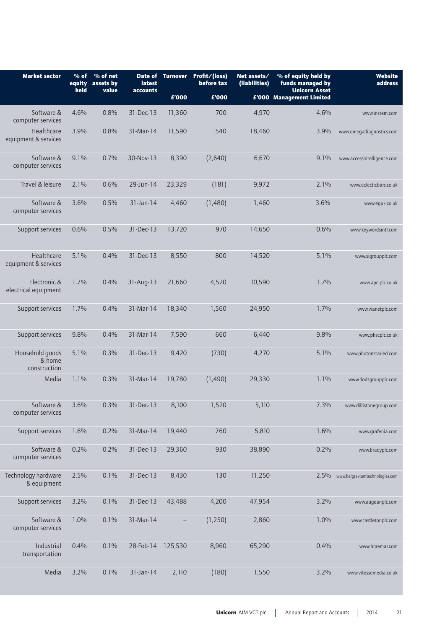| Website<br>address                  | Date of Turnover Profit/(loss) Net assets/ % of equity held by<br>funds managed by<br><b>Unicorn Asset</b> | (liabilities) | before tax |                                 | latest<br>accounts    | % of % of net<br>equity assets by<br>value | held    | <b>Market sector</b>                      |
|-------------------------------------|------------------------------------------------------------------------------------------------------------|---------------|------------|---------------------------------|-----------------------|--------------------------------------------|---------|-------------------------------------------|
|                                     | £'000 Management Limited                                                                                   |               | $E'$ 000   | £'000                           |                       |                                            |         |                                           |
| www.instem.com                      | 4.6%                                                                                                       | 4,970         | 700        | 11,360                          | 31-Dec-13             | 0.8%                                       | 4.6%    | Software &<br>computer services           |
| 3.9% www.omegadiagnostics.com       |                                                                                                            | 18,460        | 540        | 11,590                          | 31-Mar-14             | 0.8%                                       | 3.9%    | Healthcare<br>equipment & services        |
| 9.1% www.accessintelligence.com     |                                                                                                            | 6,670         | (2,640)    | 8,390                           | 30-Nov-13             | $0.7\%$                                    | 9.1%    | Software &<br>computer services           |
| www.eclecticbars.co.uk              | 2.1%                                                                                                       | 9,972         | (181)      | 23,329                          | 29-Jun-14             | 0.6%                                       |         | Travel & leisure 2.1%                     |
| www.eguk.co.uk                      | 3.6%                                                                                                       | 1,460         | (1,480)    | 4,460                           | $31$ -Jan- $14$       | 0.5%                                       | 3.6%    | Software &<br>computer services           |
| www.keywordsintl.com                | 0.6%                                                                                                       | 14,650        | 970        | 13,720                          | 31-Dec-13             | $0.5\%$                                    | $0.6\%$ | Support services                          |
| www.sigroupplc.com                  | 5.1%                                                                                                       | 14,520        | 800        | 8,550                           | 31-Dec-13             | $0.4\%$                                    | $5.1\%$ | Healthcare<br>equipment & services        |
| www.apc-plc.co.uk                   | 1.7%                                                                                                       | 10,590        | 4,520      | 21,660                          | 0.4% 31-Aug-13        |                                            | 1.7%    | Electronic &<br>electrical equipment      |
| www.vianetplc.com                   | 1.7%                                                                                                       | 24,950        | 1,560      | 18,340                          | 31-Mar-14             | 0.4%                                       | 1.7%    | Support services                          |
| www.phscplc.co.uk                   | 9.8%                                                                                                       | 6,440         | 660        | 7,590                           | 31-Mar-14             | 0.4%                                       | 9.8%    | Support services                          |
| www.photonstarled.com               | 5.1%                                                                                                       | 4,270         | (730)      | 9,420                           | 31-Dec-13             | $0.3\%$                                    | $5.1\%$ | Household goods<br>& home<br>construction |
| www.dodsgroupplc.com                | $1.1\%$                                                                                                    | 29,330        | (1,490)    | 19,780                          | 31-Mar-14             | $0.3\%$                                    | $1.1\%$ | Media                                     |
| www.dillistonegroup.com             | 7.3%                                                                                                       | 5,110         | 1,520      | 8,100                           | 31-Dec-13             | $0.3\%$                                    | 3.6%    | Software &<br>computer services           |
| www.grafenia.com                    | 1.6%                                                                                                       | 5,810         | 760        | 19,440                          | $0.2\%$ 31-Mar-14     |                                            | $1.6\%$ | Support services                          |
| www.bradyplc.com                    | $0.2\%$                                                                                                    | 38,890        | 930        |                                 | 0.2% 31-Dec-13 29,360 |                                            | $0.2\%$ | Software &<br>computer services           |
| 2.5% www.belgraviumtechnologies.com |                                                                                                            | 11,250        | 130        | 8,430                           | $0.1\%$ 31-Dec-13     |                                            | 2.5%    | Technology hardware<br>& equipment        |
| www.augeanplc.com                   | 3.2%                                                                                                       | 47,954        | 4,200      |                                 | 0.1% 31-Dec-13 43,488 |                                            |         | Support services 3.2%                     |
| www.castletonplc.com                | 1.0%                                                                                                       | 2,860         | (1,250)    | $\hspace{0.1mm}-\hspace{0.1mm}$ | $0.1\%$ 31-Mar-14     |                                            | $1.0\%$ | Software &<br>computer services           |
| www.braemar.com                     | 0.4%                                                                                                       | 65,290        | 8,960      |                                 | 28-Feb-14 125,530     | $0.1\%$                                    | $0.4\%$ | Industrial<br>transportation              |
| www.vitessemedia.co.uk              | 3.2%                                                                                                       | 1,550         | (180)      | 2,110                           | $31$ -Jan-14          | $0.1\%$                                    | $3.2\%$ | Media                                     |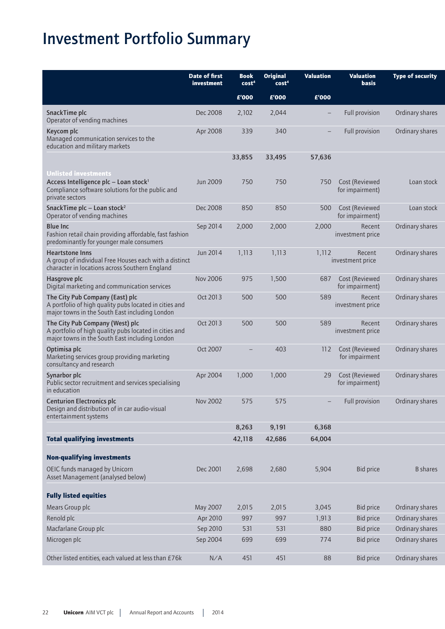|                                                                                                                                             | Date of first<br>investment | <b>Book</b><br>cost <sup>4</sup> | Original<br>cost <sup>4</sup> | <b>Valuation</b> | <b>Valuation</b><br>basis             | <b>Type of security</b> |
|---------------------------------------------------------------------------------------------------------------------------------------------|-----------------------------|----------------------------------|-------------------------------|------------------|---------------------------------------|-------------------------|
|                                                                                                                                             |                             | £'000                            | £'000                         | £'000            |                                       |                         |
| SnackTime plc<br>Operator of vending machines                                                                                               | Dec 2008                    | 2,102                            | 2,044                         |                  | Full provision                        | Ordinary shares         |
| Keycom plc<br>Managed communication services to the<br>education and military markets                                                       | Apr 2008                    | 339                              | 340                           |                  | Full provision                        | Ordinary shares         |
|                                                                                                                                             |                             | 33,855                           | 33,495                        | 57,636           |                                       |                         |
| <b>Unlisted investments</b>                                                                                                                 |                             |                                  |                               |                  |                                       |                         |
| Access Intelligence plc - Loan stock <sup>1</sup><br>Compliance software solutions for the public and<br>private sectors                    | Jun 2009                    | 750                              | 750                           | 750              | Cost (Reviewed<br>for impairment)     | Loan stock              |
| SnackTime plc - Loan stock <sup>2</sup><br>Operator of vending machines                                                                     | Dec 2008                    | 850                              | 850                           |                  | 500 Cost (Reviewed<br>for impairment) | Loan stock              |
| <b>Blue Inc</b><br>Fashion retail chain providing affordable, fast fashion<br>predominantly for younger male consumers                      | Sep 2014                    | 2,000                            | 2,000                         | 2,000            | Recent<br>investment price            | Ordinary shares         |
| <b>Heartstone Inns</b><br>A group of individual Free Houses each with a distinct<br>character in locations across Southern England          | Jun 2014                    | 1,113                            | 1,113                         | 1,112            | Recent<br>investment price            | Ordinary shares         |
| Hasgrove plc<br>Digital marketing and communication services                                                                                | Nov 2006                    | 975                              | 1,500                         | 687              | Cost (Reviewed<br>for impairment)     | Ordinary shares         |
| The City Pub Company (East) plc<br>A portfolio of high quality pubs located in cities and<br>major towns in the South East including London | Oct 2013                    | 500                              | 500                           | 589              | Recent<br>investment price            | Ordinary shares         |
| The City Pub Company (West) plc<br>A portfolio of high quality pubs located in cities and<br>major towns in the South East including London | Oct 2013                    | 500                              | 500                           | 589              | Recent<br>investment price            | Ordinary shares         |
| Optimisa plc<br>Marketing services group providing marketing<br>consultancy and research                                                    | Oct 2007                    |                                  | 403                           |                  | 112 Cost (Reviewed<br>for impairment  | Ordinary shares         |
| Synarbor plc<br>Public sector recruitment and services specialising<br>in education                                                         | Apr 2004                    | 1,000                            | 1,000                         | 29               | Cost (Reviewed<br>for impairment)     | Ordinary shares         |
| <b>Centurion Electronics plc</b><br>Design and distribution of in car audio-visual<br>entertainment systems                                 | Nov 2002                    | 575                              | 575                           |                  | Full provision                        | Ordinary shares         |
|                                                                                                                                             |                             | 8,263                            | 9,191                         | 6,368            |                                       |                         |
| <b>Total qualifying investments</b>                                                                                                         |                             | 42,118                           | 42,686                        | 64,004           |                                       |                         |
| <b>Non-qualifying investments</b>                                                                                                           |                             |                                  |                               |                  |                                       |                         |
| OEIC funds managed by Unicorn<br>Asset Management (analysed below)                                                                          | Dec 2001                    | 2,698                            | 2,680                         | 5,904            | <b>Bid price</b>                      | <b>B</b> shares         |
| <b>Fully listed equities</b>                                                                                                                |                             |                                  |                               |                  |                                       |                         |
| Mears Group plc                                                                                                                             | May 2007                    | 2,015                            | 2,015                         | 3,045            | <b>Bid price</b>                      | Ordinary shares         |
| Renold plc                                                                                                                                  | Apr 2010                    | 997                              | 997                           | 1,913            | <b>Bid price</b>                      | Ordinary shares         |
| Macfarlane Group plc                                                                                                                        | Sep 2010                    | 531                              | 531                           | 880              | <b>Bid price</b>                      | Ordinary shares         |
| Microgen plc                                                                                                                                | Sep 2004                    | 699                              | 699                           | 774              | <b>Bid price</b>                      | Ordinary shares         |
| Other listed entities, each valued at less than £76k                                                                                        | N/A                         | 451                              | 451                           | 88               | <b>Bid price</b>                      | Ordinary shares         |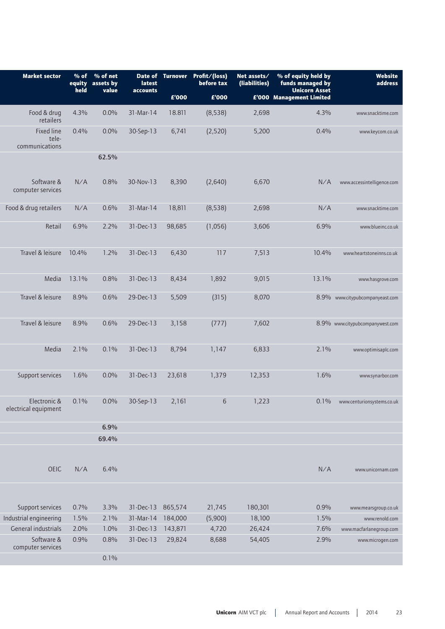| Website<br>address              | Date of Turnover Profit/(loss) Net assets/ % of equity held by<br>funds managed by | (liabilities) | before tax |        | latest                 | % of % of net<br>equity assets by |          | <b>Market sector</b>            |
|---------------------------------|------------------------------------------------------------------------------------|---------------|------------|--------|------------------------|-----------------------------------|----------|---------------------------------|
|                                 | <b>Unicorn Asset</b><br>£'000 Management Limited                                   |               | £'000      | £'000  | accounts               | value                             | held     |                                 |
| www.snacktime.com               | 4.3%                                                                               | 2,698         | (8,538)    | 18.811 | 31-Mar-14              | $0.0\%$                           | 4.3%     | Food & drug<br>retailers        |
| www.keycom.co.uk                | 0.4%                                                                               | 5,200         | (2,520)    | 6,741  | 30-Sep-13              | $0.0\%$                           | 0.4%     | Fixed line<br>tele-             |
|                                 |                                                                                    |               |            |        |                        | 62.5%                             |          | communications                  |
|                                 |                                                                                    |               |            |        |                        |                                   |          |                                 |
| N/A www.accessintelligence.com  |                                                                                    | 6,670         | (2,640)    | 8,390  | 0.8% 30-Nov-13         |                                   | N/A      | Software &<br>computer services |
| www.snacktime.com               | N/A                                                                                | 2,698         | (8,538)    | 18,811 | 31-Mar-14              | $0.6\%$                           | N/A      | Food & drug retailers           |
|                                 |                                                                                    |               |            |        |                        |                                   |          |                                 |
| www.blueinc.co.uk               | 6.9%                                                                               | 3,606         | (1,056)    | 98,685 | 31-Dec-13              | $2.2\%$                           | 6.9%     | Retail                          |
| www.heartstoneinns.co.uk        | 10.4%                                                                              | 7,513         | 117        | 6,430  | 1.2% 31-Dec-13         |                                   |          | Travel & leisure 10.4%          |
|                                 |                                                                                    |               |            |        |                        |                                   |          |                                 |
| www.hasgrove.com                | 13.1%                                                                              | 9,015         | 1,892      | 8,434  | 31-Dec-13              | $0.8\%$                           | 13.1%    | Media                           |
| 8.9% www.citypubcompanyeast.com |                                                                                    | 8,070         | (315)      | 5,509  | 0.6% 29-Dec-13         |                                   | 8.9%     | Travel & leisure                |
|                                 |                                                                                    |               |            |        |                        |                                   |          |                                 |
| 8.9% www.citypubcompanywest.com |                                                                                    | 7,602         | (777)      | 3,158  | 0.6% 29-Dec-13         |                                   | 8.9%     | Travel & leisure                |
|                                 |                                                                                    |               |            |        |                        |                                   |          |                                 |
| www.optimisaplc.com             | 2.1%                                                                               | 6,833         | 1,147      | 8,794  | 31-Dec-13              | $0.1\%$                           | 2.1%     | Media                           |
| www.synarbor.com                | 1.6%                                                                               | 12,353        | 1,379      | 23,618 | 0.0% 31-Dec-13         |                                   | 1.6%     | Support services                |
|                                 |                                                                                    |               |            |        |                        |                                   |          |                                 |
| 0.1% www.centurionsystems.co.uk |                                                                                    | 1,223         | 6          |        | 0.0% 30-Sep-13 2,161   |                                   |          | Electronic & 0.1%               |
|                                 |                                                                                    |               |            |        |                        |                                   |          | electrical equipment            |
|                                 |                                                                                    |               |            |        |                        | 6.9%                              |          |                                 |
|                                 |                                                                                    |               |            |        |                        | 69.4%                             |          |                                 |
|                                 |                                                                                    |               |            |        |                        |                                   |          |                                 |
| www.unicornam.com               | N/A                                                                                |               |            |        |                        | $6.4\%$                           | OEIC N/A |                                 |
|                                 |                                                                                    |               |            |        |                        |                                   |          |                                 |
| www.mearsgroup.co.uk            | 0.9%                                                                               | 180,301       | 21,745     |        | 3.3% 31-Dec-13 865,574 |                                   | $0.7\%$  | Support services                |
| www.renold.com                  | 1.5%                                                                               | 18,100        | (5,900)    |        | 31-Mar-14 184,000      | $2.1\%$                           | 1.5%     | Industrial engineering          |
| www.macfarlanegroup.com         | 7.6%                                                                               | 26,424        | 4,720      |        | 31-Dec-13 143,871      | $1.0\%$                           | 2.0%     | General industrials             |
| www.microgen.com                | 2.9%                                                                               | 54,405        | 8,688      |        | 31-Dec-13 29,824       | 0.8%                              | 0.9%     | Software &<br>computer services |
|                                 |                                                                                    |               |            |        |                        | $0.1\%$                           |          |                                 |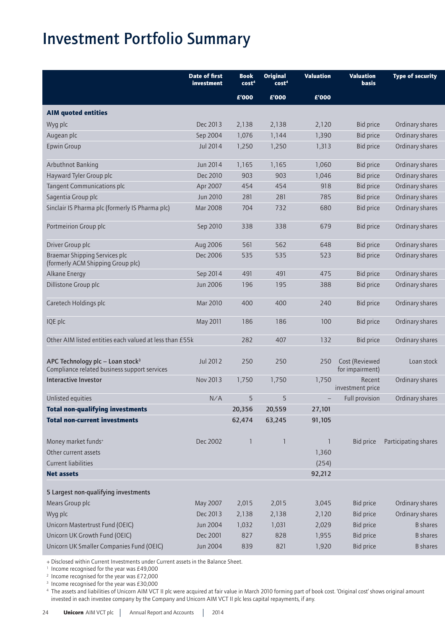| £'000<br>£'000<br>£'000<br><b>AIM quoted entities</b><br>Dec 2013<br>2,138<br>2,138<br>2,120<br>Wyg plc<br>Sep 2004<br>1,076<br>1,144<br>1,390<br>Augean plc | <b>Bid price</b><br><b>Bid price</b> | Ordinary shares                |
|--------------------------------------------------------------------------------------------------------------------------------------------------------------|--------------------------------------|--------------------------------|
|                                                                                                                                                              |                                      |                                |
|                                                                                                                                                              |                                      |                                |
|                                                                                                                                                              |                                      |                                |
|                                                                                                                                                              |                                      | Ordinary shares                |
| 1,250<br>1,313<br>Jul 2014<br>1,250<br>Epwin Group                                                                                                           | <b>Bid price</b>                     | Ordinary shares                |
| Jun 2014<br>1,165<br>1,060<br>Arbuthnot Banking<br>1,165                                                                                                     | <b>Bid price</b>                     | Ordinary shares                |
| 903<br>1,046<br>Hayward Tyler Group plc<br>Dec 2010<br>903                                                                                                   | <b>Bid price</b>                     | Ordinary shares                |
| 454<br>918<br>Apr 2007<br>454<br>Tangent Communications plc                                                                                                  | <b>Bid price</b>                     | Ordinary shares                |
| Jun 2010<br>281<br>281<br>785<br>Sagentia Group plc                                                                                                          | <b>Bid price</b>                     | Ordinary shares                |
| 732<br>680<br>Sinclair IS Pharma plc (formerly IS Pharma plc)<br>Mar 2008<br>704                                                                             | <b>Bid price</b>                     | Ordinary shares                |
| Sep 2010<br>338<br>338<br>679<br>Portmeirion Group plc                                                                                                       | <b>Bid price</b>                     | Ordinary shares                |
| 648<br>561<br>562<br>Aug 2006<br>Driver Group plc                                                                                                            | <b>Bid price</b>                     | Ordinary shares                |
| Braemar Shipping Services plc<br>Dec 2006<br>535<br>523<br>535<br>(formerly ACM Shipping Group plc)                                                          | Bid price                            | Ordinary shares                |
| Sep 2014<br>491<br>491<br>475<br>Alkane Energy                                                                                                               | <b>Bid price</b>                     | Ordinary shares                |
| 388<br><b>Jun 2006</b><br>196<br>195<br>Dillistone Group plc                                                                                                 | <b>Bid price</b>                     | Ordinary shares                |
| 400<br>240<br>Caretech Holdings plc<br>400<br>Mar 2010                                                                                                       | <b>Bid price</b>                     | Ordinary shares                |
| May 2011<br>186<br>186<br>100<br>IQE plc                                                                                                                     | <b>Bid price</b>                     | Ordinary shares                |
| 407<br>132<br>Other AIM listed entities each valued at less than £55k<br>282                                                                                 | <b>Bid price</b>                     | Ordinary shares                |
|                                                                                                                                                              |                                      |                                |
| Jul 2012<br>250<br>250<br>APC Technology plc - Loan stock <sup>3</sup><br>250<br>Compliance related business support services                                | Cost (Reviewed<br>for impairment)    | Loan stock                     |
| Nov 2013<br>1,750<br>1,750<br>1,750<br><b>Interactive Investor</b>                                                                                           | Recent<br>investment price           | Ordinary shares                |
| Unlisted equities<br>N/A<br>5<br>5                                                                                                                           | Full provision                       | Ordinary shares                |
| 20,559<br><b>Total non-qualifying investments</b><br>20,356<br>27,101                                                                                        |                                      |                                |
| 62,474<br>63,245<br>91,105<br><b>Total non-current investments</b>                                                                                           |                                      |                                |
| Dec 2002<br>Money market funds+                                                                                                                              |                                      | Bid price Participating shares |
| Other current assets<br>1,360                                                                                                                                |                                      |                                |
| Current liabilities<br>(254)                                                                                                                                 |                                      |                                |
| 92,212<br><b>Net assets</b>                                                                                                                                  |                                      |                                |
|                                                                                                                                                              |                                      |                                |
| 5 Largest non-qualifying investments                                                                                                                         |                                      |                                |
| May 2007<br>2,015<br>2,015<br>3,045<br>Mears Group plc                                                                                                       | <b>Bid price</b>                     | Ordinary shares                |
| Dec 2013<br>2,138<br>2,138<br>2,120<br>Wyg plc                                                                                                               | <b>Bid price</b>                     | Ordinary shares                |
| Jun 2004<br>1,032<br>2,029<br>Unicorn Mastertrust Fund (OEIC)<br>1,031                                                                                       | <b>Bid price</b>                     | <b>B</b> shares                |
| Unicorn UK Growth Fund (OEIC)<br>Dec 2001<br>827<br>828<br>1,955                                                                                             | <b>Bid price</b>                     | <b>B</b> shares                |
| Unicorn UK Smaller Companies Fund (OEIC)<br>Jun 2004<br>839<br>821<br>1,920                                                                                  | <b>Bid price</b>                     | <b>B</b> shares                |

+ Disclosed within Current Investments under Current assets in the Balance Sheet.

<sup>1</sup> Income recognised for the year was £49,000

<sup>2</sup> Income recognised for the year was £72,000

<sup>3</sup> Income recognised for the year was £30,000

4 The assets and liabilities of Unicorn AIM VCT II plc were acquired at fair value in March 2010 forming part of book cost. 'Original cost' shows original amount invested in each investee company by the Company and Unicorn AIM VCT II plc less capital repayments, if any.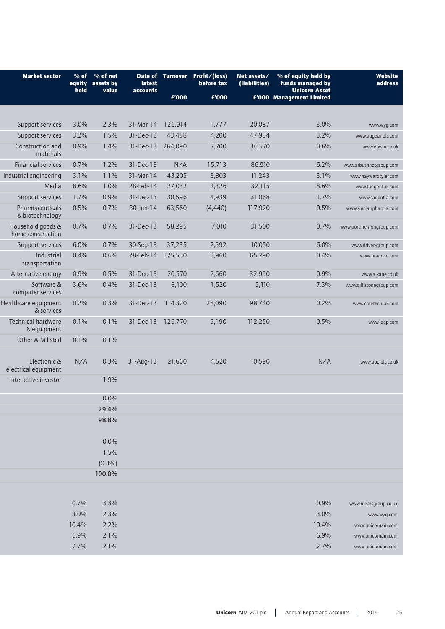| Website<br>address       | % of equity held by<br>funds managed by<br><b>Unicorn Asset</b> | Net assets/<br>(liabilities) | Date of Turnover Profit/(loss)<br>before tax |          | latest<br>accounts | % of % of net<br>equity assets by<br>value | held    | <b>Market sector</b>                   |
|--------------------------|-----------------------------------------------------------------|------------------------------|----------------------------------------------|----------|--------------------|--------------------------------------------|---------|----------------------------------------|
|                          | £'000 Management Limited                                        |                              | £'000                                        | $E'$ 000 |                    |                                            |         |                                        |
|                          |                                                                 |                              |                                              |          |                    |                                            |         |                                        |
| www.wyg.com              | $3.0\%$                                                         | 20,087                       | 1,777                                        |          | 31-Mar-14 126,914  | 2.3%                                       | 3.0%    | Support services                       |
| www.augeanplc.com        | 3.2%                                                            | 47,954                       | 4,200                                        | 43,488   | 31-Dec-13          | 1.5%                                       | 3.2%    | Support services                       |
| www.epwin.co.uk          | 8.6%                                                            | 36,570                       | 7,700                                        |          | 31-Dec-13 264,090  | 1.4%                                       | 0.9%    | Construction and<br>materials          |
| www.arbuthnotgroup.com   | 6.2%                                                            | 86,910                       | 15,713                                       | N/A      | 31-Dec-13          | $1.2\%$                                    | 0.7%    | Financial services                     |
| www.haywardtyler.com     | 3.1%                                                            | 11,243                       | 3,803                                        | 43,205   | 31-Mar-14          | $1.1\%$                                    | 3.1%    | Industrial engineering                 |
| www.tangentuk.com        | 8.6%                                                            | 32,115                       | 2,326                                        | 27,032   | 28-Feb-14          | $1.0\%$                                    | 8.6%    | Media                                  |
| www.sagentia.com         | 1.7%                                                            | 31,068                       | 4,939                                        | 30,596   | 31-Dec-13          | 0.9%                                       | 1.7%    | Support services                       |
| www.sinclairpharma.com   | 0.5%                                                            | 117,920                      | (4, 440)                                     | 63,560   | 30-Jun-14          | 0.7%                                       | 0.5%    | Pharmaceuticals<br>& biotechnology     |
| www.portmeiriongroup.com | $0.7\%$                                                         | 31,500                       | 7,010                                        | 58,295   | 31-Dec-13          | $0.7\%$                                    | 0.7%    | Household goods &<br>home construction |
| www.driver-group.com     | 6.0%                                                            | 10,050                       | 2,592                                        | 37,235   | 30-Sep-13          | 0.7%                                       | 6.0%    | Support services                       |
| www.braemar.com          | 0.4%                                                            | 65,290                       | 8,960                                        |          | 28-Feb-14 125,530  | 0.6%                                       | 0.4%    | Industrial<br>transportation           |
| www.alkane.co.uk         | $0.9\%$                                                         | 32,990                       | 2,660                                        | 20,570   | 31-Dec-13          | 0.5%                                       | 0.9%    | Alternative energy                     |
| www.dillistonegroup.com  | 7.3%                                                            | 5,110                        | 1,520                                        | 8,100    | 31-Dec-13          | $0.4\%$                                    | 3.6%    | Software &<br>computer services        |
| www.caretech-uk.com      | 0.2%                                                            | 98,740                       | 28,090                                       |          | 31-Dec-13 114,320  | $0.3\%$                                    | $0.2\%$ | Healthcare equipment<br>& services     |
| www.iqep.com             | 0.5%                                                            | 112,250                      | 5,190                                        |          | 31-Dec-13 126,770  | $0.1\%$                                    | $0.1\%$ | Technical hardware<br>& equipment      |
|                          |                                                                 |                              |                                              |          |                    | 0.1%                                       | $0.1\%$ | Other AIM listed                       |
| www.apc-plc.co.uk        | N/A                                                             | 10,590                       | 4,520                                        |          | 31-Aug-13 21,660   | $0.3\%$                                    | N/A     | Electronic &<br>electrical equipment   |
|                          |                                                                 |                              |                                              |          |                    | 1.9%                                       |         | Interactive investor                   |
|                          |                                                                 |                              |                                              |          |                    |                                            |         |                                        |
|                          |                                                                 |                              |                                              |          |                    | $0.0\%$                                    |         |                                        |
|                          |                                                                 |                              |                                              |          |                    | 29.4%<br>98.8%                             |         |                                        |
|                          |                                                                 |                              |                                              |          |                    |                                            |         |                                        |
|                          |                                                                 |                              |                                              |          |                    | $0.0\%$                                    |         |                                        |
|                          |                                                                 |                              |                                              |          |                    | 1.5%                                       |         |                                        |
|                          |                                                                 |                              |                                              |          |                    | $(0.3\%)$                                  |         |                                        |
|                          |                                                                 |                              |                                              |          |                    | 100.0%                                     |         |                                        |
|                          |                                                                 |                              |                                              |          |                    |                                            |         |                                        |
| www.mearsgroup.co.uk     | 0.9%                                                            |                              |                                              |          |                    | 3.3%                                       | 0.7%    |                                        |
| www.wyg.com              | $3.0\%$                                                         |                              |                                              |          |                    | 2.3%                                       | 3.0%    |                                        |
| www.unicornam.com        | 10.4%                                                           |                              |                                              |          |                    | $2.2\%$                                    | 10.4%   |                                        |
| www.unicornam.com        | 6.9%                                                            |                              |                                              |          |                    | $2.1\%$                                    | 6.9%    |                                        |
| www.unicornam.com        | 2.7%                                                            |                              |                                              |          |                    | $2.1\%$                                    | 2.7%    |                                        |
|                          |                                                                 |                              |                                              |          |                    |                                            |         |                                        |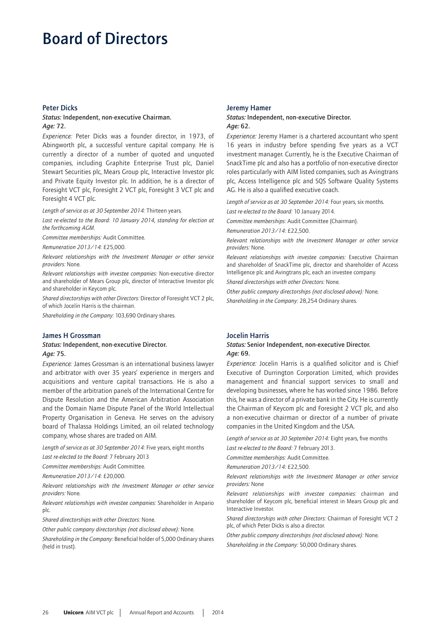### Board of Directors

#### Peter Dicks

#### *Status:* Independent, non-executive Chairman. *Age:* 72.

*Experience:* Peter Dicks was a founder director, in 1973, of Abingworth plc, a successful venture capital company. He is currently a director of a number of quoted and unquoted companies, including Graphite Enterprise Trust plc, Daniel Stewart Securities plc, Mears Group plc, Interactive Investor plc and Private Equity Investor plc. In addition, he is a director of Foresight VCT plc, Foresight 2 VCT plc, Foresight 3 VCT plc and Foresight 4 VCT plc.

*Length of service as at 30 September 2014:* Thirteen years.

*Last re-elected to the Board: 10 January 2014, standing for election at the forthcoming AGM.*

*Committee memberships:* Audit Committee.

*Remuneration 2013/14:* £25,000.

*Relevant relationships with the Investment Manager or other service providers:* None.

*Relevant relationships with investee companies:* Non-executive director and shareholder of Mears Group plc, director of Interactive Investor plc and shareholder in Keycom plc.

*Shared directorships with other Directors:* Director of Foresight VCT 2 plc, of which Jocelin Harris is the chairman.

*Shareholding in the Company:* 103,690 Ordinary shares.

#### James H Grossman

#### *Status:* Independent, non-executive Director. *Age:* 75.

*Experience:* James Grossman is an international business lawyer and arbitrator with over 35 years' experience in mergers and acquisitions and venture capital transactions. He is also a member of the arbitration panels of the International Centre for Dispute Resolution and the American Arbitration Association and the Domain Name Dispute Panel of the World Intellectual Property Organisation in Geneva. He serves on the advisory board of Thalassa Holdings Limited, an oil related technology company, whose shares are traded on AIM.

*Length of service as at 30 September 2014:* Five years, eight months

*Last re-elected to the Board:* 7 February 2013

*Committee memberships:* Audit Committee.

*Remuneration 2013/14:* £20,000.

*Relevant relationships with the Investment Manager or other service providers:* None.

*Relevant relationships with investee companies:* Shareholder in Anpario plc.

*Shared directorships with other Directors:* None.

*Other public company directorships (not disclosed above):* None.

*Shareholding in the Company:* Beneficial holder of 5,000 Ordinary shares (held in trust).

#### Jeremy Hamer

#### *Status:* Independent, non-executive Director. *Age:* 62.

*Experience:* Jeremy Hamer is a chartered accountant who spent 16 years in industry before spending five years as a VCT investment manager. Currently, he is the Executive Chairman of SnackTime plc and also has a portfolio of non-executive director roles particularly with AIM listed companies, such as Avingtrans plc, Access Intelligence plc and SQS Software Quality Systems AG. He is also a qualified executive coach.

*Length of service as at 30 September 2014:* Four years, six months.

*Last re-elected to the Board:* 10 January 2014.

*Committee memberships:* Audit Committee (Chairman).

*Remuneration 2013/14:* £22,500.

*Relevant relationships with the Investment Manager or other service providers:* None.

*Relevant relationships with investee companies:* Executive Chairman and shareholder of SnackTime plc, director and shareholder of Access Intelligence plc and Avingtrans plc, each an investee company.

*Shared directorships with other Directors:* None.

*Other public company directorships (not disclosed above):* None. *Shareholding in the Company:* 28,254 Ordinary shares.

#### Jocelin Harris

#### *Status:* Senior Independent, non-executive Director. *Age:* 69.

*Experience:* Jocelin Harris is a qualified solicitor and is Chief Executive of Durrington Corporation Limited, which provides management and financial support services to small and developing businesses, where he has worked since 1986. Before this, he was a director of a private bank in the City. He is currently the Chairman of Keycom plc and Foresight 2 VCT plc, and also a non-executive chairman or director of a number of private companies in the United Kingdom and the USA.

*Length of service as at 30 September 2014:* Eight years, five months

*Last re-elected to the Board:* 7 February 2013.

*Committee memberships:* Audit Committee.

*Remuneration 2013/14:* £22,500.

*Relevant relationships with the Investment Manager or other service providers:* None

*Relevant relationships with investee companies:* chairman and shareholder of Keycom plc, beneficial interest in Mears Group plc and Interactive Investor.

*Shared directorships with other Directors:* Chairman of Foresight VCT 2 plc, of which Peter Dicks is also a director.

*Other public company directorships (not disclosed above):* None. *Shareholding in the Company:* 50,000 Ordinary shares.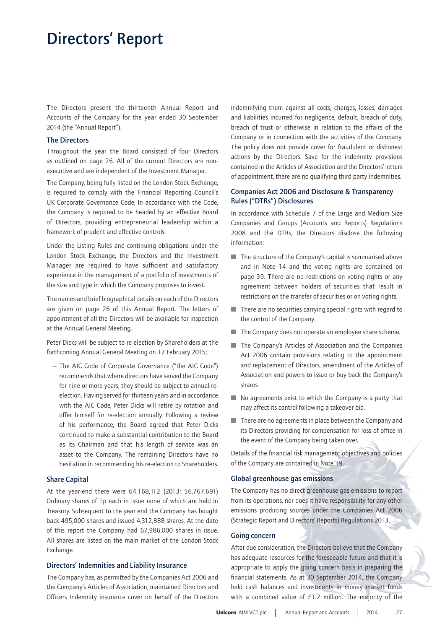### Directors' Report

The Directors present the thirteenth Annual Report and Accounts of the Company for the year ended 30 September 2014 (the "Annual Report").

#### The Directors

Throughout the year the Board consisted of four Directors as outlined on page 26. All of the current Directors are nonexecutive and are independent of the Investment Manager.

The Company, being fully listed on the London Stock Exchange, is required to comply with the Financial Reporting Council's UK Corporate Governance Code. In accordance with the Code, the Company is required to be headed by an effective Board of Directors, providing entrepreneurial leadership within a framework of prudent and effective controls.

Under the Listing Rules and continuing obligations under the London Stock Exchange, the Directors and the Investment Manager are required to have sufficient and satisfactory experience in the management of a portfolio of investments of the size and type in which the Company proposes to invest.

The names and brief biographical details on each of the Directors are given on page 26 of this Annual Report. The letters of appointment of all the Directors will be available for inspection at the Annual General Meeting.

Peter Dicks will be subject to re-election by Shareholders at the forthcoming Annual General Meeting on 12 February 2015;

– The AIC Code of Corporate Governance ("the AIC Code") recommends that where directors have served the Company for nine or more years, they should be subject to annual reelection. Having served for thirteen years and in accordance with the AIC Code, Peter Dicks will retire by rotation and offer himself for re-election annually. Following a review of his performance, the Board agreed that Peter Dicks continued to make a substantial contribution to the Board as its Chairman and that his length of service was an asset to the Company. The remaining Directors have no hesitation in recommending his re-election to Shareholders.

#### Share Capital

At the year-end there were 64,168,112 (2013: 56,767,691) Ordinary shares of 1p each in issue none of which are held in Treasury. Subsequent to the year end the Company has bought back 495,000 shares and issued 4,312,888 shares. At the date of this report the Company had 67,986,000 shares in issue. All shares are listed on the main market of the London Stock Exchange.

#### Directors' Indemnities and Liability Insurance

The Company has, as permitted by the Companies Act 2006 and the Company's Articles of Association, maintained Directors and Officers Indemnity insurance cover on behalf of the Directors indemnifying them against all costs, charges, losses, damages and liabilities incurred for negligence, default, breach of duty, breach of trust or otherwise in relation to the affairs of the Company or in connection with the activities of the Company. The policy does not provide cover for fraudulent or dishonest actions by the Directors. Save for the indemnity provisions contained in the Articles of Association and the Directors' letters of appointment, there are no qualifying third party indemnities.

#### Companies Act 2006 and Disclosure & Transparency Rules ("DTRs") Disclosures

In accordance with Schedule 7 of the Large and Medium Size Companies and Groups (Accounts and Reports) Regulations 2008 and the DTRs, the Directors disclose the following information:

- $\blacksquare$  The structure of the Company's capital is summarised above and in Note 14 and the voting rights are contained on page 39. There are no restrictions on voting rights or any agreement between holders of securities that result in restrictions on the transfer of securities or on voting rights.
- $\blacksquare$  There are no securities carrying special rights with regard to the control of the Company.
- $\blacksquare$  The Company does not operate an employee share scheme.
- $\blacksquare$  The Company's Articles of Association and the Companies Act 2006 contain provisions relating to the appointment and replacement of Directors, amendment of the Articles of Association and powers to issue or buy back the Company's shares.
- $\blacksquare$  No agreements exist to which the Company is a party that may affect its control following a takeover bid.
- $\blacksquare$  There are no agreements in place between the Company and its Directors providing for compensation for loss of office in the event of the Company being taken over.

Details of the financial risk management objectives and policies of the Company are contained in Note 19.

#### Global greenhouse gas emissions

The Company has no direct greenhouse gas emissions to report from its operations, nor does it have responsibility for any other emissions producing sources under the Companies Act 2006 (Strategic Report and Directors' Reports) Regulations 2013.

#### Going concern

After due consideration, the Directors believe that the Company has adequate resources for the foreseeable future and that it is appropriate to apply the going concern basis in preparing the financial statements. As at 30 September 2014, the Company held cash balances and investments in money market funds with a combined value of £1.2 million. The majority of the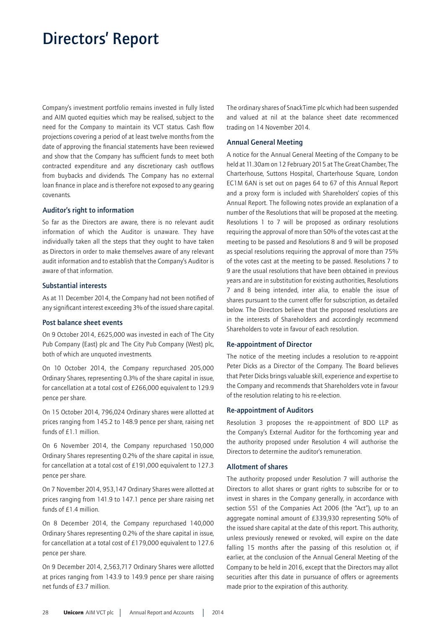# Directors' Report

Company's investment portfolio remains invested in fully listed and AIM quoted equities which may be realised, subject to the need for the Company to maintain its VCT status. Cash flow projections covering a period of at least twelve months from the date of approving the financial statements have been reviewed and show that the Company has sufficient funds to meet both contracted expenditure and any discretionary cash outflows from buybacks and dividends. The Company has no external loan finance in place and is therefore not exposed to any gearing covenants.

#### Auditor's right to information

So far as the Directors are aware, there is no relevant audit information of which the Auditor is unaware. They have individually taken all the steps that they ought to have taken as Directors in order to make themselves aware of any relevant audit information and to establish that the Company's Auditor is aware of that information.

#### Substantial interests

As at 11 December 2014, the Company had not been notified of any significant interest exceeding 3% of the issued share capital.

#### Post balance sheet events

On 9 October 2014, £625,000 was invested in each of The City Pub Company (East) plc and The City Pub Company (West) plc, both of which are unquoted investments.

On 10 October 2014, the Company repurchased 205,000 Ordinary Shares, representing 0.3% of the share capital in issue, for cancellation at a total cost of £266,000 equivalent to 129.9 pence per share.

On 15 October 2014, 796,024 Ordinary shares were allotted at prices ranging from 145.2 to 148.9 pence per share, raising net funds of £1.1 million.

On 6 November 2014, the Company repurchased 150,000 Ordinary Shares representing 0.2% of the share capital in issue, for cancellation at a total cost of £191,000 equivalent to 127.3 pence per share.

On 7 November 2014, 953,147 Ordinary Shares were allotted at prices ranging from 141.9 to 147.1 pence per share raising net funds of £1.4 million.

On 8 December 2014, the Company repurchased 140,000 Ordinary Shares representing 0.2% of the share capital in issue, for cancellation at a total cost of £179,000 equivalent to 127.6 pence per share.

On 9 December 2014, 2,563,717 Ordinary Shares were allotted at prices ranging from 143.9 to 149.9 pence per share raising net funds of £3.7 million.

The ordinary shares of SnackTime plc which had been suspended and valued at nil at the balance sheet date recommenced trading on 14 November 2014.

#### Annual General Meeting

A notice for the Annual General Meeting of the Company to be held at 11.30am on 12 February 2015 at The Great Chamber, The Charterhouse, Suttons Hospital, Charterhouse Square, London EC1M 6AN is set out on pages 64 to 67 of this Annual Report and a proxy form is included with Shareholders' copies of this Annual Report. The following notes provide an explanation of a number of the Resolutions that will be proposed at the meeting. Resolutions 1 to 7 will be proposed as ordinary resolutions requiring the approval of more than 50% of the votes cast at the meeting to be passed and Resolutions 8 and 9 will be proposed as special resolutions requiring the approval of more than 75% of the votes cast at the meeting to be passed. Resolutions 7 to 9 are the usual resolutions that have been obtained in previous years and are in substitution for existing authorities, Resolutions 7 and 8 being intended, inter alia, to enable the issue of shares pursuant to the current offer for subscription, as detailed below. The Directors believe that the proposed resolutions are in the interests of Shareholders and accordingly recommend Shareholders to vote in favour of each resolution.

#### Re-appointment of Director

The notice of the meeting includes a resolution to re-appoint Peter Dicks as a Director of the Company. The Board believes that Peter Dicks brings valuable skill, experience and expertise to the Company and recommends that Shareholders vote in favour of the resolution relating to his re-election.

#### Re-appointment of Auditors

Resolution 3 proposes the re-appointment of BDO LLP as the Company's External Auditor for the forthcoming year and the authority proposed under Resolution 4 will authorise the Directors to determine the auditor's remuneration.

#### Allotment of shares

The authority proposed under Resolution 7 will authorise the Directors to allot shares or grant rights to subscribe for or to invest in shares in the Company generally, in accordance with section 551 of the Companies Act 2006 (the "Act"), up to an aggregate nominal amount of £339,930 representing 50% of the issued share capital at the date of this report. This authority, unless previously renewed or revoked, will expire on the date falling 15 months after the passing of this resolution or, if earlier, at the conclusion of the Annual General Meeting of the Company to be held in 2016, except that the Directors may allot securities after this date in pursuance of offers or agreements made prior to the expiration of this authority.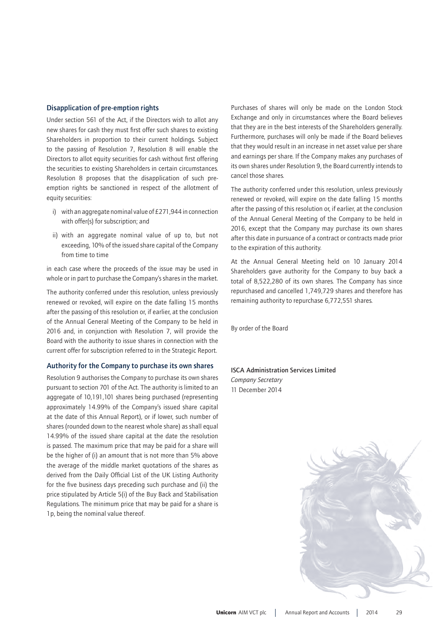#### Disapplication of pre-emption rights

Under section 561 of the Act, if the Directors wish to allot any new shares for cash they must first offer such shares to existing Shareholders in proportion to their current holdings. Subject to the passing of Resolution 7, Resolution 8 will enable the Directors to allot equity securities for cash without first offering the securities to existing Shareholders in certain circumstances. Resolution 8 proposes that the disapplication of such preemption rights be sanctioned in respect of the allotment of equity securities:

- i) with an aggregate nominal value of £271,944 in connection with offer(s) for subscription; and
- ii) with an aggregate nominal value of up to, but not exceeding, 10% of the issued share capital of the Company from time to time

in each case where the proceeds of the issue may be used in whole or in part to purchase the Company's shares in the market.

The authority conferred under this resolution, unless previously renewed or revoked, will expire on the date falling 15 months after the passing of this resolution or, if earlier, at the conclusion of the Annual General Meeting of the Company to be held in 2016 and, in conjunction with Resolution 7, will provide the Board with the authority to issue shares in connection with the current offer for subscription referred to in the Strategic Report.

#### Authority for the Company to purchase its own shares

Resolution 9 authorises the Company to purchase its own shares pursuant to section 701 of the Act. The authority is limited to an aggregate of 10,191,101 shares being purchased (representing approximately 14.99% of the Company's issued share capital at the date of this Annual Report), or if lower, such number of shares (rounded down to the nearest whole share) as shall equal 14.99% of the issued share capital at the date the resolution is passed. The maximum price that may be paid for a share will be the higher of (i) an amount that is not more than 5% above the average of the middle market quotations of the shares as derived from the Daily Official List of the UK Listing Authority for the five business days preceding such purchase and (ii) the price stipulated by Article 5(i) of the Buy Back and Stabilisation Regulations. The minimum price that may be paid for a share is 1p, being the nominal value thereof.

Purchases of shares will only be made on the London Stock Exchange and only in circumstances where the Board believes that they are in the best interests of the Shareholders generally. Furthermore, purchases will only be made if the Board believes that they would result in an increase in net asset value per share and earnings per share. If the Company makes any purchases of its own shares under Resolution 9, the Board currently intends to cancel those shares.

The authority conferred under this resolution, unless previously renewed or revoked, will expire on the date falling 15 months after the passing of this resolution or, if earlier, at the conclusion of the Annual General Meeting of the Company to be held in 2016, except that the Company may purchase its own shares after this date in pursuance of a contract or contracts made prior to the expiration of this authority.

At the Annual General Meeting held on 10 January 2014 Shareholders gave authority for the Company to buy back a total of 8,522,280 of its own shares. The Company has since repurchased and cancelled 1,749,729 shares and therefore has remaining authority to repurchase 6,772,551 shares.

By order of the Board

### ISCA Administration Services Limited

*Company Secretary* 11 December 2014

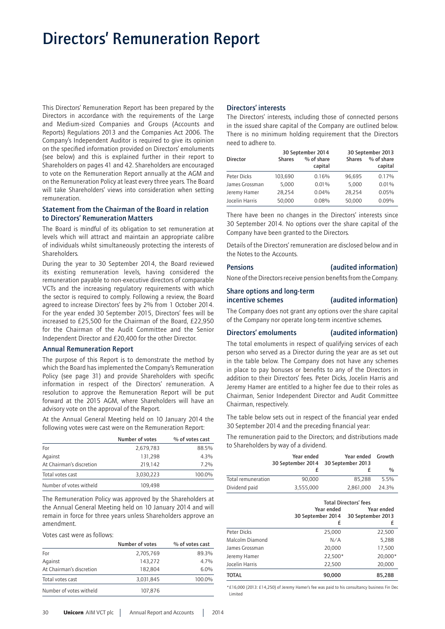# Directors' Remuneration Report

This Directors' Remuneration Report has been prepared by the Directors in accordance with the requirements of the Large and Medium-sized Companies and Groups (Accounts and Reports) Regulations 2013 and the Companies Act 2006. The Company's Independent Auditor is required to give its opinion on the specified information provided on Directors' emoluments (see below) and this is explained further in their report to Shareholders on pages 41 and 42. Shareholders are encouraged to vote on the Remuneration Report annually at the AGM and on the Remuneration Policy at least every three years. The Board will take Shareholders' views into consideration when setting remuneration.

#### Statement from the Chairman of the Board in relation to Directors' Remuneration Matters

The Board is mindful of its obligation to set remuneration at levels which will attract and maintain an appropriate calibre of individuals whilst simultaneously protecting the interests of Shareholders.

During the year to 30 September 2014, the Board reviewed its existing remuneration levels, having considered the remuneration payable to non-executive directors of comparable VCTs and the increasing regulatory requirements with which the sector is required to comply. Following a review, the Board agreed to increase Directors' fees by 2% from 1 October 2014. For the year ended 30 September 2015, Directors' fees will be increased to £25,500 for the Chairman of the Board, £22,950 for the Chairman of the Audit Committee and the Senior Independent Director and £20,400 for the other Director.

#### Annual Remuneration Report

The purpose of this Report is to demonstrate the method by which the Board has implemented the Company's Remuneration Policy (see page 31) and provide Shareholders with specific information in respect of the Directors' remuneration. A resolution to approve the Remuneration Report will be put forward at the 2015 AGM, where Shareholders will have an advisory vote on the approval of the Report.

At the Annual General Meeting held on 10 January 2014 the following votes were cast were on the Remuneration Report:

|                          | Number of votes | % of votes cast |
|--------------------------|-----------------|-----------------|
| For                      | 2,679,783       | 88.5%           |
| Against                  | 131,298         | $4.3\%$         |
| At Chairman's discretion | 219,142         | $7.2\%$         |
| Total votes cast         | 3,030,223       | 100.0%          |
| Number of votes witheld  | 109,498         |                 |

The Remuneration Policy was approved by the Shareholders at the Annual General Meeting held on 10 January 2014 and will remain in force for three years unless Shareholders approve an amendment.

Votes cast were as follows:

| Number of votes | % of votes cast |
|-----------------|-----------------|
| 2,705,769       | 89.3%           |
| 143.272         | $4.7\%$         |
| 182,804         | $6.0\%$         |
| 3,031,845       | 100.0%          |
| 107,876         |                 |
|                 |                 |

### Directors' interests

The Directors' interests, including those of connected persons in the issued share capital of the Company are outlined below. There is no minimum holding requirement that the Directors need to adhere to.

|                    |               | 30 September 2014     | 30 September 2013 |                       |  |
|--------------------|---------------|-----------------------|-------------------|-----------------------|--|
| <b>Director</b>    | <b>Shares</b> | % of share<br>capital | <b>Shares</b>     | % of share<br>capital |  |
| <b>Peter Dicks</b> | 103.690       | 0.16%                 | 96.695            | 0.17%                 |  |
| James Grossman     | 5.000         | $0.01\%$              | 5.000             | $0.01\%$              |  |
| Jeremy Hamer       | 28.254        | 0.04%                 | 28.254            | 0.05%                 |  |
| Jocelin Harris     | 50,000        | 0.08%                 | 50,000            | 0.09%                 |  |

There have been no changes in the Directors' interests since 30 September 2014. No options over the share capital of the Company have been granted to the Directors.

Details of the Directors' remuneration are disclosed below and in the Notes to the Accounts.

#### Pensions (audited information)

None of the Directors receive pension benefits from the Company.

### Share options and long-term

#### incentive schemes (audited information)

The Company does not grant any options over the share capital of the Company nor operate long-term incentive schemes.

#### Directors' emoluments (audited information)

The total emoluments in respect of qualifying services of each person who served as a Director during the year are as set out in the table below. The Company does not have any schemes in place to pay bonuses or benefits to any of the Directors in addition to their Directors' fees. Peter Dicks, Jocelin Harris and Jeremy Hamer are entitled to a higher fee due to their roles as Chairman, Senior Independent Director and Audit Committee Chairman, respectively.

The table below sets out in respect of the financial year ended 30 September 2014 and the preceding financial year:

The remuneration paid to the Directors; and distributions made to Shareholders by way of a dividend.

|                    | Year ended<br>30 September 2014 30 September 2013 | Year ended Growth |       |
|--------------------|---------------------------------------------------|-------------------|-------|
|                    |                                                   |                   | 0/0   |
| Total remuneration | 90.000                                            | 85.288            | 5.5%  |
| Dividend paid      | 3.555.000                                         | 2.861.000         | 24.3% |

|                 | <b>Total Directors' fees</b> |                        |  |  |  |
|-----------------|------------------------------|------------------------|--|--|--|
|                 | Year ended                   | Year ended             |  |  |  |
|                 | 30 September 2014<br>£       | 30 September 2013<br>£ |  |  |  |
| Peter Dicks     | 25,000                       | 22,500                 |  |  |  |
| Malcolm Diamond | N/A                          | 5,288                  |  |  |  |
| James Grossman  | 20,000                       | 17,500                 |  |  |  |
| Jeremy Hamer    | 22,500*                      | 20,000*                |  |  |  |
| Jocelin Harris  | 22,500                       | 20,000                 |  |  |  |
| <b>TOTAL</b>    | 90,000                       | 85,288                 |  |  |  |

\*£16,000 (2013: £14,250) of Jeremy Hamer's fee was paid to his consultancy business Fin Dec Limited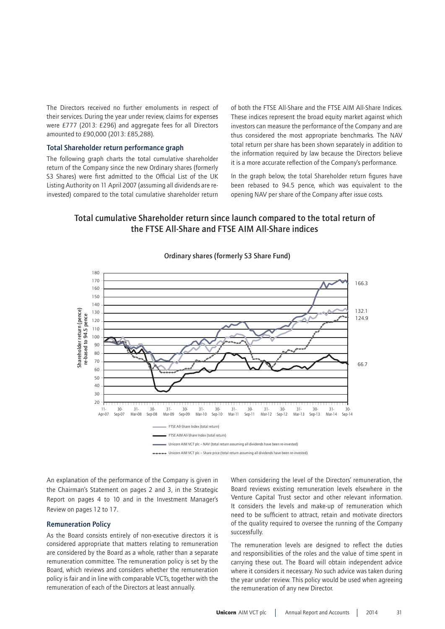The Directors received no further emoluments in respect of their services. During the year under review, claims for expenses were £777 (2013: £296) and aggregate fees for all Directors amounted to £90,000 (2013: £85,288).

#### Total Shareholder return performance graph

The following graph charts the total cumulative shareholder return of the Company since the new Ordinary shares (formerly S3 Shares) were first admitted to the Official List of the UK Listing Authority on 11 April 2007 (assuming all dividends are reinvested) compared to the total cumulative shareholder return

of both the FTSE All-Share and the FTSE AIM All-Share Indices. These indices represent the broad equity market against which investors can measure the performance of the Company and are thus considered the most appropriate benchmarks. The NAV total return per share has been shown separately in addition to the information required by law because the Directors believe it is a more accurate reflection of the Company's performance.

In the graph below, the total Shareholder return figures have been rebased to 94.5 pence, which was equivalent to the opening NAV per share of the Company after issue costs.

### Total cumulative Shareholder return since launch compared to the total return of the FTSE All-Share and FTSE AIM All-Share indices



#### Ordinary shares (formerly S3 Share Fund)

An explanation of the performance of the Company is given in the Chairman's Statement on pages 2 and 3, in the Strategic Report on pages 4 to 10 and in the Investment Manager's Review on pages 12 to 17.

#### Remuneration Policy

As the Board consists entirely of non-executive directors it is considered appropriate that matters relating to remuneration are considered by the Board as a whole, rather than a separate remuneration committee. The remuneration policy is set by the Board, which reviews and considers whether the remuneration policy is fair and in line with comparable VCTs, together with the remuneration of each of the Directors at least annually.

When considering the level of the Directors' remuneration, the Board reviews existing remuneration levels elsewhere in the Venture Capital Trust sector and other relevant information. It considers the levels and make-up of remuneration which need to be sufficient to attract, retain and motivate directors of the quality required to oversee the running of the Company successfully.

The remuneration levels are designed to reflect the duties and responsibilities of the roles and the value of time spent in carrying these out. The Board will obtain independent advice where it considers it necessary. No such advice was taken during the year under review. This policy would be used when agreeing the remuneration of any new Director.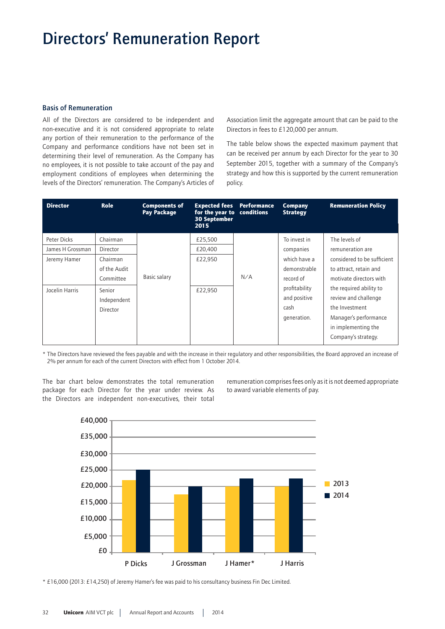# Directors' Remuneration Report

#### Basis of Remuneration

All of the Directors are considered to be independent and non-executive and it is not considered appropriate to relate any portion of their remuneration to the performance of the Company and performance conditions have not been set in determining their level of remuneration. As the Company has no employees, it is not possible to take account of the pay and employment conditions of employees when determining the levels of the Directors' remuneration. The Company's Articles of Association limit the aggregate amount that can be paid to the Directors in fees to £120,000 per annum.

The table below shows the expected maximum payment that can be received per annum by each Director for the year to 30 September 2015, together with a summary of the Company's strategy and how this is supported by the current remuneration policy.

| <b>Director</b>                 | <b>Role</b>                           | <b>Components of</b><br>Pay Package | <b>Expected fees</b><br>for the year to conditions<br><b>30 September</b><br>2015 | Performance | <b>Company</b><br><b>Strategy</b>                    | <b>Remuneration Policy</b>                                                                                                               |
|---------------------------------|---------------------------------------|-------------------------------------|-----------------------------------------------------------------------------------|-------------|------------------------------------------------------|------------------------------------------------------------------------------------------------------------------------------------------|
| Peter Dicks<br>James H Grossman | Chairman<br>Director                  |                                     | £25,500<br>£20,400                                                                |             | To invest in<br>companies                            | The levels of<br>remuneration are                                                                                                        |
| Jeremy Hamer                    | Chairman<br>of the Audit<br>Committee | Basic salary                        | £22,950                                                                           | N/A         | which have a<br>demonstrable<br>record of            | considered to be sufficient.<br>to attract, retain and<br>motivate directors with                                                        |
| Jocelin Harris                  | Senior<br>Independent<br>Director     |                                     | £22,950                                                                           |             | profitability<br>and positive<br>cash<br>generation. | the required ability to<br>review and challenge<br>the Investment<br>Manager's performance<br>in implementing the<br>Company's strategy. |

\* The Directors have reviewed the fees payable and with the increase in their regulatory and other responsibilities, the Board approved an increase of 2% per annum for each of the current Directors with effect from 1 October 2014.

The bar chart below demonstrates the total remuneration package for each Director for the year under review. As the Directors are independent non-executives, their total

remuneration comprises fees only as it is not deemed appropriate to award variable elements of pay.



\* £16,000 (2013: £14,250) of Jeremy Hamer's fee was paid to his consultancy business Fin Dec Limited.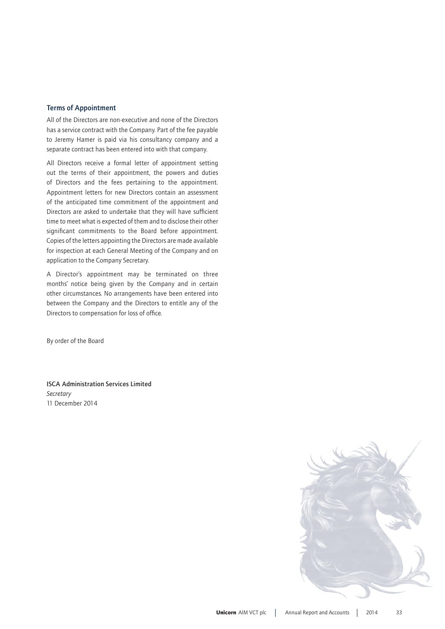#### Terms of Appointment

All of the Directors are non-executive and none of the Directors has a service contract with the Company. Part of the fee payable to Jeremy Hamer is paid via his consultancy company and a separate contract has been entered into with that company.

All Directors receive a formal letter of appointment setting out the terms of their appointment, the powers and duties of Directors and the fees pertaining to the appointment. Appointment letters for new Directors contain an assessment of the anticipated time commitment of the appointment and Directors are asked to undertake that they will have sufficient time to meet what is expected of them and to disclose their other significant commitments to the Board before appointment. Copies of the letters appointing the Directors are made available for inspection at each General Meeting of the Company and on application to the Company Secretary.

A Director's appointment may be terminated on three months' notice being given by the Company and in certain other circumstances. No arrangements have been entered into between the Company and the Directors to entitle any of the Directors to compensation for loss of office.

By order of the Board

ISCA Administration Services Limited *Secretary* 11 December 2014

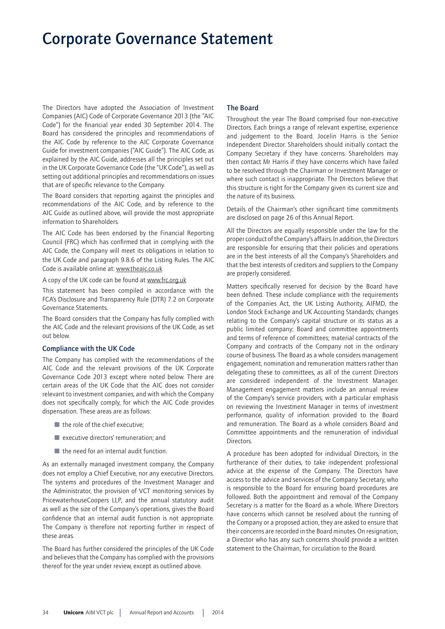### Corporate Governance Statement

The Directors have adopted the Association of Investment Companies (AIC) Code of Corporate Governance 2013 (the "AIC Code") for the financial year ended 30 September 2014. The Board has considered the principles and recommendations of the AIC Code by reference to the AIC Corporate Governance Guide for investment companies ("AIC Guide"). The AIC Code, as explained by the AIC Guide, addresses all the principles set out in the UK Corporate Governance Code (the "UK Code"), as well as setting out additional principles and recommendations on issues that are of specific relevance to the Company.

The Board considers that reporting against the principles and recommendations of the AIC Code, and by reference to the AIC Guide as outlined above, will provide the most appropriate information to Shareholders.

The AIC Code has been endorsed by the Financial Reporting Council (FRC) which has confirmed that in complying with the AIC Code, the Company will meet its obligations in relation to the UK Code and paragraph 9.8.6 of the Listing Rules. The AIC Code is available online at: www.theaic.co.uk

A copy of the UK code can be found at www.frc.org.uk

This statement has been compiled in accordance with the FCA's Disclosure and Transparency Rule (DTR) 7.2 on Corporate Governance Statements.

The Board considers that the Company has fully complied with the AIC Code and the relevant provisions of the UK Code, as set out below.

#### Compliance with the UK Code

The Company has complied with the recommendations of the AIC Code and the relevant provisions of the UK Corporate Governance Code 2013 except where noted below. There are certain areas of the UK Code that the AIC does not consider relevant to investment companies, and with which the Company does not specifically comply, for which the AIC Code provides dispensation. These areas are as follows:

- $\blacksquare$  the role of the chief executive;
- $\blacksquare$  executive directors' remuneration; and
- $\blacksquare$  the need for an internal audit function.

As an externally managed investment company, the Company does not employ a Chief Executive, nor any executive Directors. The systems and procedures of the Investment Manager and the Administrator, the provision of VCT monitoring services by PricewaterhouseCoopers LLP, and the annual statutory audit as well as the size of the Company's operations, gives the Board confidence that an internal audit function is not appropriate. The Company is therefore not reporting further in respect of these areas.

The Board has further considered the principles of the UK Code and believes that the Company has complied with the provisions thereof for the year under review, except as outlined above.

#### The Board

Throughout the year The Board comprised four non-executive Directors. Each brings a range of relevant expertise, experience and judgement to the Board. Jocelin Harris is the Senior Independent Director. Shareholders should initially contact the Company Secretary if they have concerns. Shareholders may then contact Mr Harris if they have concerns which have failed to be resolved through the Chairman or Investment Manager or where such contact is inappropriate. The Directors believe that this structure is right for the Company given its current size and the nature of its business.

Details of the Chairman's other significant time commitments are disclosed on page 26 of this Annual Report.

All the Directors are equally responsible under the law for the proper conduct of the Company's affairs. In addition, the Directors are responsible for ensuring that their policies and operations are in the best interests of all the Company's Shareholders and that the best interests of creditors and suppliers to the Company are properly considered.

Matters specifically reserved for decision by the Board have been defined. These include compliance with the requirements of the Companies Act, the UK Listing Authority, AIFMD, the London Stock Exchange and UK Accounting Standards; changes relating to the Company's capital structure or its status as a public limited company; Board and committee appointments and terms of reference of committees; material contracts of the Company and contracts of the Company not in the ordinary course of business. The Board as a whole considers management engagement, nomination and remuneration matters rather than delegating these to committees, as all of the current Directors are considered independent of the Investment Manager. Management engagement matters include an annual review of the Company's service providers, with a particular emphasis on reviewing the Investment Manager in terms of investment performance, quality of information provided to the Board and remuneration. The Board as a whole considers Board and Committee appointments and the remuneration of individual Directors.

A procedure has been adopted for individual Directors, in the furtherance of their duties, to take independent professional advice at the expense of the Company. The Directors have access to the advice and services of the Company Secretary, who is responsible to the Board for ensuring board procedures are followed. Both the appointment and removal of the Company Secretary is a matter for the Board as a whole. Where Directors have concerns which cannot be resolved about the running of the Company or a proposed action, they are asked to ensure that their concerns are recorded in the Board minutes. On resignation, a Director who has any such concerns should provide a written statement to the Chairman, for circulation to the Board.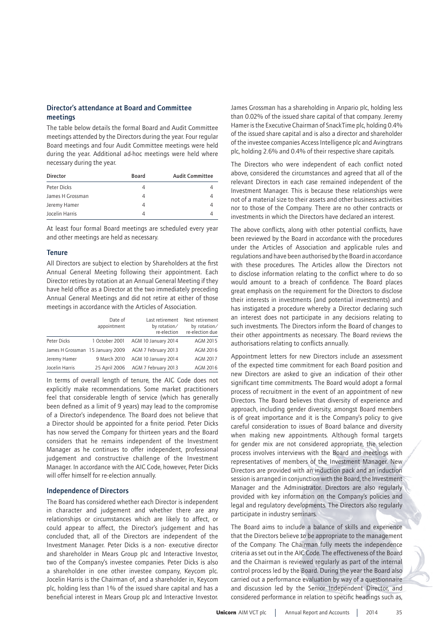#### Director's attendance at Board and Committee meetings

The table below details the formal Board and Audit Committee meetings attended by the Directors during the year. Four regular Board meetings and four Audit Committee meetings were held during the year. Additional ad-hoc meetings were held where necessary during the year.

| <b>Director</b>  | Board | <b>Audit Committee</b> |
|------------------|-------|------------------------|
| Peter Dicks      |       |                        |
| James H Grossman |       |                        |
| Jeremy Hamer     |       |                        |
| Jocelin Harris   |       |                        |

At least four formal Board meetings are scheduled every year and other meetings are held as necessary.

#### **Tenure**

All Directors are subject to election by Shareholders at the first Annual General Meeting following their appointment. Each Director retires by rotation at an Annual General Meeting if they have held office as a Director at the two immediately preceding Annual General Meetings and did not retire at either of those meetings in accordance with the Articles of Association.

|                                  | Date of<br>appointment | Last retirement<br>by rotation/<br>re-election | Next retirement<br>by rotation/<br>re-election due |
|----------------------------------|------------------------|------------------------------------------------|----------------------------------------------------|
| Peter Dicks                      | 1 October 2001         | AGM 10 January 2014                            | AGM 2015                                           |
| James H Grossman 15 January 2009 |                        | AGM 7 February 2013                            | AGM 2016                                           |
| Jeremy Hamer                     | 9 March 2010           | AGM 10 January 2014                            | AGM 2017                                           |
| Jocelin Harris                   | 25 April 2006          | AGM 7 February 2013                            | AGM 2016                                           |

In terms of overall length of tenure, the AIC Code does not explicitly make recommendations. Some market practitioners feel that considerable length of service (which has generally been defined as a limit of 9 years) may lead to the compromise of a Director's independence. The Board does not believe that a Director should be appointed for a finite period. Peter Dicks has now served the Company for thirteen years and the Board considers that he remains independent of the Investment Manager as he continues to offer independent, professional judgement and constructive challenge of the Investment Manager. In accordance with the AIC Code, however, Peter Dicks will offer himself for re-election annually.

#### Independence of Directors

The Board has considered whether each Director is independent in character and judgement and whether there are any relationships or circumstances which are likely to affect, or could appear to affect, the Director's judgement and has concluded that, all of the Directors are independent of the Investment Manager. Peter Dicks is a non- executive director and shareholder in Mears Group plc and Interactive Investor, two of the Company's investee companies. Peter Dicks is also a shareholder in one other investee company, Keycom plc. Jocelin Harris is the Chairman of, and a shareholder in, Keycom plc, holding less than 1% of the issued share capital and has a beneficial interest in Mears Group plc and Interactive Investor.

James Grossman has a shareholding in Anpario plc, holding less than 0.02% of the issued share capital of that company. Jeremy Hamer is the Executive Chairman of SnackTime plc, holding 0.4% of the issued share capital and is also a director and shareholder of the investee companies Access Intelligence plc and Avingtrans plc, holding 2.6% and 0.4% of their respective share capitals.

The Directors who were independent of each conflict noted above, considered the circumstances and agreed that all of the relevant Directors in each case remained independent of the Investment Manager. This is because these relationships were not of a material size to their assets and other business activities nor to those of the Company. There are no other contracts or investments in which the Directors have declared an interest.

The above conflicts, along with other potential conflicts, have been reviewed by the Board in accordance with the procedures under the Articles of Association and applicable rules and regulations and have been authorised by the Board in accordance with these procedures. The Articles allow the Directors not to disclose information relating to the conflict where to do so would amount to a breach of confidence. The Board places great emphasis on the requirement for the Directors to disclose their interests in investments (and potential investments) and has instigated a procedure whereby a Director declaring such an interest does not participate in any decisions relating to such investments. The Directors inform the Board of changes to their other appointments as necessary. The Board reviews the authorisations relating to conflicts annually.

Appointment letters for new Directors include an assessment of the expected time commitment for each Board position and new Directors are asked to give an indication of their other significant time commitments. The Board would adopt a formal process of recruitment in the event of an appointment of new Directors. The Board believes that diversity of experience and approach, including gender diversity, amongst Board members is of great importance and it is the Company's policy to give careful consideration to issues of Board balance and diversity when making new appointments. Although formal targets for gender mix are not considered appropriate, the selection process involves interviews with the Board and meetings with representatives of members of the Investment Manager. New Directors are provided with an induction pack and an induction session is arranged in conjunction with the Board, the Investment Manager and the Administrator. Directors are also regularly provided with key information on the Company's policies and legal and regulatory developments. The Directors also regularly participate in industry seminars.

The Board aims to include a balance of skills and experience that the Directors believe to be appropriate to the management of the Company. The Chairman fully meets the independence criteria as set out in the AIC Code. The effectiveness of the Board and the Chairman is reviewed regularly as part of the internal control process led by the Board. During the year the Board also carried out a performance evaluation by way of a questionnaire and discussion led by the Senior Independent Director, and considered performance in relation to specific headings such as,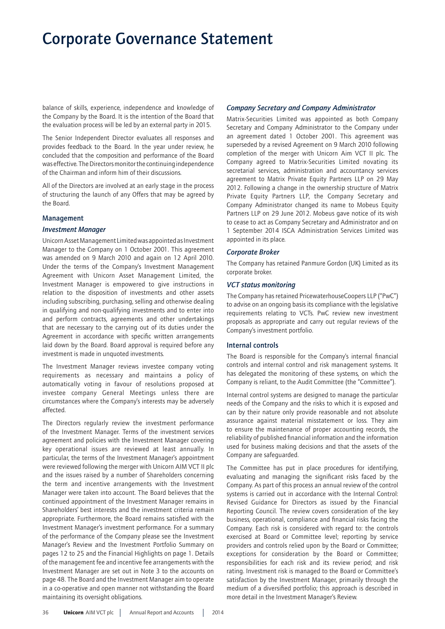### Corporate Governance Statement

balance of skills, experience, independence and knowledge of the Company by the Board. It is the intention of the Board that the evaluation process will be led by an external party in 2015.

The Senior Independent Director evaluates all responses and provides feedback to the Board. In the year under review, he concluded that the composition and performance of the Board was effective. The Directors monitor the continuing independence of the Chairman and inform him of their discussions.

All of the Directors are involved at an early stage in the process of structuring the launch of any Offers that may be agreed by the Board.

#### Management

#### *Investment Manager*

Unicorn Asset Management Limited was appointed as Investment Manager to the Company on 1 October 2001. This agreement was amended on 9 March 2010 and again on 12 April 2010. Under the terms of the Company's Investment Management Agreement with Unicorn Asset Management Limited, the Investment Manager is empowered to give instructions in relation to the disposition of investments and other assets including subscribing, purchasing, selling and otherwise dealing in qualifying and non-qualifying investments and to enter into and perform contracts, agreements and other undertakings that are necessary to the carrying out of its duties under the Agreement in accordance with specific written arrangements laid down by the Board. Board approval is required before any investment is made in unquoted investments.

The Investment Manager reviews investee company voting requirements as necessary and maintains a policy of automatically voting in favour of resolutions proposed at investee company General Meetings unless there are circumstances where the Company's interests may be adversely affected.

The Directors regularly review the investment performance of the Investment Manager. Terms of the investment services agreement and policies with the Investment Manager covering key operational issues are reviewed at least annually. In particular, the terms of the Investment Manager's appointment were reviewed following the merger with Unicorn AIM VCT II plc and the issues raised by a number of Shareholders concerning the term and incentive arrangements with the Investment Manager were taken into account. The Board believes that the continued appointment of the Investment Manager remains in Shareholders' best interests and the investment criteria remain appropriate. Furthermore, the Board remains satisfied with the Investment Manager's investment performance. For a summary of the performance of the Company please see the Investment Manager's Review and the Investment Portfolio Summary on pages 12 to 25 and the Financial Highlights on page 1. Details of the management fee and incentive fee arrangements with the Investment Manager are set out in Note 3 to the accounts on page 48. The Board and the Investment Manager aim to operate in a co-operative and open manner not withstanding the Board maintaining its oversight obligations.

#### *Company Secretary and Company Administrator*

Matrix-Securities Limited was appointed as both Company Secretary and Company Administrator to the Company under an agreement dated 1 October 2001. This agreement was superseded by a revised Agreement on 9 March 2010 following completion of the merger with Unicorn Aim VCT II plc. The Company agreed to Matrix-Securities Limited novating its secretarial services, administration and accountancy services agreement to Matrix Private Equity Partners LLP on 29 May 2012. Following a change in the ownership structure of Matrix Private Equity Partners LLP, the Company Secretary and Company Administrator changed its name to Mobeus Equity Partners LLP on 29 June 2012. Mobeus gave notice of its wish to cease to act as Company Secretary and Administrator and on 1 September 2014 ISCA Administration Services Limited was appointed in its place.

#### *Corporate Broker*

The Company has retained Panmure Gordon (UK) Limited as its corporate broker.

#### *VCT status monitoring*

The Company has retained PricewaterhouseCoopers LLP ("PwC") to advise on an ongoing basis its compliance with the legislative requirements relating to VCTs. PwC review new investment proposals as appropriate and carry out regular reviews of the Company's investment portfolio.

#### Internal controls

The Board is responsible for the Company's internal financial controls and internal control and risk management systems. It has delegated the monitoring of these systems, on which the Company is reliant, to the Audit Committee (the "Committee").

Internal control systems are designed to manage the particular needs of the Company and the risks to which it is exposed and can by their nature only provide reasonable and not absolute assurance against material misstatement or loss. They aim to ensure the maintenance of proper accounting records, the reliability of published financial information and the information used for business making decisions and that the assets of the Company are safeguarded.

The Committee has put in place procedures for identifying, evaluating and managing the significant risks faced by the Company. As part of this process an annual review of the control systems is carried out in accordance with the Internal Control: Revised Guidance for Directors as issued by the Financial Reporting Council. The review covers consideration of the key business, operational, compliance and financial risks facing the Company. Each risk is considered with regard to: the controls exercised at Board or Committee level; reporting by service providers and controls relied upon by the Board or Committee; exceptions for consideration by the Board or Committee; responsibilities for each risk and its review period; and risk rating. Investment risk is managed to the Board or Committee's satisfaction by the Investment Manager, primarily through the medium of a diversified portfolio; this approach is described in more detail in the Investment Manager's Review.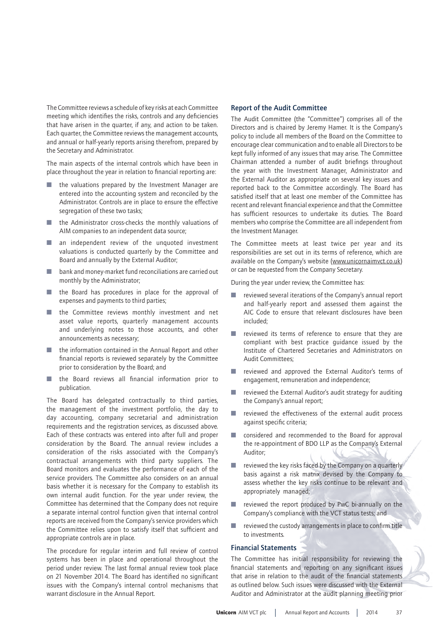The Committee reviews a schedule of key risks at each Committee meeting which identifies the risks, controls and any deficiencies that have arisen in the quarter, if any, and action to be taken. Each quarter, the Committee reviews the management accounts, and annual or half-yearly reports arising therefrom, prepared by the Secretary and Administrator.

The main aspects of the internal controls which have been in place throughout the year in relation to financial reporting are:

- the valuations prepared by the Investment Manager are entered into the accounting system and reconciled by the Administrator. Controls are in place to ensure the effective segregation of these two tasks:
- $\blacksquare$  the Administrator cross-checks the monthly valuations of AIM companies to an independent data source;
- an independent review of the unquoted investment valuations is conducted quarterly by the Committee and Board and annually by the External Auditor;
- $\Box$  bank and money-market fund reconciliations are carried out monthly by the Administrator;
- the Board has procedures in place for the approval of expenses and payments to third parties;
- the Committee reviews monthly investment and net asset value reports, quarterly management accounts and underlying notes to those accounts, and other announcements as necessary;
- the information contained in the Annual Report and other financial reports is reviewed separately by the Committee prior to consideration by the Board; and
- $\blacksquare$  the Board reviews all financial information prior to publication.

The Board has delegated contractually to third parties, the management of the investment portfolio, the day to day accounting, company secretarial and administration requirements and the registration services, as discussed above. Each of these contracts was entered into after full and proper consideration by the Board. The annual review includes a consideration of the risks associated with the Company's contractual arrangements with third party suppliers. The Board monitors and evaluates the performance of each of the service providers. The Committee also considers on an annual basis whether it is necessary for the Company to establish its own internal audit function. For the year under review, the Committee has determined that the Company does not require a separate internal control function given that internal control reports are received from the Company's service providers which the Committee relies upon to satisfy itself that sufficient and appropriate controls are in place.

The procedure for regular interim and full review of control systems has been in place and operational throughout the period under review. The last formal annual review took place on 21 November 2014. The Board has identified no significant issues with the Company's internal control mechanisms that warrant disclosure in the Annual Report.

#### Report of the Audit Committee

The Audit Committee (the "Committee") comprises all of the Directors and is chaired by Jeremy Hamer. It is the Company's policy to include all members of the Board on the Committee to encourage clear communication and to enable all Directors to be kept fully informed of any issues that may arise. The Committee Chairman attended a number of audit briefings throughout the year with the Investment Manager, Administrator and the External Auditor as appropriate on several key issues and reported back to the Committee accordingly. The Board has satisfied itself that at least one member of the Committee has recent and relevant financial experience and that the Committee has sufficient resources to undertake its duties. The Board members who comprise the Committee are all independent from the Investment Manager.

The Committee meets at least twice per year and its responsibilities are set out in its terms of reference, which are available on the Company's website (www.unicornaimvct.co.uk) or can be requested from the Company Secretary.

During the year under review, the Committee has:

- reviewed several iterations of the Company's annual report and half-yearly report and assessed them against the AIC Code to ensure that relevant disclosures have been included;
- reviewed its terms of reference to ensure that they are compliant with best practice guidance issued by the Institute of Chartered Secretaries and Administrators on Audit Committees;
- reviewed and approved the External Auditor's terms of engagement, remuneration and independence;
- reviewed the External Auditor's audit strategy for auditing the Company's annual report;
- reviewed the effectiveness of the external audit process against specific criteria;
- considered and recommended to the Board for approval the re-appointment of BDO LLP as the Company's External Auditor;
- $\blacksquare$  reviewed the key risks faced by the Company on a quarterly basis against a risk matrix devised by the Company to assess whether the key risks continue to be relevant and appropriately managed;
- $\blacksquare$  reviewed the report produced by PwC bi-annually on the Company's compliance with the VCT status tests; and
- reviewed the custody arrangements in place to confirm title to investments.

#### Financial Statements

The Committee has initial responsibility for reviewing the financial statements and reporting on any significant issues that arise in relation to the audit of the financial statements as outlined below. Such issues were discussed with the External Auditor and Administrator at the audit planning meeting prior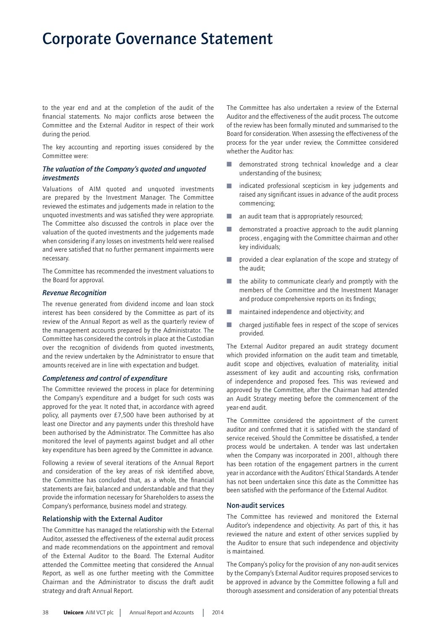### Corporate Governance Statement

to the year end and at the completion of the audit of the financial statements. No major conflicts arose between the Committee and the External Auditor in respect of their work during the period.

The key accounting and reporting issues considered by the Committee were:

#### *The valuation of the Company's quoted and unquoted investments*

Valuations of AIM quoted and unquoted investments are prepared by the Investment Manager. The Committee reviewed the estimates and judgements made in relation to the unquoted investments and was satisfied they were appropriate. The Committee also discussed the controls in place over the valuation of the quoted investments and the judgements made when considering if any losses on investments held were realised and were satisfied that no further permanent impairments were necessary.

The Committee has recommended the investment valuations to the Board for approval.

#### *Revenue Recognition*

The revenue generated from dividend income and loan stock interest has been considered by the Committee as part of its review of the Annual Report as well as the quarterly review of the management accounts prepared by the Administrator. The Committee has considered the controls in place at the Custodian over the recognition of dividends from quoted investments, and the review undertaken by the Administrator to ensure that amounts received are in line with expectation and budget.

#### *Completeness and control of expenditure*

The Committee reviewed the process in place for determining the Company's expenditure and a budget for such costs was approved for the year. It noted that, in accordance with agreed policy, all payments over £7,500 have been authorised by at least one Director and any payments under this threshold have been authorised by the Administrator. The Committee has also monitored the level of payments against budget and all other key expenditure has been agreed by the Committee in advance.

Following a review of several iterations of the Annual Report and consideration of the key areas of risk identified above, the Committee has concluded that, as a whole, the financial statements are fair, balanced and understandable and that they provide the information necessary for Shareholders to assess the Company's performance, business model and strategy.

#### Relationship with the External Auditor

The Committee has managed the relationship with the External Auditor, assessed the effectiveness of the external audit process and made recommendations on the appointment and removal of the External Auditor to the Board. The External Auditor attended the Committee meeting that considered the Annual Report, as well as one further meeting with the Committee Chairman and the Administrator to discuss the draft audit strategy and draft Annual Report.

The Committee has also undertaken a review of the External Auditor and the effectiveness of the audit process. The outcome of the review has been formally minuted and summarised to the Board for consideration. When assessing the effectiveness of the process for the year under review, the Committee considered whether the Auditor has:

- $\Box$  demonstrated strong technical knowledge and a clear understanding of the business;
- $\blacksquare$  indicated professional scepticism in key judgements and raised any significant issues in advance of the audit process commencing;
- $\blacksquare$  an audit team that is appropriately resourced;
- demonstrated a proactive approach to the audit planning process , engaging with the Committee chairman and other key individuals;
- $\Box$  provided a clear explanation of the scope and strategy of the audit;
- $\blacksquare$  the ability to communicate clearly and promptly with the members of the Committee and the Investment Manager and produce comprehensive reports on its findings;
- $\blacksquare$  maintained independence and objectivity; and
- $\Box$  charged justifiable fees in respect of the scope of services provided.

The External Auditor prepared an audit strategy document which provided information on the audit team and timetable, audit scope and objectives, evaluation of materiality, initial assessment of key audit and accounting risks, confirmation of independence and proposed fees. This was reviewed and approved by the Committee, after the Chairman had attended an Audit Strategy meeting before the commencement of the year-end audit.

The Committee considered the appointment of the current auditor and confirmed that it is satisfied with the standard of service received. Should the Committee be dissatisfied, a tender process would be undertaken. A tender was last undertaken when the Company was incorporated in 2001, although there has been rotation of the engagement partners in the current year in accordance with the Auditors' Ethical Standards. A tender has not been undertaken since this date as the Committee has been satisfied with the performance of the External Auditor.

#### Non-audit services

The Committee has reviewed and monitored the External Auditor's independence and objectivity. As part of this, it has reviewed the nature and extent of other services supplied by the Auditor to ensure that such independence and objectivity is maintained.

The Company's policy for the provision of any non-audit services by the Company's External Auditor requires proposed services to be approved in advance by the Committee following a full and thorough assessment and consideration of any potential threats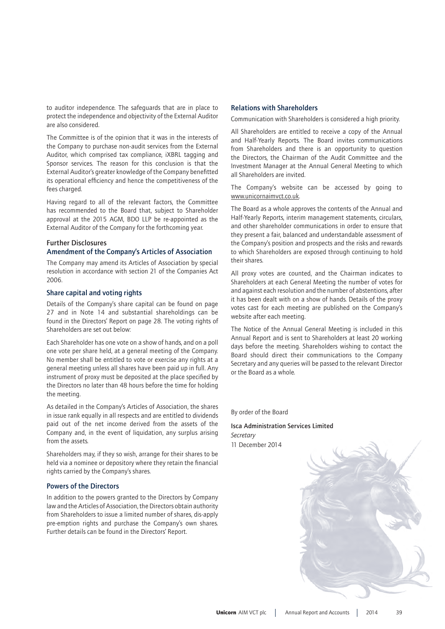to auditor independence. The safeguards that are in place to protect the independence and objectivity of the External Auditor are also considered.

The Committee is of the opinion that it was in the interests of the Company to purchase non-audit services from the External Auditor, which comprised tax compliance, iXBRL tagging and Sponsor services. The reason for this conclusion is that the External Auditor's greater knowledge of the Company benefitted its operational efficiency and hence the competitiveness of the fees charged.

Having regard to all of the relevant factors, the Committee has recommended to the Board that, subject to Shareholder approval at the 2015 AGM, BDO LLP be re-appointed as the External Auditor of the Company for the forthcoming year.

#### Further Disclosures Amendment of the Company's Articles of Association

The Company may amend its Articles of Association by special resolution in accordance with section 21 of the Companies Act 2006.

#### Share capital and voting rights

Details of the Company's share capital can be found on page 27 and in Note 14 and substantial shareholdings can be found in the Directors' Report on page 28. The voting rights of Shareholders are set out below:

Each Shareholder has one vote on a show of hands, and on a poll one vote per share held, at a general meeting of the Company. No member shall be entitled to vote or exercise any rights at a general meeting unless all shares have been paid up in full. Any instrument of proxy must be deposited at the place specified by the Directors no later than 48 hours before the time for holding the meeting.

As detailed in the Company's Articles of Association, the shares in issue rank equally in all respects and are entitled to dividends paid out of the net income derived from the assets of the Company and, in the event of liquidation, any surplus arising from the assets.

Shareholders may, if they so wish, arrange for their shares to be held via a nominee or depository where they retain the financial rights carried by the Company's shares.

#### Powers of the Directors

In addition to the powers granted to the Directors by Company law and the Articles of Association, the Directors obtain authority from Shareholders to issue a limited number of shares, dis-apply pre-emption rights and purchase the Company's own shares. Further details can be found in the Directors' Report.

#### Relations with Shareholders

Communication with Shareholders is considered a high priority.

All Shareholders are entitled to receive a copy of the Annual and Half-Yearly Reports. The Board invites communications from Shareholders and there is an opportunity to question the Directors, the Chairman of the Audit Committee and the Investment Manager at the Annual General Meeting to which all Shareholders are invited.

The Company's website can be accessed by going to www.unicornaimvct.co.uk.

The Board as a whole approves the contents of the Annual and Half-Yearly Reports, interim management statements, circulars, and other shareholder communications in order to ensure that they present a fair, balanced and understandable assessment of the Company's position and prospects and the risks and rewards to which Shareholders are exposed through continuing to hold their shares.

All proxy votes are counted, and the Chairman indicates to Shareholders at each General Meeting the number of votes for and against each resolution and the number of abstentions, after it has been dealt with on a show of hands. Details of the proxy votes cast for each meeting are published on the Company's website after each meeting.

The Notice of the Annual General Meeting is included in this Annual Report and is sent to Shareholders at least 20 working days before the meeting. Shareholders wishing to contact the Board should direct their communications to the Company Secretary and any queries will be passed to the relevant Director or the Board as a whole.

By order of the Board

#### Isca Administration Services Limited *Secretary*

11 December 2014

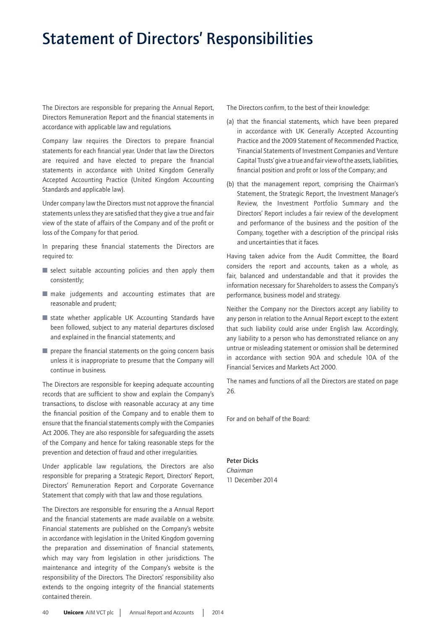# Statement of Directors' Responsibilities

The Directors are responsible for preparing the Annual Report, Directors Remuneration Report and the financial statements in accordance with applicable law and regulations.

Company law requires the Directors to prepare financial statements for each financial year. Under that law the Directors are required and have elected to prepare the financial statements in accordance with United Kingdom Generally Accepted Accounting Practice (United Kingdom Accounting Standards and applicable law).

Under company law the Directors must not approve the financial statements unless they are satisfied that they give a true and fair view of the state of affairs of the Company and of the profit or loss of the Company for that period.

In preparing these financial statements the Directors are required to:

- $\blacksquare$  select suitable accounting policies and then apply them consistently;
- $\blacksquare$  make judgements and accounting estimates that are reasonable and prudent;
- $\blacksquare$  state whether applicable UK Accounting Standards have been followed, subject to any material departures disclosed and explained in the financial statements; and
- $\blacksquare$  prepare the financial statements on the going concern basis unless it is inappropriate to presume that the Company will continue in business.

The Directors are responsible for keeping adequate accounting records that are sufficient to show and explain the Company's transactions, to disclose with reasonable accuracy at any time the financial position of the Company and to enable them to ensure that the financial statements comply with the Companies Act 2006. They are also responsible for safeguarding the assets of the Company and hence for taking reasonable steps for the prevention and detection of fraud and other irregularities.

Under applicable law regulations, the Directors are also responsible for preparing a Strategic Report, Directors' Report, Directors' Remuneration Report and Corporate Governance Statement that comply with that law and those regulations.

The Directors are responsible for ensuring the a Annual Report and the financial statements are made available on a website. Financial statements are published on the Company's website in accordance with legislation in the United Kingdom governing the preparation and dissemination of financial statements, which may vary from legislation in other jurisdictions. The maintenance and integrity of the Company's website is the responsibility of the Directors. The Directors' responsibility also extends to the ongoing integrity of the financial statements contained therein.

The Directors confirm, to the best of their knowledge:

- (a) that the financial statements, which have been prepared in accordance with UK Generally Accepted Accounting Practice and the 2009 Statement of Recommended Practice, 'Financial Statements of Investment Companies and Venture Capital Trusts' give a true and fair view of the assets, liabilities, financial position and profit or loss of the Company; and
- (b) that the management report, comprising the Chairman's Statement, the Strategic Report, the Investment Manager's Review, the Investment Portfolio Summary and the Directors' Report includes a fair review of the development and performance of the business and the position of the Company, together with a description of the principal risks and uncertainties that it faces.

Having taken advice from the Audit Committee, the Board considers the report and accounts, taken as a whole, as fair, balanced and understandable and that it provides the information necessary for Shareholders to assess the Company's performance, business model and strategy.

Neither the Company nor the Directors accept any liability to any person in relation to the Annual Report except to the extent that such liability could arise under English law. Accordingly, any liability to a person who has demonstrated reliance on any untrue or misleading statement or omission shall be determined in accordance with section 90A and schedule 10A of the Financial Services and Markets Act 2000.

The names and functions of all the Directors are stated on page 26.

For and on behalf of the Board:

Peter Dicks *Chairman* 11 December 2014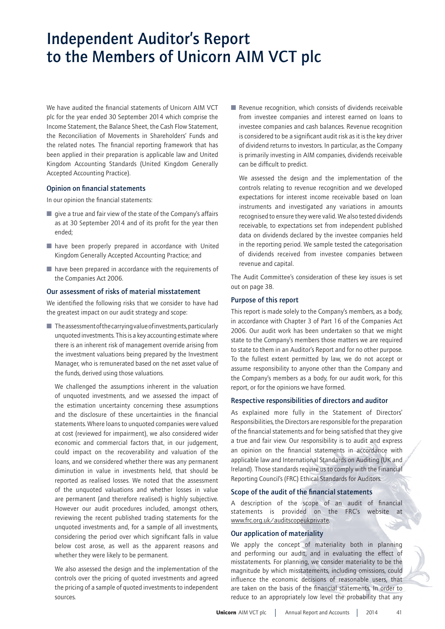# Independent Auditor's Report to the Members of Unicorn AIM VCT plc

We have audited the financial statements of Unicorn AIM VCT plc for the year ended 30 September 2014 which comprise the Income Statement, the Balance Sheet, the Cash Flow Statement, the Reconciliation of Movements in Shareholders' Funds and the related notes. The financial reporting framework that has been applied in their preparation is applicable law and United Kingdom Accounting Standards (United Kingdom Generally Accepted Accounting Practice).

#### Opinion on financial statements

In our opinion the financial statements:

- $\blacksquare$  give a true and fair view of the state of the Company's affairs as at 30 September 2014 and of its profit for the year then ended;
- $\blacksquare$  have been properly prepared in accordance with United Kingdom Generally Accepted Accounting Practice; and
- $\blacksquare$  have been prepared in accordance with the requirements of the Companies Act 2006.

#### Our assessment of risks of material misstatement

We identified the following risks that we consider to have had the greatest impact on our audit strategy and scope:

 $\blacksquare$  The assessment of the carrying value of investments, particularly unquoted investments. This is a key accounting estimate where there is an inherent risk of management override arising from the investment valuations being prepared by the Investment Manager, who is remunerated based on the net asset value of the funds, derived using those valuations.

 We challenged the assumptions inherent in the valuation of unquoted investments, and we assessed the impact of the estimation uncertainty concerning these assumptions and the disclosure of these uncertainties in the financial statements. Where loans to unquoted companies were valued at cost (reviewed for impairment), we also considered wider economic and commercial factors that, in our judgement, could impact on the recoverability and valuation of the loans, and we considered whether there was any permanent diminution in value in investments held, that should be reported as realised losses. We noted that the assessment of the unquoted valuations and whether losses in value are permanent (and therefore realised) is highly subjective. However our audit procedures included, amongst others, reviewing the recent published trading statements for the unquoted investments and, for a sample of all investments, considering the period over which significant falls in value below cost arose, as well as the apparent reasons and whether they were likely to be permanent.

 We also assessed the design and the implementation of the controls over the pricing of quoted investments and agreed the pricing of a sample of quoted investments to independent sources.

 $\blacksquare$  Revenue recognition, which consists of dividends receivable from investee companies and interest earned on loans to investee companies and cash balances. Revenue recognition is considered to be a significant audit risk as it is the key driver of dividend returns to investors. In particular, as the Company is primarily investing in AIM companies, dividends receivable can be difficult to predict.

We assessed the design and the implementation of the controls relating to revenue recognition and we developed expectations for interest income receivable based on loan instruments and investigated any variations in amounts recognised to ensure they were valid. We also tested dividends receivable, to expectations set from independent published data on dividends declared by the investee companies held in the reporting period. We sample tested the categorisation of dividends received from investee companies between revenue and capital.

The Audit Committee's consideration of these key issues is set out on page 38.

#### Purpose of this report

This report is made solely to the Company's members, as a body, in accordance with Chapter 3 of Part 16 of the Companies Act 2006. Our audit work has been undertaken so that we might state to the Company's members those matters we are required to state to them in an Auditor's Report and for no other purpose. To the fullest extent permitted by law, we do not accept or assume responsibility to anyone other than the Company and the Company's members as a body, for our audit work, for this report, or for the opinions we have formed.

#### Respective responsibilities of directors and auditor

As explained more fully in the Statement of Directors' Responsibilities, the Directors are responsible for the preparation of the financial statements and for being satisfied that they give a true and fair view. Our responsibility is to audit and express an opinion on the financial statements in accordance with applicable law and International Standards on Auditing (UK and Ireland). Those standards require us to comply with the Financial Reporting Council's (FRC) Ethical Standards for Auditors.

#### Scope of the audit of the financial statements

A description of the scope of an audit of financial statements is provided on the FRC's website at www.frc.org.uk/auditscopeukprivate.

#### Our application of materiality

We apply the concept of materiality both in planning and performing our audit, and in evaluating the effect of misstatements. For planning, we consider materiality to be the magnitude by which misstatements, including omissions, could influence the economic decisions of reasonable users, that are taken on the basis of the financial statements. In order to reduce to an appropriately low level the probability that any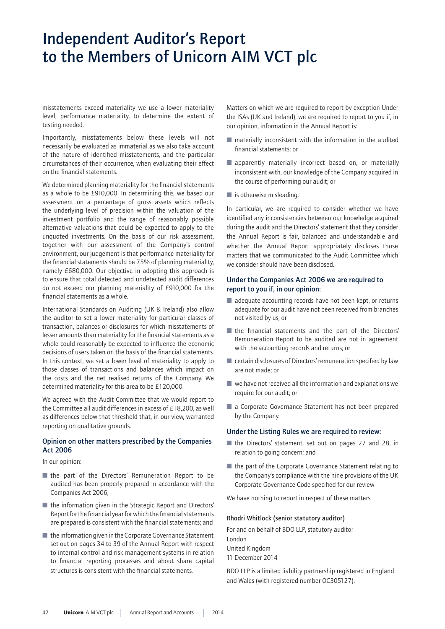# Independent Auditor's Report to the Members of Unicorn AIM VCT plc

misstatements exceed materiality we use a lower materiality level, performance materiality, to determine the extent of testing needed.

Importantly, misstatements below these levels will not necessarily be evaluated as immaterial as we also take account of the nature of identified misstatements, and the particular circumstances of their occurrence, when evaluating their effect on the financial statements.

We determined planning materiality for the financial statements as a whole to be £910,000. In determining this, we based our assessment on a percentage of gross assets which reflects the underlying level of precision within the valuation of the investment portfolio and the range of reasonably possible alternative valuations that could be expected to apply to the unquoted investments. On the basis of our risk assessment, together with our assessment of the Company's control environment, our judgement is that performance materiality for the financial statements should be 75% of planning materiality, namely £680,000. Our objective in adopting this approach is to ensure that total detected and undetected audit differences do not exceed our planning materiality of £910,000 for the financial statements as a whole.

International Standards on Auditing (UK & Ireland) also allow the auditor to set a lower materiality for particular classes of transaction, balances or disclosures for which misstatements of lesser amounts than materiality for the financial statements as a whole could reasonably be expected to influence the economic decisions of users taken on the basis of the financial statements. In this context, we set a lower level of materiality to apply to those classes of transactions and balances which impact on the costs and the net realised returns of the Company. We determined materiality for this area to be £120,000.

We agreed with the Audit Committee that we would report to the Committee all audit differences in excess of £18,200, as well as differences below that threshold that, in our view, warranted reporting on qualitative grounds.

#### Opinion on other matters prescribed by the Companies Act 2006

In our opinion:

- the part of the Directors' Remuneration Report to be audited has been properly prepared in accordance with the Companies Act 2006;
- $\blacksquare$  the information given in the Strategic Report and Directors' Report for the financial year for which the financial statements are prepared is consistent with the financial statements; and
- $\blacksquare$  the information given in the Corporate Governance Statement set out on pages 34 to 39 of the Annual Report with respect to internal control and risk management systems in relation to financial reporting processes and about share capital structures is consistent with the financial statements.

Matters on which we are required to report by exception Under the ISAs (UK and Ireland), we are required to report to you if, in our opinion, information in the Annual Report is:

- $\blacksquare$  materially inconsistent with the information in the audited financial statements; or
- $\blacksquare$  apparently materially incorrect based on, or materially inconsistent with, our knowledge of the Company acquired in the course of performing our audit; or
- $\blacksquare$  is otherwise misleading.

In particular, we are required to consider whether we have identified any inconsistencies between our knowledge acquired during the audit and the Directors' statement that they consider the Annual Report is fair, balanced and understandable and whether the Annual Report appropriately discloses those matters that we communicated to the Audit Committee which we consider should have been disclosed.

### Under the Companies Act 2006 we are required to report to you if, in our opinion:

- $\blacksquare$  adequate accounting records have not been kept, or returns adequate for our audit have not been received from branches not visited by us; or
- n the financial statements and the part of the Directors' Remuneration Report to be audited are not in agreement with the accounting records and returns; or
- $\blacksquare$  certain disclosures of Directors' remuneration specified by law are not made; or
- $\blacksquare$  we have not received all the information and explanations we require for our audit; or
- a Corporate Governance Statement has not been prepared by the Company.

#### Under the Listing Rules we are required to review:

- $\blacksquare$  the Directors' statement, set out on pages 27 and 28, in relation to going concern; and
- $\blacksquare$  the part of the Corporate Governance Statement relating to the Company's compliance with the nine provisions of the UK Corporate Governance Code specified for our review

We have nothing to report in respect of these matters.

#### Rhodri Whitlock (senior statutory auditor)

For and on behalf of BDO LLP, statutory auditor London United Kingdom 11 December 2014

BDO LLP is a limited liability partnership registered in England and Wales (with registered number OC305127).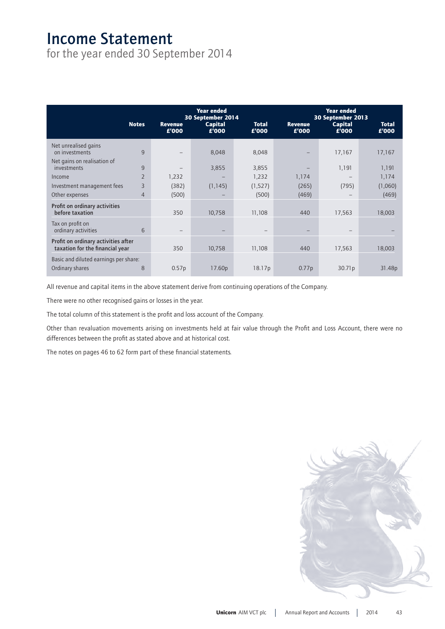### Income Statement

for the year ended 30 September 2014

|                                                                        | <b>Notes</b>   | <b>Revenue</b><br>£'000 | <b>Year ended</b><br>30 September 2014<br>Capital<br>£'000 | <b>Total</b><br>$E'$ 000 | <b>Revenue</b><br>£'000 | Year ended<br>30 September 2013<br><b>Capital</b><br>£'000 | <b>Total</b><br>£'000 |
|------------------------------------------------------------------------|----------------|-------------------------|------------------------------------------------------------|--------------------------|-------------------------|------------------------------------------------------------|-----------------------|
| Net unrealised gains<br>on investments                                 | 9              |                         | 8,048                                                      | 8,048                    |                         | 17,167                                                     | 17,167                |
| Net gains on realisation of<br>investments                             | 9              |                         | 3,855                                                      | 3,855                    |                         | 1,191                                                      | 1,191                 |
| Income                                                                 | $\overline{2}$ | 1,232                   | $\overline{\phantom{0}}$                                   | 1,232                    | 1,174                   |                                                            | 1,174                 |
| Investment management fees                                             | 3              | (382)                   | (1, 145)                                                   | (1,527)                  | (265)                   | (795)                                                      | (1,060)               |
| Other expenses                                                         | $\overline{4}$ | (500)                   |                                                            | (500)                    | (469)                   |                                                            | (469)                 |
| Profit on ordinary activities<br>before taxation                       |                | 350                     | 10,758                                                     | 11,108                   | 440                     | 17,563                                                     | 18,003                |
| Tax on profit on<br>ordinary activities                                | 6              | $\qquad \qquad -$       |                                                            | $\qquad \qquad -$        |                         | $\overline{\phantom{0}}$                                   |                       |
| Profit on ordinary activities after<br>taxation for the financial year |                | 350                     | 10,758                                                     | 11,108                   | 440                     | 17,563                                                     | 18,003                |
| Basic and diluted earnings per share:<br>Ordinary shares               | 8              | 0.57p                   | 17.60p                                                     | 18.17p                   | 0.77p                   | 30.71p                                                     | 31.48p                |

All revenue and capital items in the above statement derive from continuing operations of the Company.

There were no other recognised gains or losses in the year.

The total column of this statement is the profit and loss account of the Company.

Other than revaluation movements arising on investments held at fair value through the Profit and Loss Account, there were no differences between the profit as stated above and at historical cost.

The notes on pages 46 to 62 form part of these financial statements.

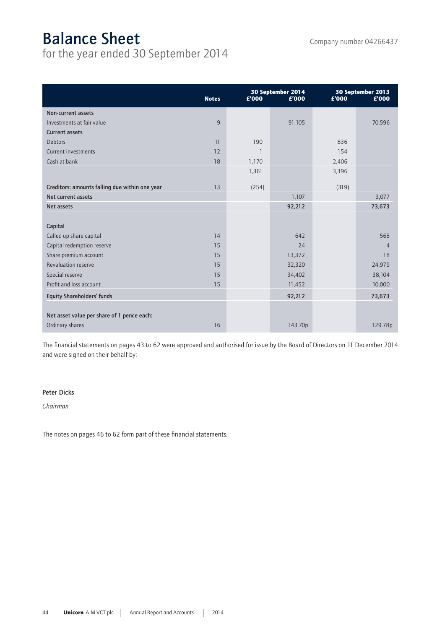# Balance Sheet

for the year ended 30 September 2014

|                                                | <b>Notes</b>   | £'000          | 30 September 2014<br>£'000 | £'000 | 30 September 2013<br>£'000 |
|------------------------------------------------|----------------|----------------|----------------------------|-------|----------------------------|
| Non-current assets                             |                |                |                            |       |                            |
| Investments at fair value                      | $\overline{9}$ |                | 91,105                     |       | 70,596                     |
| <b>Current assets</b>                          |                |                |                            |       |                            |
| <b>Debtors</b>                                 | 11             | 190            |                            | 836   |                            |
| <b>Current investments</b>                     | 12             | $\overline{1}$ |                            | 154   |                            |
| Cash at bank                                   | 18             | 1,170          |                            | 2,406 |                            |
|                                                |                | 1,361          |                            | 3,396 |                            |
| Creditors: amounts falling due within one year | 13             | (254)          |                            | (319) |                            |
| Net current assets                             |                |                | 1,107                      |       | 3,077                      |
| Net assets                                     |                |                | 92,212                     |       | 73,673                     |
|                                                |                |                |                            |       |                            |
| Capital                                        |                |                |                            |       |                            |
| Called up share capital                        | 14             |                | 642                        |       | 568                        |
| Capital redemption reserve                     | 15             |                | 24                         |       | $\overline{4}$             |
| Share premium account                          | 15             |                | 13,372                     |       | 18                         |
| <b>Revaluation reserve</b>                     | 15             |                | 32,320                     |       | 24,979                     |
| Special reserve                                | 15             |                | 34,402                     |       | 38,104                     |
| Profit and loss account                        | 15             |                | 11,452                     |       | 10,000                     |
| <b>Equity Shareholders' funds</b>              |                |                | 92,212                     |       | 73,673                     |
|                                                |                |                |                            |       |                            |
| Net asset value per share of 1 pence each:     |                |                |                            |       |                            |
| Ordinary shares                                | 16             |                | 143.70p                    |       | 129.78p                    |

The financial statements on pages 43 to 62 were approved and authorised for issue by the Board of Directors on 11 December 2014 and were signed on their behalf by:

#### Peter Dicks

*Chairman*

The notes on pages 46 to 62 form part of these financial statements.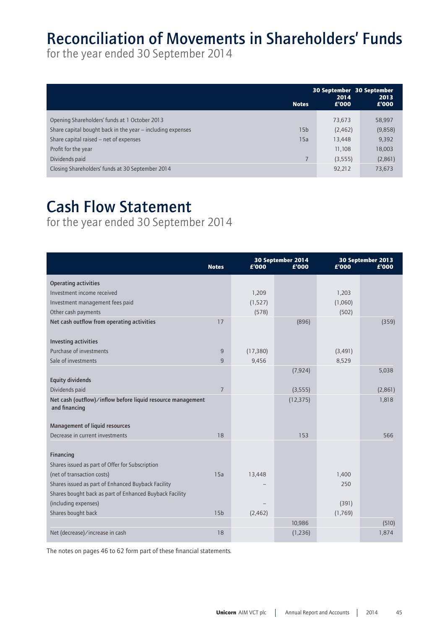# Reconciliation of Movements in Shareholders' Funds

for the year ended 30 September 2014

|                                                            | <b>Notes</b>    | 30 September 30 September<br>2014<br>£'000 | 2013<br>£'000 |
|------------------------------------------------------------|-----------------|--------------------------------------------|---------------|
| Opening Shareholders' funds at 1 October 2013              |                 | 73,673                                     | 58,997        |
| Share capital bought back in the year – including expenses | 15 <sub>b</sub> | (2,462)                                    | (9,858)       |
| Share capital raised – net of expenses                     | 15a             | 13,448                                     | 9,392         |
| Profit for the year                                        |                 | 11.108                                     | 18,003        |
| Dividends paid                                             |                 | (3, 555)                                   | (2,861)       |
| Closing Shareholders' funds at 30 September 2014           |                 | 92,212                                     | 73,673        |

# Cash Flow Statement

for the year ended 30 September 2014

|                                                                              | <b>Notes</b>    | £'000     | 30 September 2014<br>E'000 | £'000    | 30 September 2013<br>£'000 |
|------------------------------------------------------------------------------|-----------------|-----------|----------------------------|----------|----------------------------|
| <b>Operating activities</b>                                                  |                 |           |                            |          |                            |
| Investment income received                                                   |                 | 1,209     |                            | 1,203    |                            |
| Investment management fees paid                                              |                 | (1, 527)  |                            | (1,060)  |                            |
| Other cash payments                                                          |                 | (578)     |                            | (502)    |                            |
| Net cash outflow from operating activities                                   | 17              |           | (896)                      |          | (359)                      |
| Investing activities                                                         |                 |           |                            |          |                            |
| Purchase of investments                                                      | 9               | (17, 380) |                            | (3, 491) |                            |
| Sale of investments                                                          | 9               | 9,456     |                            | 8,529    |                            |
|                                                                              |                 |           | (7, 924)                   |          | 5,038                      |
| <b>Equity dividends</b>                                                      |                 |           |                            |          |                            |
| Dividends paid                                                               | $\overline{7}$  |           | (3, 555)                   |          | (2,861)                    |
| Net cash (outflow)/inflow before liquid resource management<br>and financing |                 |           | (12, 375)                  |          | 1,818                      |
| Management of liquid resources                                               |                 |           |                            |          |                            |
| Decrease in current investments                                              | 18              |           | 153                        |          | 566                        |
| Financing                                                                    |                 |           |                            |          |                            |
| Shares issued as part of Offer for Subscription                              |                 |           |                            |          |                            |
| (net of transaction costs)                                                   | 15a             | 13,448    |                            | 1,400    |                            |
| Shares issued as part of Enhanced Buyback Facility                           |                 |           |                            | 250      |                            |
| Shares bought back as part of Enhanced Buyback Facility                      |                 |           |                            |          |                            |
| (including expenses)                                                         |                 |           |                            | (391)    |                            |
| Shares bought back                                                           | 15 <sub>b</sub> | (2,462)   |                            | (1,769)  |                            |
|                                                                              |                 |           | 10,986                     |          | (510)                      |
| Net (decrease)/increase in cash                                              | 18              |           | (1, 236)                   |          | 1,874                      |

The notes on pages 46 to 62 form part of these financial statements.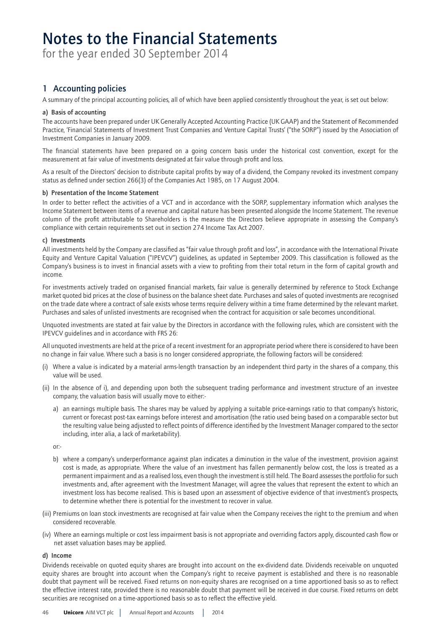# Notes to the Financial Statements

for the year ended 30 September 2014

### 1 Accounting policies

A summary of the principal accounting policies, all of which have been applied consistently throughout the year, is set out below:

#### a) Basis of accounting

The accounts have been prepared under UK Generally Accepted Accounting Practice (UK GAAP) and the Statement of Recommended Practice, 'Financial Statements of Investment Trust Companies and Venture Capital Trusts' ("the SORP") issued by the Association of Investment Companies in January 2009.

The financial statements have been prepared on a going concern basis under the historical cost convention, except for the measurement at fair value of investments designated at fair value through profit and loss.

As a result of the Directors' decision to distribute capital profits by way of a dividend, the Company revoked its investment company status as defined under section 266(3) of the Companies Act 1985, on 17 August 2004.

#### b) Presentation of the Income Statement

In order to better reflect the activities of a VCT and in accordance with the SORP, supplementary information which analyses the Income Statement between items of a revenue and capital nature has been presented alongside the Income Statement. The revenue column of the profit attributable to Shareholders is the measure the Directors believe appropriate in assessing the Company's compliance with certain requirements set out in section 274 Income Tax Act 2007.

#### c) Investments

All investments held by the Company are classified as "fair value through profit and loss", in accordance with the International Private Equity and Venture Capital Valuation ("IPEVCV") guidelines, as updated in September 2009. This classification is followed as the Company's business is to invest in financial assets with a view to profiting from their total return in the form of capital growth and income.

For investments actively traded on organised financial markets, fair value is generally determined by reference to Stock Exchange market quoted bid prices at the close of business on the balance sheet date. Purchases and sales of quoted investments are recognised on the trade date where a contract of sale exists whose terms require delivery within a time frame determined by the relevant market. Purchases and sales of unlisted investments are recognised when the contract for acquisition or sale becomes unconditional.

Unquoted investments are stated at fair value by the Directors in accordance with the following rules, which are consistent with the IPEVCV guidelines and in accordance with FRS 26:

All unquoted investments are held at the price of a recent investment for an appropriate period where there is considered to have been no change in fair value. Where such a basis is no longer considered appropriate, the following factors will be considered:

- (i) Where a value is indicated by a material arms-length transaction by an independent third party in the shares of a company, this value will be used.
- (ii) In the absence of i), and depending upon both the subsequent trading performance and investment structure of an investee company, the valuation basis will usually move to either:
	- a) an earnings multiple basis. The shares may be valued by applying a suitable price-earnings ratio to that company's historic, current or forecast post-tax earnings before interest and amortisation (the ratio used being based on a comparable sector but the resulting value being adjusted to reflect points of difference identified by the Investment Manager compared to the sector including, inter alia, a lack of marketability).

or:-

- b) where a company's underperformance against plan indicates a diminution in the value of the investment, provision against cost is made, as appropriate. Where the value of an investment has fallen permanently below cost, the loss is treated as a permanent impairment and as a realised loss, even though the investment is still held. The Board assesses the portfolio for such investments and, after agreement with the Investment Manager, will agree the values that represent the extent to which an investment loss has become realised. This is based upon an assessment of objective evidence of that investment's prospects, to determine whether there is potential for the investment to recover in value.
- (iii) Premiums on loan stock investments are recognised at fair value when the Company receives the right to the premium and when considered recoverable.
- (iv) Where an earnings multiple or cost less impairment basis is not appropriate and overriding factors apply, discounted cash flow or net asset valuation bases may be applied.

#### d) Income

Dividends receivable on quoted equity shares are brought into account on the ex-dividend date. Dividends receivable on unquoted equity shares are brought into account when the Company's right to receive payment is established and there is no reasonable doubt that payment will be received. Fixed returns on non-equity shares are recognised on a time apportioned basis so as to reflect the effective interest rate, provided there is no reasonable doubt that payment will be received in due course. Fixed returns on debt securities are recognised on a time-apportioned basis so as to reflect the effective yield.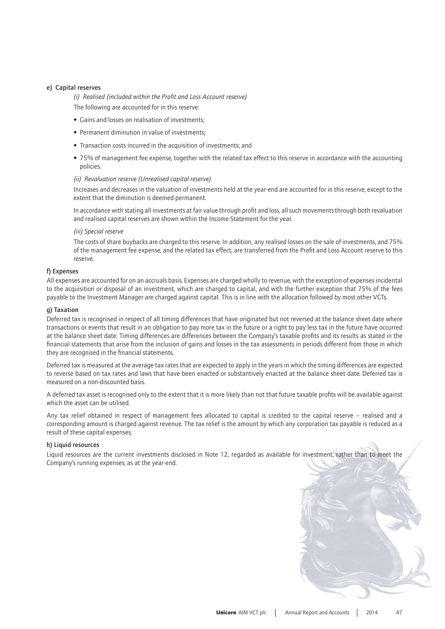#### e) Capital reserves

*(i) Realised (included within the Profit and Loss Account reserve)*

The following are accounted for in this reserve:

- Gains and losses on realisation of investments;
- Permanent diminution in value of investments:
- Transaction costs incurred in the acquisition of investments; and
- 75% of management fee expense, together with the related tax effect to this reserve in accordance with the accounting policies.

#### *(ii) Revaluation reserve (Unrealised capital reserve)*

 Increases and decreases in the valuation of investments held at the year-end are accounted for in this reserve, except to the extent that the diminution is deemed permanent.

 In accordance with stating all investments at fair value through profit and loss, all such movements through both revaluation and realised capital reserves are shown within the Income Statement for the year.

#### *(iii) Special reserve*

 The costs of share buybacks are charged to this reserve. In addition, any realised losses on the sale of investments, and 75% of the management fee expense, and the related tax effect, are transferred from the Profit and Loss Account reserve to this reserve.

#### f) Expenses

All expenses are accounted for on an accruals basis. Expenses are charged wholly to revenue, with the exception of expenses incidental to the acquisition or disposal of an investment, which are charged to capital, and with the further exception that 75% of the fees payable to the Investment Manager are charged against capital. This is in line with the allocation followed by most other VCTs.

#### g) Taxation

Deferred tax is recognised in respect of all timing differences that have originated but not reversed at the balance sheet date where transactions or events that result in an obligation to pay more tax in the future or a right to pay less tax in the future have occurred at the balance sheet date. Timing differences are differences between the Company's taxable profits and its results as stated in the financial statements that arise from the inclusion of gains and losses in the tax assessments in periods different from those in which they are recognised in the financial statements.

Deferred tax is measured at the average tax rates that are expected to apply in the years in which the timing differences are expected to reverse based on tax rates and laws that have been enacted or substantively enacted at the balance sheet date. Deferred tax is measured on a non-discounted basis.

A deferred tax asset is recognised only to the extent that it is more likely than not that future taxable profits will be available against which the asset can be utilised.

Any tax relief obtained in respect of management fees allocated to capital is credited to the capital reserve – realised and a corresponding amount is charged against revenue. The tax relief is the amount by which any corporation tax payable is reduced as a result of these capital expenses.

#### h) Liquid resources

Liquid resources are the current investments disclosed in Note 12, regarded as available for investment, rather than to meet the Company's running expenses, as at the year-end.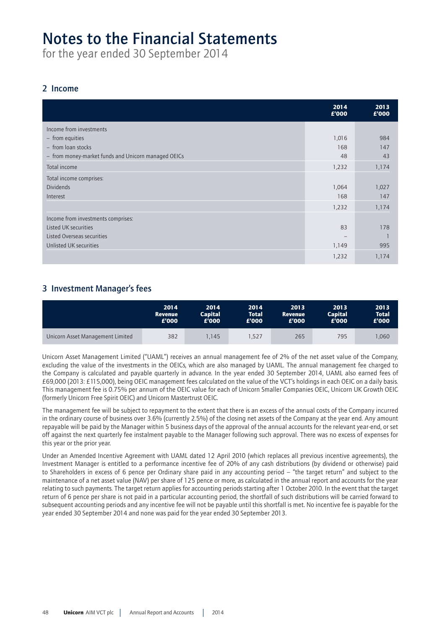# Notes to the Financial Statements

for the year ended 30 September 2014

### 2 Income

|                                                     | 2014<br>£'000 | 2013<br>£'000 |
|-----------------------------------------------------|---------------|---------------|
| Income from investments                             |               |               |
| - from equities                                     | 1,016         | 984           |
| - from loan stocks                                  | 168           | 147           |
| - from money-market funds and Unicorn managed OEICs | 48            | 43            |
| Total income                                        | 1,232         | 1,174         |
| Total income comprises:                             |               |               |
| <b>Dividends</b>                                    | 1,064         | 1,027         |
| Interest                                            | 168           | 147           |
|                                                     | 1,232         | 1,174         |
| Income from investments comprises:                  |               |               |
| Listed UK securities                                | 83            | 178           |
| Listed Overseas securities                          |               |               |
| Unlisted UK securities                              | 1,149         | 995           |
|                                                     | 1,232         | 1,174         |

### 3 Investment Manager's fees

|                                  | 2014    | 2014           | 2014         | 2013           | 2013           | 2013         |
|----------------------------------|---------|----------------|--------------|----------------|----------------|--------------|
|                                  | Revenue | <b>Capital</b> | <b>Total</b> | <b>Revenue</b> | <b>Capital</b> | <b>Total</b> |
|                                  | £'000   | E'000          | £'000        | $E'$ 000       | £'000          | £'000        |
| Unicorn Asset Management Limited | 382     | l.145          | .527         | 265            | 795            | 060,         |

Unicorn Asset Management Limited ("UAML") receives an annual management fee of 2% of the net asset value of the Company, excluding the value of the investments in the OEICs, which are also managed by UAML. The annual management fee charged to the Company is calculated and payable quarterly in advance. In the year ended 30 September 2014, UAML also earned fees of £69,000 (2013: £115,000), being OEIC management fees calculated on the value of the VCT's holdings in each OEIC on a daily basis. This management fee is 0.75% per annum of the OEIC value for each of Unicorn Smaller Companies OEIC, Unicorn UK Growth OEIC (formerly Unicorn Free Spirit OEIC) and Unicorn Mastertrust OEIC.

The management fee will be subject to repayment to the extent that there is an excess of the annual costs of the Company incurred in the ordinary course of business over 3.6% (currently 2.5%) of the closing net assets of the Company at the year end. Any amount repayable will be paid by the Manager within 5 business days of the approval of the annual accounts for the relevant year-end, or set off against the next quarterly fee instalment payable to the Manager following such approval. There was no excess of expenses for this year or the prior year.

Under an Amended Incentive Agreement with UAML dated 12 April 2010 (which replaces all previous incentive agreements), the Investment Manager is entitled to a performance incentive fee of 20% of any cash distributions (by dividend or otherwise) paid to Shareholders in excess of 6 pence per Ordinary share paid in any accounting period – "the target return" and subject to the maintenance of a net asset value (NAV) per share of 125 pence or more, as calculated in the annual report and accounts for the year relating to such payments. The target return applies for accounting periods starting after 1 October 2010. In the event that the target return of 6 pence per share is not paid in a particular accounting period, the shortfall of such distributions will be carried forward to subsequent accounting periods and any incentive fee will not be payable until this shortfall is met. No incentive fee is payable for the year ended 30 September 2014 and none was paid for the year ended 30 September 2013.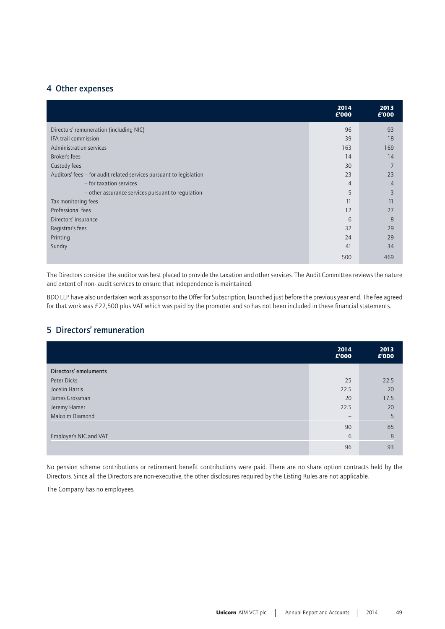### 4 Other expenses

|                                                                     | 2014<br>£'000  | 2013<br>£'000  |
|---------------------------------------------------------------------|----------------|----------------|
| Directors' remuneration (including NIC)                             | 96             | 93             |
| IFA trail commission                                                | 39             | 18             |
| Administration services                                             | 163            | 169            |
| Broker's fees                                                       | 14             | 14             |
| Custody fees                                                        | 30             | 7              |
| Auditors' fees - for audit related services pursuant to legislation | 23             | 23             |
| - for taxation services                                             | $\overline{4}$ | $\overline{4}$ |
| - other assurance services pursuant to regulation                   | 5              | $\overline{3}$ |
| Tax monitoring fees                                                 | 11             | 11             |
| Professional fees                                                   | 12             | 27             |
| Directors' insurance                                                | 6              | 8              |
| Registrar's fees                                                    | 32             | 29             |
| Printing                                                            | 24             | 29             |
| Sundry                                                              | 41             | 34             |
|                                                                     | 500            | 469            |

The Directors consider the auditor was best placed to provide the taxation and other services. The Audit Committee reviews the nature and extent of non- audit services to ensure that independence is maintained.

BDO LLP have also undertaken work as sponsor to the Offer for Subscription, launched just before the previous year end. The fee agreed for that work was £22,500 plus VAT which was paid by the promoter and so has not been included in these financial statements.

### 5 Directors' remuneration

|                        | 2014<br>£'000     | 2013<br>£'000 |
|------------------------|-------------------|---------------|
| Directors' emoluments  |                   |               |
| <b>Peter Dicks</b>     | 25                | 22.5          |
| Jocelin Harris         | 22.5              | 20            |
| James Grossman         | 20                | 17.5          |
| Jeremy Hamer           | 22.5              | 20            |
| Malcolm Diamond        | $\qquad \qquad -$ | 5             |
|                        | 90                | 85            |
| Employer's NIC and VAT | 6                 | 8             |
|                        | 96                | 93            |

No pension scheme contributions or retirement benefit contributions were paid. There are no share option contracts held by the Directors. Since all the Directors are non-executive, the other disclosures required by the Listing Rules are not applicable.

The Company has no employees.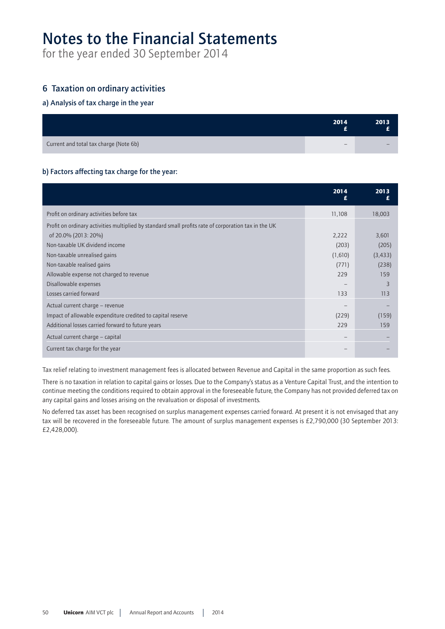# Notes to the Financial Statements

for the year ended 30 September 2014

### 6 Taxation on ordinary activities

### a) Analysis of tax charge in the year

|                                        | 2014 | 2013 |
|----------------------------------------|------|------|
| Current and total tax charge (Note 6b) |      |      |

### b) Factors affecting tax charge for the year:

|                                                                                                      | 2014<br>£ | 2013     |
|------------------------------------------------------------------------------------------------------|-----------|----------|
| Profit on ordinary activities before tax                                                             | 11,108    | 18,003   |
| Profit on ordinary activities multiplied by standard small profits rate of corporation tax in the UK |           |          |
| of 20.0% (2013: 20%)                                                                                 | 2,222     | 3,601    |
| Non-taxable UK dividend income                                                                       | (203)     | (205)    |
| Non-taxable unrealised gains                                                                         | (1,610)   | (3, 433) |
| Non-taxable realised gains                                                                           | (771)     | (238)    |
| Allowable expense not charged to revenue                                                             | 229       | 159      |
| Disallowable expenses                                                                                |           | 3        |
| Losses carried forward                                                                               | 133       | 113      |
| Actual current charge - revenue                                                                      |           |          |
| Impact of allowable expenditure credited to capital reserve                                          | (229)     | (159)    |
| Additional losses carried forward to future years                                                    | 229       | 159      |
| Actual current charge – capital                                                                      |           |          |
| Current tax charge for the year                                                                      |           |          |

Tax relief relating to investment management fees is allocated between Revenue and Capital in the same proportion as such fees.

There is no taxation in relation to capital gains or losses. Due to the Company's status as a Venture Capital Trust, and the intention to continue meeting the conditions required to obtain approval in the foreseeable future, the Company has not provided deferred tax on any capital gains and losses arising on the revaluation or disposal of investments.

No deferred tax asset has been recognised on surplus management expenses carried forward. At present it is not envisaged that any tax will be recovered in the foreseeable future. The amount of surplus management expenses is £2,790,000 (30 September 2013: £2,428,000).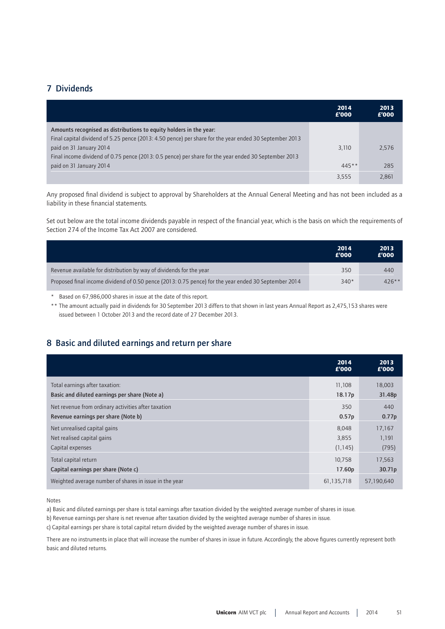### 7 Dividends

|                                                                                                                                   | 2014<br>£'000 | 2013<br>£'000 |
|-----------------------------------------------------------------------------------------------------------------------------------|---------------|---------------|
| Amounts recognised as distributions to equity holders in the year:                                                                |               |               |
| Final capital dividend of 5.25 pence (2013: 4.50 pence) per share for the year ended 30 September 2013<br>paid on 31 January 2014 | 3.110         | 2.576         |
| Final income dividend of 0.75 pence (2013: 0.5 pence) per share for the year ended 30 September 2013<br>paid on 31 January 2014   | $445**$       | 285           |
|                                                                                                                                   | 3.555         | 2.861         |

Any proposed final dividend is subject to approval by Shareholders at the Annual General Meeting and has not been included as a liability in these financial statements.

Set out below are the total income dividends payable in respect of the financial year, which is the basis on which the requirements of Section 274 of the Income Tax Act 2007 are considered.

|                                                                                                      | 2014<br>£'000 | 2013<br>£'000 |
|------------------------------------------------------------------------------------------------------|---------------|---------------|
| Revenue available for distribution by way of dividends for the year                                  | 350           | 440           |
| Proposed final income dividend of 0.50 pence (2013: 0.75 pence) for the year ended 30 September 2014 | $340*$        | $426**$       |

\* Based on 67,986,000 shares in issue at the date of this report.

\*\* The amount actually paid in dividends for 30 September 2013 differs to that shown in last years Annual Report as 2,475,153 shares were issued between 1 October 2013 and the record date of 27 December 2013.

### 8 Basic and diluted earnings and return per share

| 2014              | 2013                           |
|-------------------|--------------------------------|
| E'000             | £'000                          |
| 11.108            | 18,003                         |
| 18.17p            | 31.48p                         |
| 350               | 440                            |
| 0.57 <sub>p</sub> | 0.77p                          |
| 8,048             | 17.167                         |
| 3,855             | 1,191                          |
| (1, 145)          | (795)                          |
| 10.758<br>17.60p  | 17,563<br>30.71p<br>57,190,640 |
|                   | 61,135,718                     |

Notes

a) Basic and diluted earnings per share is total earnings after taxation divided by the weighted average number of shares in issue.

b) Revenue earnings per share is net revenue after taxation divided by the weighted average number of shares in issue.

c) Capital earnings per share is total capital return divided by the weighted average number of shares in issue.

There are no instruments in place that will increase the number of shares in issue in future. Accordingly, the above figures currently represent both basic and diluted returns.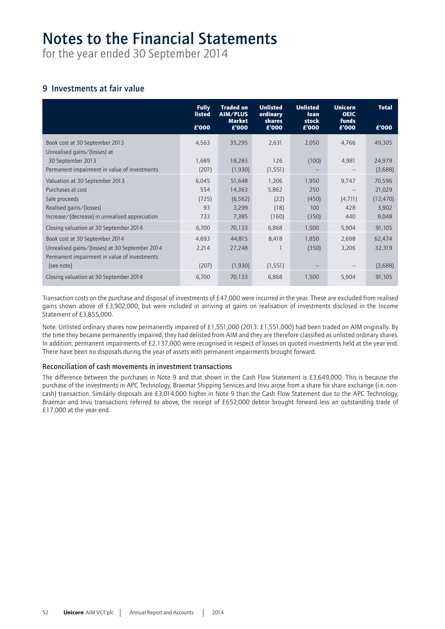# Notes to the Financial Statements

for the year ended 30 September 2014

### 9 Investments at fair value

|                                                                                                                                  | <b>Fully</b><br><b>listed</b><br>£'000 | <b>Traded on</b><br><b>AIM/PLUS</b><br><b>Market</b><br>£'000 | <b>Unlisted</b><br>ordinary<br><b>shares</b><br>£'000 | <b>Unlisted</b><br>loan<br>stock<br>£'000 | <b>Unicorn</b><br><b>OEIC</b><br>funds<br>£'000 | <b>Total</b><br>£'000 |
|----------------------------------------------------------------------------------------------------------------------------------|----------------------------------------|---------------------------------------------------------------|-------------------------------------------------------|-------------------------------------------|-------------------------------------------------|-----------------------|
| Book cost at 30 September 2013<br>Unrealised gains/(losses) at                                                                   | 4,563                                  | 35,295                                                        | 2,631                                                 | 2,050                                     | 4,766                                           | 49,305                |
| 30 September 2013<br>Permanent impairment in value of investments                                                                | 1,689<br>(207)                         | 18,283<br>(1,930)                                             | 126<br>(1, 551)                                       | (100)                                     | 4,981                                           | 24,979<br>(3,688)     |
| Valuation at 30 September 2013<br>Purchases at cost                                                                              | 6,045<br>554                           | 51,648<br>14,363                                              | 1,206<br>5,862                                        | 1,950<br>250                              | 9,747                                           | 70,596<br>21,029      |
| Sale proceeds<br>Realised gains/(losses)                                                                                         | (725)<br>93                            | (6, 562)<br>3,299                                             | (22)<br>(18)                                          | (450)<br>100                              | (4,711)<br>428                                  | (12, 470)<br>3,902    |
| Increase/(decrease) in unrealised appreciation<br>Closing valuation at 30 September 2014                                         | 733<br>6,700                           | 7,385<br>70,133                                               | (160)<br>6,868                                        | (350)<br>1,500                            | 440<br>5,904                                    | 8,048<br>91,105       |
| Book cost at 30 September 2014<br>Unrealised gains/(losses) at 30 September 2014<br>Permanent impairment in value of investments | 4,693<br>2,214                         | 44,815<br>27,248                                              | 8,418                                                 | 1,850<br>(350)                            | 2,698<br>3,206                                  | 62,474<br>32,319      |
| (see note)<br>Closing valuation at 30 September 2014                                                                             | (207)<br>6,700                         | (1,930)<br>70,133                                             | (1, 551)<br>6,868                                     | 1,500                                     | 5,904                                           | (3,688)<br>91,105     |

Transaction costs on the purchase and disposal of investments of £47,000 were incurred in the year. These are excluded from realised gains shown above of £3,902,000, but were included in arriving at gains on realisation of investments disclosed in the Income Statement of £3,855,000.

Note: Unlisted ordinary shares now permanently impaired of £1,551,000 (2013: £1,551,000) had been traded on AIM originally. By the time they became permanently impaired, they had delisted from AIM and they are therefore classified as unlisted ordinary shares. In addition, permanent impairments of £2,137,000 were recognised in respect of losses on quoted investments held at the year end. There have been no disposals during the year of assets with permanent impairments brought forward.

### Reconciliation of cash movements in investment transactions

The difference between the purchases in Note 9 and that shown in the Cash Flow Statement is £3,649,000. This is because the purchase of the investments in APC Technology, Braemar Shipping Services and Invu arose from a share for share exchange (i.e. noncash) transaction. Similarly disposals are £3,014,000 higher in Note 9 than the Cash Flow Statement due to the APC Technology, Braemar and Invu transactions referred to above, the receipt of £652,000 debtor brought forward less an outstanding trade of £17,000 at the year end.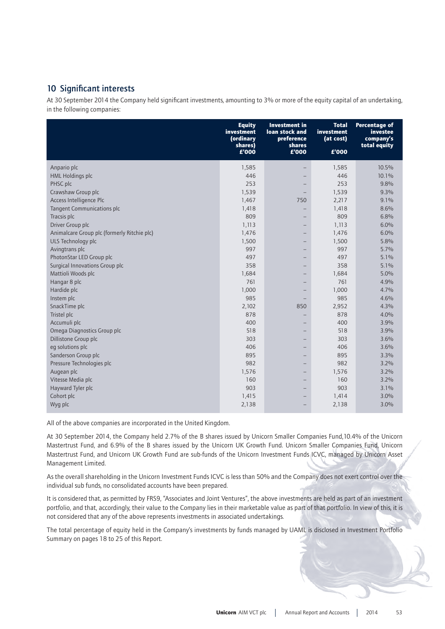### 10 Significant interests

At 30 September 2014 the Company held significant investments, amounting to 3% or more of the equity capital of an undertaking, in the following companies:

|                                             | <b>Equity</b><br>investment<br>(ordinary<br>shares)<br>£'000 | <b>Investment in</b><br>loan stock and<br>preference<br>shares<br>£'000 | <b>Total</b><br>investment<br>(at cost)<br>£'000 | <b>Percentage of</b><br>investee<br>company's<br>total equity |
|---------------------------------------------|--------------------------------------------------------------|-------------------------------------------------------------------------|--------------------------------------------------|---------------------------------------------------------------|
| Anpario plc                                 | 1,585                                                        | $\overline{\phantom{0}}$                                                | 1,585                                            | 10.5%                                                         |
| HML Holdings plc                            | 446                                                          | $\overline{\phantom{0}}$                                                | 446                                              | 10.1%                                                         |
| PHSC plc                                    | 253                                                          | $\overline{\phantom{0}}$                                                | 253                                              | 9.8%                                                          |
| Crawshaw Group plc                          | 1,539                                                        | $\equiv$                                                                | 1,539                                            | 9.3%                                                          |
| Access Intelligence Plc                     | 1,467                                                        | 750                                                                     | 2,217                                            | 9.1%                                                          |
| Tangent Communications plc                  | 1,418                                                        |                                                                         | 1,418                                            | 8.6%                                                          |
| Tracsis plc                                 | 809                                                          | $\qquad \qquad -$                                                       | 809                                              | 6.8%                                                          |
| Driver Group plc                            | 1,113                                                        | $\qquad \qquad -$                                                       | 1,113                                            | 6.0%                                                          |
| Animalcare Group plc (formerly Ritchie plc) | 1,476                                                        | $\qquad \qquad -$                                                       | 1,476                                            | 6.0%                                                          |
| ULS Technology plc                          | 1,500                                                        | $\qquad \qquad -$                                                       | 1,500                                            | 5.8%                                                          |
| Avingtrans plc                              | 997                                                          | $\qquad \qquad -$                                                       | 997                                              | 5.7%                                                          |
| PhotonStar LED Group plc                    | 497                                                          | $\qquad \qquad -$                                                       | 497                                              | 5.1%                                                          |
| Surgical Innovations Group plc              | 358                                                          | $\qquad \qquad -$                                                       | 358                                              | 5.1%                                                          |
| Mattioli Woods plc                          | 1,684                                                        | $\qquad \qquad -$                                                       | 1,684                                            | 5.0%                                                          |
| Hangar 8 plc                                | 761                                                          | $\qquad \qquad -$                                                       | 761                                              | 4.9%                                                          |
| Hardide plc                                 | 1,000                                                        | $\qquad \qquad -$                                                       | 1,000                                            | 4.7%                                                          |
| Instem plc                                  | 985                                                          | $\overline{\phantom{0}}$                                                | 985                                              | 4.6%                                                          |
| SnackTime plc                               | 2,102                                                        | 850                                                                     | 2,952                                            | 4.3%                                                          |
| Tristel plc                                 | 878                                                          | $\qquad \qquad -$                                                       | 878                                              | 4.0%                                                          |
| Accumuli plc                                | 400                                                          | $\qquad \qquad -$                                                       | 400                                              | 3.9%                                                          |
| Omega Diagnostics Group plc                 | 518                                                          | $\qquad \qquad -$                                                       | 518                                              | 3.9%                                                          |
| Dillistone Group plc                        | 303                                                          | $\qquad \qquad -$                                                       | 303                                              | 3.6%                                                          |
| eq solutions plc                            | 406                                                          | $\qquad \qquad -$                                                       | 406                                              | 3.6%                                                          |
| Sanderson Group plc                         | 895                                                          | $\qquad \qquad -$                                                       | 895                                              | 3.3%                                                          |
| Pressure Technologies plc                   | 982                                                          | $-$                                                                     | 982                                              | 3.2%                                                          |
| Augean plc                                  | 1,576                                                        | $-$                                                                     | 1,576                                            | 3.2%                                                          |
| Vitesse Media plc                           | 160                                                          |                                                                         | 160                                              | 3.2%                                                          |
| Hayward Tyler plc                           | 903                                                          | $\overline{\phantom{0}}$                                                | 903                                              | 3.1%                                                          |
| Cohort plc                                  | 1,415                                                        | $\overline{\phantom{0}}$                                                | 1,414                                            | 3.0%                                                          |
| Wyg plc                                     | 2,138                                                        | $\overline{\phantom{m}}$                                                | 2,138                                            | 3.0%                                                          |
|                                             |                                                              |                                                                         |                                                  |                                                               |

All of the above companies are incorporated in the United Kingdom.

At 30 September 2014, the Company held 2.7% of the B shares issued by Unicorn Smaller Companies Fund,10.4% of the Unicorn Mastertrust Fund, and 6.9% of the B shares issued by the Unicorn UK Growth Fund. Unicorn Smaller Companies Fund, Unicorn Mastertrust Fund, and Unicorn UK Growth Fund are sub-funds of the Unicorn Investment Funds ICVC, managed by Unicorn Asset Management Limited.

As the overall shareholding in the Unicorn Investment Funds ICVC is less than 50% and the Company does not exert control over the individual sub funds, no consolidated accounts have been prepared.

It is considered that, as permitted by FRS9, "Associates and Joint Ventures", the above investments are held as part of an investment portfolio, and that, accordingly, their value to the Company lies in their marketable value as part of that portfolio. In view of this, it is not considered that any of the above represents investments in associated undertakings.

The total percentage of equity held in the Company's investments by funds managed by UAML is disclosed in Investment Portfolio Summary on pages 18 to 25 of this Report.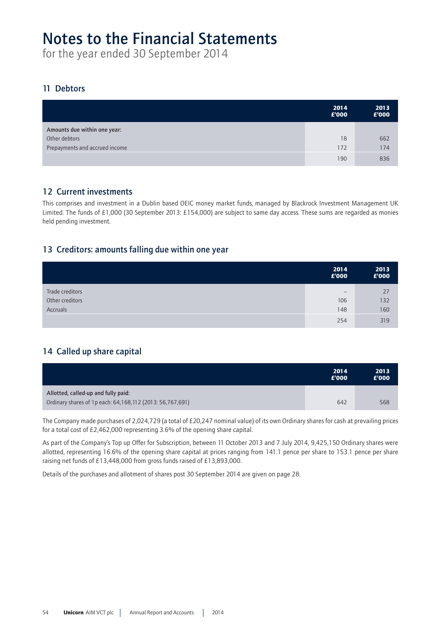# Notes to the Financial Statements

for the year ended 30 September 2014

### 11 Debtors

|                                | 2014<br>£'000 | 2013<br>£'000 |
|--------------------------------|---------------|---------------|
| Amounts due within one year:   |               |               |
| Other debtors                  | 18            | 662           |
| Prepayments and accrued income | 172           | 174           |
|                                | 190           | 836           |

### 12 Current investments

This comprises and investment in a Dublin based OEIC money market funds, managed by Blackrock Investment Management UK Limited. The funds of £1,000 (30 September 2013: £154,000) are subject to same day access. These sums are regarded as monies held pending investment.

### 13 Creditors: amounts falling due within one year

|                 | 2014<br>£'000     | 2013<br>£'000 |
|-----------------|-------------------|---------------|
| Trade creditors | $\qquad \qquad -$ | 27            |
| Other creditors | 106               | 132           |
| Accruals        | 148               | 160           |
|                 | 254               | 319           |

### 14 Called up share capital

|                                                                                                  | 2014<br>£'000 | 2013<br>£'000 |
|--------------------------------------------------------------------------------------------------|---------------|---------------|
| Allotted, called-up and fully paid:<br>Ordinary shares of 1p each: 64,168,112 (2013: 56,767,691) | 642           | 568           |

The Company made purchases of 2,024,729 (a total of £20,247 nominal value) of its own Ordinary shares for cash at prevailing prices for a total cost of £2,462,000 representing 3.6% of the opening share capital.

As part of the Company's Top up Offer for Subscription, between 11 October 2013 and 7 July 2014, 9,425,150 Ordinary shares were allotted, representing 16.6% of the opening share capital at prices ranging from 141.1 pence per share to 153.1 pence per share raising net funds of £13,448,000 from gross funds raised of £13,893,000.

Details of the purchases and allotment of shares post 30 September 2014 are given on page 28.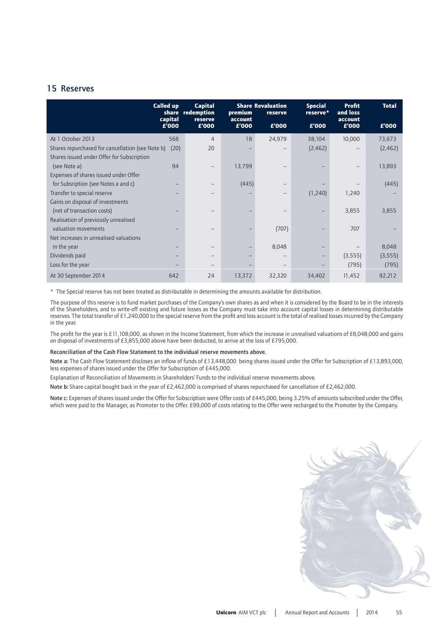### 15 Reserves

|                                                  | <b>Called up</b><br>capital | <b>Capital</b><br>share redemption<br>reserve | premium<br>account | <b>Share Revaluation</b><br>reserve | <b>Special</b><br>reserve* | <b>Profit</b><br>and loss<br>account | <b>Total</b> |
|--------------------------------------------------|-----------------------------|-----------------------------------------------|--------------------|-------------------------------------|----------------------------|--------------------------------------|--------------|
|                                                  | £'000                       | £'000                                         | £'000              | £'000                               | £'000                      | £'000                                | £'000        |
| At 1 October 2013                                | 568                         | $\overline{4}$                                | 18                 | 24,979                              | 38,104                     | 10,000                               | 73,673       |
| Shares repurchased for cancellation (see Note b) | (20)                        | 20                                            |                    |                                     | (2,462)                    | $\overline{\phantom{0}}$             | (2,462)      |
| Shares issued under Offer for Subscription       |                             |                                               |                    |                                     |                            |                                      |              |
| (see Note a)                                     | 94                          |                                               | 13,799             |                                     |                            |                                      | 13,893       |
| Expenses of shares issued under Offer            |                             |                                               |                    |                                     |                            |                                      |              |
| for Subsription (see Notes a and c)              |                             |                                               | (445)              | $\qquad \qquad -$                   |                            |                                      | (445)        |
| Transfer to special reserve                      |                             |                                               |                    | —                                   | (1,240)                    | 1,240                                |              |
| Gains on disposal of investments                 |                             |                                               |                    |                                     |                            |                                      |              |
| (net of transaction costs)                       |                             |                                               |                    |                                     |                            | 3,855                                | 3,855        |
| Realisation of previously unrealised             |                             |                                               |                    |                                     |                            |                                      |              |
| valuation movements                              |                             |                                               |                    | (707)                               |                            | 707                                  |              |
| Net increases in unrealised valuations           |                             |                                               |                    |                                     |                            |                                      |              |
| in the year                                      |                             |                                               |                    | 8,048                               |                            |                                      | 8,048        |
| Dividends paid                                   |                             |                                               |                    | $\overline{\phantom{0}}$            | $\qquad \qquad -$          | (3, 555)                             | (3, 555)     |
| Loss for the year                                |                             |                                               |                    |                                     |                            | (795)                                | (795)        |
| At 30 September 2014                             | 642                         | 24                                            | 13,372             | 32,320                              | 34,402                     | 11,452                               | 92,212       |

\* The Special reserve has not been treated as distributable in determining the amounts available for distribution.

The purpose of this reserve is to fund market purchases of the Company's own shares as and when it is considered by the Board to be in the interests of the Shareholders, and to write-off existing and future losses as the Company must take into account capital losses in determining distributable reserves. The total transfer of £1,240,000 to the special reserve from the profit and loss account is the total of realised losses incurred by the Company in the year.

The profit for the year is £11,108,000, as shown in the Income Statement, from which the increase in unrealised valuations of £8,048,000 and gains on disposal of investments of £3,855,000 above have been deducted, to arrive at the loss of £795,000.

#### Reconciliation of the Cash Flow Statement to the individual reserve movements above.

Note a: The Cash Flow Statement discloses an inflow of funds of £13,448,000 being shares issued under the Offer for Subscription of £13,893,000, less expenses of shares issued under the Offer for Subscription of £445,000.

Explanation of Reconciliation of Movements in Shareholders' Funds to the individual reserve movements above.

Note b: Share capital bought back in the year of £2,462,000 is comprised of shares repurchased for cancellation of £2,462,000.

Note c: Expenses of shares issued under the Offer for Subscription were Offer costs of £445,000, being 3.25% of amounts subscribed under the Offer, which were paid to the Manager, as Promoter to the Offer. £99,000 of costs relating to the Offer were recharged to the Promoter by the Company.

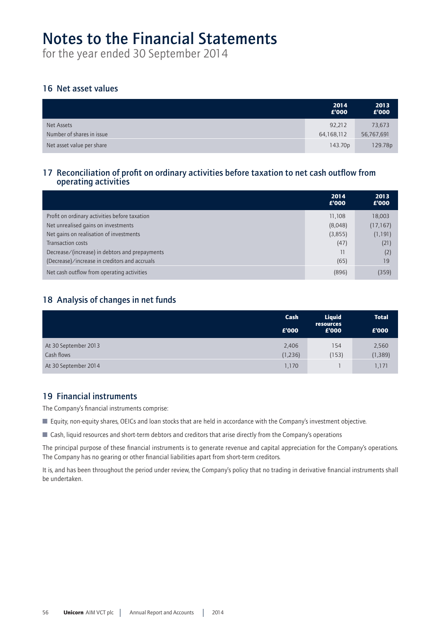# Notes to the Financial Statements

for the year ended 30 September 2014

### 16 Net asset values

|                           | 2014<br>£'000 | 2013<br>$E'$ 000 |
|---------------------------|---------------|------------------|
| Net Assets                | 92,212        | 73,673           |
| Number of shares in issue | 64,168,112    | 56,767,691       |
| Net asset value per share | 143.70p       | 129.78p          |

### 17 Reconciliation of profit on ordinary activities before taxation to net cash outflow from operating activities

|                                                | 2014<br>£'000 | 2013<br>£'000 |
|------------------------------------------------|---------------|---------------|
| Profit on ordinary activities before taxation  | 11,108        | 18,003        |
| Net unrealised gains on investments            | (8,048)       | (17, 167)     |
| Net gains on realisation of investments        | (3,855)       | (1, 191)      |
| Transaction costs                              | (47)          | (21)          |
| Decrease/(increase) in debtors and prepayments | 11            | (2)           |
| (Decrease)/increase in creditors and accruals  | (65)          | 19            |
| Net cash outflow from operating activities     | (896)         | (359)         |

### 18 Analysis of changes in net funds

|                                    | Cash<br>£'000     | <b>Liquid</b><br>resources<br>£'000 | <b>Total</b><br>£'000 |
|------------------------------------|-------------------|-------------------------------------|-----------------------|
| At 30 September 2013<br>Cash flows | 2,406<br>(1, 236) | 154<br>(153)                        | 2,560<br>(1, 389)     |
| At 30 September 2014               | 1,170             |                                     | 1,171                 |

### 19 Financial instruments

The Company's financial instruments comprise:

- Equity, non-equity shares, OEICs and loan stocks that are held in accordance with the Company's investment objective.
- Cash, liquid resources and short-term debtors and creditors that arise directly from the Company's operations

The principal purpose of these financial instruments is to generate revenue and capital appreciation for the Company's operations. The Company has no gearing or other financial liabilities apart from short-term creditors.

It is, and has been throughout the period under review, the Company's policy that no trading in derivative financial instruments shall be undertaken.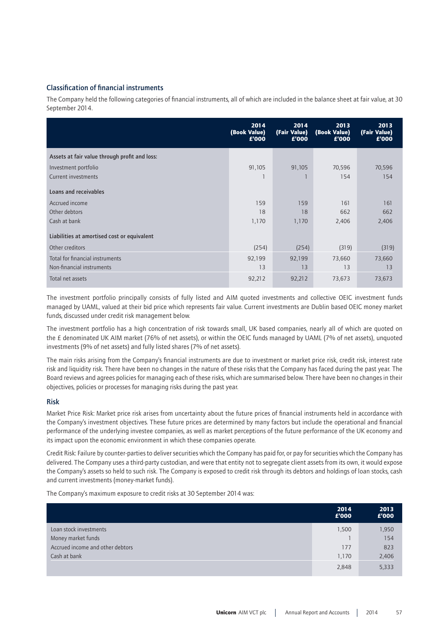#### Classification of financial instruments

The Company held the following categories of financial instruments, all of which are included in the balance sheet at fair value, at 30 September 2014.

|                                               | 2014<br><b>(Book Value)</b><br>£'000 | 2014<br>(Fair Value)<br>£'000 | 2013<br>(Book Value)<br>£'000 | 2013<br>(Fair Value)<br>E'000 |
|-----------------------------------------------|--------------------------------------|-------------------------------|-------------------------------|-------------------------------|
| Assets at fair value through profit and loss: |                                      |                               |                               |                               |
| Investment portfolio                          | 91,105                               | 91,105                        | 70,596                        | 70,596                        |
| Current investments                           |                                      |                               | 154                           | 154                           |
| Loans and receivables                         |                                      |                               |                               |                               |
| Accrued income                                | 159                                  | 159                           | 161                           | 161                           |
| Other debtors                                 | 18                                   | 18                            | 662                           | 662                           |
| Cash at bank                                  | 1,170                                | 1,170                         | 2,406                         | 2,406                         |
| Liabilities at amortised cost or equivalent   |                                      |                               |                               |                               |
| Other creditors                               | (254)                                | (254)                         | (319)                         | (319)                         |
| Total for financial instruments               | 92,199                               | 92,199                        | 73,660                        | 73,660                        |
| Non-financial instruments                     | 13                                   | 13                            | 13                            | 13                            |
| Total net assets                              | 92,212                               | 92,212                        | 73,673                        | 73,673                        |

The investment portfolio principally consists of fully listed and AIM quoted investments and collective OEIC investment funds managed by UAML, valued at their bid price which represents fair value. Current investments are Dublin based OEIC money market funds, discussed under credit risk management below.

The investment portfolio has a high concentration of risk towards small, UK based companies, nearly all of which are quoted on the £ denominated UK AIM market (76% of net assets), or within the OEIC funds managed by UAML (7% of net assets), unquoted investments (9% of net assets) and fully listed shares (7% of net assets).

The main risks arising from the Company's financial instruments are due to investment or market price risk, credit risk, interest rate risk and liquidity risk. There have been no changes in the nature of these risks that the Company has faced during the past year. The Board reviews and agrees policies for managing each of these risks, which are summarised below. There have been no changes in their objectives, policies or processes for managing risks during the past year.

#### Risk

Market Price Risk: Market price risk arises from uncertainty about the future prices of financial instruments held in accordance with the Company's investment objectives. These future prices are determined by many factors but include the operational and financial performance of the underlying investee companies, as well as market perceptions of the future performance of the UK economy and its impact upon the economic environment in which these companies operate.

Credit Risk: Failure by counter-parties to deliver securities which the Company has paid for, or pay for securities which the Company has delivered. The Company uses a third-party custodian, and were that entity not to segregate client assets from its own, it would expose the Company's assets so held to such risk. The Company is exposed to credit risk through its debtors and holdings of loan stocks, cash and current investments (money-market funds).

The Company's maximum exposure to credit risks at 30 September 2014 was:

|                                  | 2014<br>£'000 | 2013<br>£'000 |
|----------------------------------|---------------|---------------|
| Loan stock investments           | 1,500         | 1,950         |
| Money market funds               |               | 154           |
| Accrued income and other debtors | 177           | 823           |
| Cash at bank                     | 1,170         | 2,406         |
|                                  | 2,848         | 5,333         |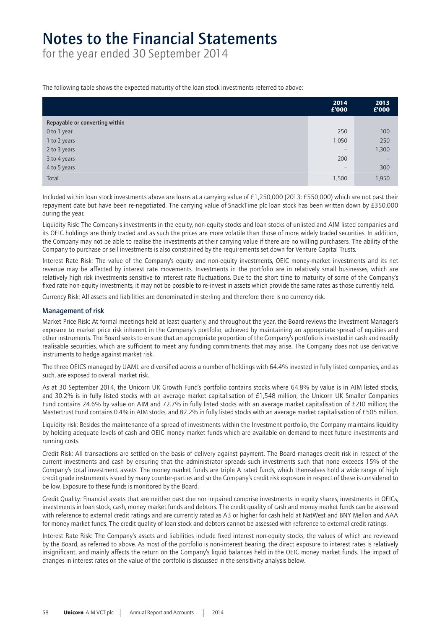# Notes to the Financial Statements

for the year ended 30 September 2014

The following table shows the expected maturity of the loan stock investments referred to above:

|                                | 2014<br>£'000            | 2013<br>£'000            |
|--------------------------------|--------------------------|--------------------------|
| Repayable or converting within |                          |                          |
| O to 1 year                    | 250                      | 100                      |
| 1 to 2 years                   | 1,050                    | 250                      |
| 2 to 3 years                   | $\qquad \qquad -$        | 1,300                    |
| 3 to 4 years                   | 200                      | $\overline{\phantom{m}}$ |
| 4 to 5 years                   | $\overline{\phantom{m}}$ | 300                      |
| Total                          | 1,500                    | 1,950                    |

Included within loan stock investments above are loans at a carrying value of £1,250,000 (2013: £550,000) which are not past their repayment date but have been re-negotiated. The carrying value of SnackTime plc loan stock has been written down by £350,000 during the year.

Liquidity Risk: The Company's investments in the equity, non-equity stocks and loan stocks of unlisted and AIM listed companies and its OEIC holdings are thinly traded and as such the prices are more volatile than those of more widely traded securities. In addition, the Company may not be able to realise the investments at their carrying value if there are no willing purchasers. The ability of the Company to purchase or sell investments is also constrained by the requirements set down for Venture Capital Trusts.

Interest Rate Risk: The value of the Company's equity and non-equity investments, OEIC money-market investments and its net revenue may be affected by interest rate movements. Investments in the portfolio are in relatively small businesses, which are relatively high risk investments sensitive to interest rate fluctuations. Due to the short time to maturity of some of the Company's fixed rate non-equity investments, it may not be possible to re-invest in assets which provide the same rates as those currently held.

Currency Risk: All assets and liabilities are denominated in sterling and therefore there is no currency risk.

#### Management of risk

Market Price Risk: At formal meetings held at least quarterly, and throughout the year, the Board reviews the Investment Manager's exposure to market price risk inherent in the Company's portfolio, achieved by maintaining an appropriate spread of equities and other instruments. The Board seeks to ensure that an appropriate proportion of the Company's portfolio is invested in cash and readily realisable securities, which are sufficient to meet any funding commitments that may arise. The Company does not use derivative instruments to hedge against market risk.

The three OEICS managed by UAML are diversified across a number of holdings with 64.4% invested in fully listed companies, and as such, are exposed to overall market risk.

As at 30 September 2014, the Unicorn UK Growth Fund's portfolio contains stocks where 64.8% by value is in AIM listed stocks, and 30.2% is in fully listed stocks with an average market capitalisation of £1,548 million; the Unicorn UK Smaller Companies Fund contains 24.6% by value on AIM and 72.7% in fully listed stocks with an average market capitalisation of £210 million; the Mastertrust Fund contains 0.4% in AIM stocks, and 82.2% in fully listed stocks with an average market capitalisation of £505 million.

Liquidity risk: Besides the maintenance of a spread of investments within the Investment portfolio, the Company maintains liquidity by holding adequate levels of cash and OEIC money market funds which are available on demand to meet future investments and running costs.

Credit Risk: All transactions are settled on the basis of delivery against payment. The Board manages credit risk in respect of the current investments and cash by ensuring that the administrator spreads such investments such that none exceeds 15% of the Company's total investment assets. The money market funds are triple A rated funds, which themselves hold a wide range of high credit grade instruments issued by many counter-parties and so the Company's credit risk exposure in respect of these is considered to be low. Exposure to these funds is monitored by the Board.

Credit Quality: Financial assets that are neither past due nor impaired comprise investments in equity shares, investments in OEICs, investments in loan stock, cash, money market funds and debtors. The credit quality of cash and money market funds can be assessed with reference to external credit ratings and are currently rated as A3 or higher for cash held at NatWest and BNY Mellon and AAA for money market funds. The credit quality of loan stock and debtors cannot be assessed with reference to external credit ratings.

Interest Rate Risk: The Company's assets and liabilities include fixed interest non-equity stocks, the values of which are reviewed by the Board, as referred to above. As most of the portfolio is non-interest bearing, the direct exposure to interest rates is relatively insignificant, and mainly affects the return on the Company's liquid balances held in the OEIC money market funds. The impact of changes in interest rates on the value of the portfolio is discussed in the sensitivity analysis below.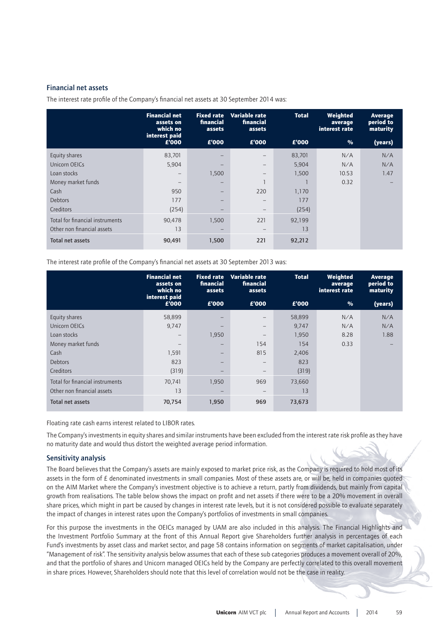#### Financial net assets

Financial net Fixed rate Variable rate Total Weighted Average assets on financial financial financial average period to the state of the state of the state of the state of <br>
assets assets the interest rate maturity assets assets assets interest rate maturity interest paid<br>000 *E* £'000 £'000 £'000 £'000 % (years) Equity shares 83,701 – – 83,701 N/A N/A Unicorn OEICs 5,904 – – 5,904 N/A N/A Loan stocks – 1,500 – 1,500 10.53 1.47 Money market funds – – 1 1 0.32 – Cash 950 – 220 1,170 Debtors 177 – – 177  $\text{Creditors}$  (254) – – – – (254) Total for financial instruments  $90,478$  1,500 221 92,199 Other non financial assets 13 – – 13 Total net assets 90,491 1,500 221 92,212

The interest rate profile of the Company's financial net assets at 30 September 2014 was:

The interest rate profile of the Company's financial net assets at 30 September 2013 was:

|                                 | <b>Financial net</b><br>assets on<br>which no<br>interest paid | <b>Fixed rate</b><br>financial<br>assets | Variable rate<br>financial<br>assets | <b>Total</b> | Weighted<br>average<br>interest rate | <b>Average</b><br>period to<br>maturity |
|---------------------------------|----------------------------------------------------------------|------------------------------------------|--------------------------------------|--------------|--------------------------------------|-----------------------------------------|
|                                 | £'000                                                          | E'000                                    | E'000                                | £'000        | $\%$                                 | (years)                                 |
| Equity shares                   | 58,899                                                         | $\overline{\phantom{0}}$                 | $\overline{\phantom{0}}$             | 58,899       | N/A                                  | N/A                                     |
| Unicorn OEICs                   | 9,747                                                          |                                          | $\overline{\phantom{0}}$             | 9,747        | N/A                                  | N/A                                     |
| Loan stocks                     | $\overline{\phantom{0}}$                                       | 1,950                                    | $\overline{\phantom{0}}$             | 1,950        | 8.28                                 | 1.88                                    |
| Money market funds              | $\overline{\phantom{0}}$                                       | $-$                                      | 154                                  | 154          | 0.33                                 |                                         |
| Cash                            | 1,591                                                          | $-$                                      | 815                                  | 2,406        |                                      |                                         |
| <b>Debtors</b>                  | 823                                                            | $-$                                      | $\overline{\phantom{0}}$             | 823          |                                      |                                         |
| Creditors                       | (319)                                                          | $-$                                      | $-$                                  | (319)        |                                      |                                         |
| Total for financial instruments | 70,741                                                         | 1,950                                    | 969                                  | 73,660       |                                      |                                         |
| Other non financial assets      | 13                                                             | $\overline{\phantom{0}}$                 | $\overline{\phantom{0}}$             | 13           |                                      |                                         |
| <b>Total net assets</b>         | 70,754                                                         | 1,950                                    | 969                                  | 73,673       |                                      |                                         |

Floating rate cash earns interest related to LIBOR rates.

The Company's investments in equity shares and similar instruments have been excluded from the interest rate risk profile as they have no maturity date and would thus distort the weighted average period information.

#### Sensitivity analysis

The Board believes that the Company's assets are mainly exposed to market price risk, as the Company is required to hold most of its assets in the form of £ denominated investments in small companies. Most of these assets are, or will be, held in companies quoted on the AIM Market where the Company's investment objective is to achieve a return, partly from dividends, but mainly from capital growth from realisations. The table below shows the impact on profit and net assets if there were to be a 20% movement in overall share prices, which might in part be caused by changes in interest rate levels, but it is not considered possible to evaluate separately the impact of changes in interest rates upon the Company's portfolios of investments in small companies.

For this purpose the investments in the OEICs managed by UAM are also included in this analysis. The Financial Highlights and the Investment Portfolio Summary at the front of this Annual Report give Shareholders further analysis in percentages of each Fund's investments by asset class and market sector, and page 58 contains information on segments of market capitalisation, under "Management of risk". The sensitivity analysis below assumes that each of these sub categories produces a movement overall of 20%, and that the portfolio of shares and Unicorn managed OEICs held by the Company are perfectly correlated to this overall movement in share prices. However, Shareholders should note that this level of correlation would not be the case in reality.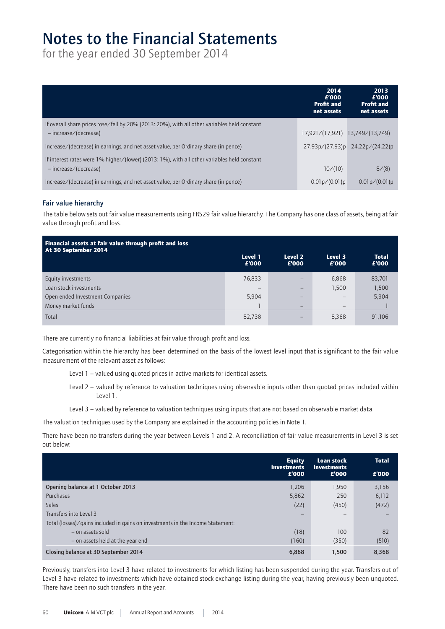# Notes to the Financial Statements

for the year ended 30 September 2014

|                                                                                                                         | 2014<br>£'000<br><b>Profit and</b><br>net assets | 2013<br>£'000<br><b>Profit and</b><br>net assets |
|-------------------------------------------------------------------------------------------------------------------------|--------------------------------------------------|--------------------------------------------------|
| If overall share prices rose/fell by 20% (2013: 20%), with all other variables held constant<br>$-$ increase/(decrease) | 17,921/(17,921) 13,749/(13,749)                  |                                                  |
| Increase/(decrease) in earnings, and net asset value, per Ordinary share (in pence)                                     |                                                  | 27.93p/(27.93)p 24.22p/(24.22)p                  |
| If interest rates were 1% higher/(lower) (2013: 1%), with all other variables held constant<br>$-$ increase/(decrease)  | 10/(10)                                          | 8/(8)                                            |
| Increase/(decrease) in earnings, and net asset value, per Ordinary share (in pence)                                     | 0.01 p/(0.01)p                                   | 0.01 p/(0.01)p                                   |

### Fair value hierarchy

The table below sets out fair value measurements using FRS29 fair value hierarchy. The Company has one class of assets, being at fair value through profit and loss.

| Financial assets at fair value through profit and loss<br>At 30 September 2014 |                  |                             |                          |                       |
|--------------------------------------------------------------------------------|------------------|-----------------------------|--------------------------|-----------------------|
|                                                                                | Level 1<br>E'000 | Level <sub>2</sub><br>£'000 | Level 3<br>£'000         | <b>Total</b><br>E'000 |
| Equity investments                                                             | 76,833           | -                           | 6,868                    | 83,701                |
| Loan stock investments                                                         |                  | $\overline{\phantom{0}}$    | 1.500                    | 1,500                 |
| Open ended Investment Companies                                                | 5,904            | $\overline{\phantom{0}}$    | $\overline{\phantom{m}}$ | 5,904                 |
| Money market funds                                                             |                  | $\qquad \qquad -$           |                          |                       |
| Total                                                                          | 82,738           | $\overline{\phantom{0}}$    | 8,368                    | 91,106                |

There are currently no financial liabilities at fair value through profit and loss.

Categorisation within the hierarchy has been determined on the basis of the lowest level input that is significant to the fair value measurement of the relevant asset as follows:

- Level 1 valued using quoted prices in active markets for identical assets.
- Level 2 valued by reference to valuation techniques using observable inputs other than quoted prices included within Level 1.

Level 3 – valued by reference to valuation techniques using inputs that are not based on observable market data.

The valuation techniques used by the Company are explained in the accounting policies in Note 1.

There have been no transfers during the year between Levels 1 and 2. A reconciliation of fair value measurements in Level 3 is set out below:

|                                                                                | <b>Equity</b><br>investments<br>£'000 | <b>Loan stock</b><br><b>investments</b><br>£'000 | <b>Total</b><br>£'000 |
|--------------------------------------------------------------------------------|---------------------------------------|--------------------------------------------------|-----------------------|
| Opening balance at 1 October 2013                                              | 1.206                                 | 1.950                                            | 3,156                 |
| Purchases                                                                      | 5,862                                 | 250                                              | 6,112                 |
| Sales                                                                          | (22)                                  | (450)                                            | (472)                 |
| Transfers into Level 3                                                         | $\overline{\phantom{0}}$              | $\qquad \qquad -$                                |                       |
| Total (losses)/gains included in gains on investments in the Income Statement: |                                       |                                                  |                       |
| - on assets sold                                                               | (18)                                  | 100                                              | 82                    |
| - on assets held at the year end                                               | (160)                                 | (350)                                            | (510)                 |
| Closing balance at 30 September 2014                                           | 6,868                                 | 1.500                                            | 8.368                 |

Previously, transfers into Level 3 have related to investments for which listing has been suspended during the year. Transfers out of Level 3 have related to investments which have obtained stock exchange listing during the year, having previously been unquoted. There have been no such transfers in the year.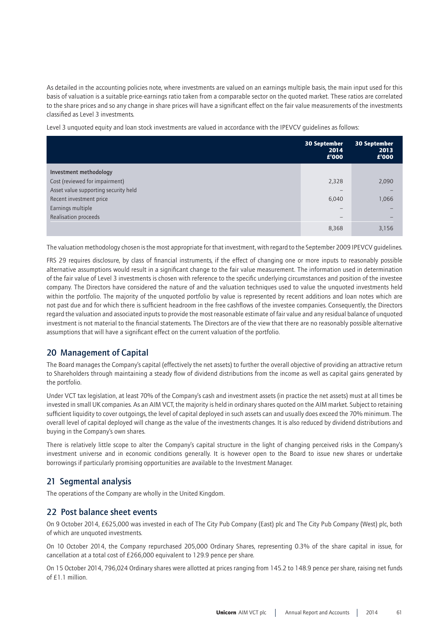As detailed in the accounting policies note, where investments are valued on an earnings multiple basis, the main input used for this basis of valuation is a suitable price-earnings ratio taken from a comparable sector on the quoted market. These ratios are correlated to the share prices and so any change in share prices will have a significant effect on the fair value measurements of the investments classified as Level 3 investments.

Level 3 unquoted equity and loan stock investments are valued in accordance with the IPEVCV guidelines as follows:

|                                      | <b>30 September</b><br>2014<br>£'000 | <b>30 September</b><br>2013<br>£'000 |
|--------------------------------------|--------------------------------------|--------------------------------------|
| Investment methodology               |                                      |                                      |
| Cost (reviewed for impairment)       | 2,328                                | 2,090                                |
| Asset value supporting security held | $\qquad \qquad \blacksquare$         |                                      |
| Recent investment price              | 6,040                                | 1,066                                |
| Earnings multiple                    | $\qquad \qquad -$                    |                                      |
| Realisation proceeds                 | $\overline{\phantom{0}}$             | $\overline{\phantom{0}}$             |
|                                      | 8,368                                | 3,156                                |

The valuation methodology chosen is the most appropriate for that investment, with regard to the September 2009 IPEVCV guidelines.

FRS 29 requires disclosure, by class of financial instruments, if the effect of changing one or more inputs to reasonably possible alternative assumptions would result in a significant change to the fair value measurement. The information used in determination of the fair value of Level 3 investments is chosen with reference to the specific underlying circumstances and position of the investee company. The Directors have considered the nature of and the valuation techniques used to value the unquoted investments held within the portfolio. The majority of the unquoted portfolio by value is represented by recent additions and loan notes which are not past due and for which there is sufficient headroom in the free cashflows of the investee companies. Consequently, the Directors regard the valuation and associated inputs to provide the most reasonable estimate of fair value and any residual balance of unquoted investment is not material to the financial statements. The Directors are of the view that there are no reasonably possible alternative assumptions that will have a significant effect on the current valuation of the portfolio.

### 20 Management of Capital

The Board manages the Company's capital (effectively the net assets) to further the overall objective of providing an attractive return to Shareholders through maintaining a steady flow of dividend distributions from the income as well as capital gains generated by the portfolio.

Under VCT tax legislation, at least 70% of the Company's cash and investment assets (in practice the net assets) must at all times be invested in small UK companies. As an AIM VCT, the majority is held in ordinary shares quoted on the AIM market. Subject to retaining sufficient liquidity to cover outgoings, the level of capital deployed in such assets can and usually does exceed the 70% minimum. The overall level of capital deployed will change as the value of the investments changes. It is also reduced by dividend distributions and buying in the Company's own shares.

There is relatively little scope to alter the Company's capital structure in the light of changing perceived risks in the Company's investment universe and in economic conditions generally. It is however open to the Board to issue new shares or undertake borrowings if particularly promising opportunities are available to the Investment Manager.

### 21 Segmental analysis

The operations of the Company are wholly in the United Kingdom.

### 22 Post balance sheet events

On 9 October 2014, £625,000 was invested in each of The City Pub Company (East) plc and The City Pub Company (West) plc, both of which are unquoted investments.

On 10 October 2014, the Company repurchased 205,000 Ordinary Shares, representing 0.3% of the share capital in issue, for cancellation at a total cost of £266,000 equivalent to 129.9 pence per share.

On 15 October 2014, 796,024 Ordinary shares were allotted at prices ranging from 145.2 to 148.9 pence per share, raising net funds of £1.1 million.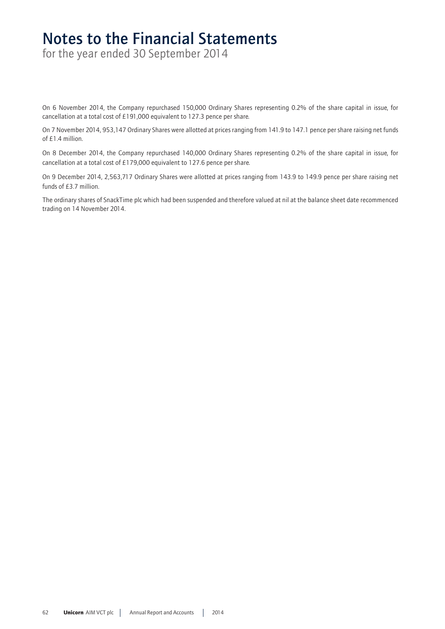# Notes to the Financial Statements

for the year ended 30 September 2014

On 6 November 2014, the Company repurchased 150,000 Ordinary Shares representing 0.2% of the share capital in issue, for cancellation at a total cost of £191,000 equivalent to 127.3 pence per share.

On 7 November 2014, 953,147 Ordinary Shares were allotted at prices ranging from 141.9 to 147.1 pence per share raising net funds of £1.4 million.

On 8 December 2014, the Company repurchased 140,000 Ordinary Shares representing 0.2% of the share capital in issue, for cancellation at a total cost of £179,000 equivalent to 127.6 pence per share.

On 9 December 2014, 2,563,717 Ordinary Shares were allotted at prices ranging from 143.9 to 149.9 pence per share raising net funds of £3.7 million.

The ordinary shares of SnackTime plc which had been suspended and therefore valued at nil at the balance sheet date recommenced trading on 14 November 2014.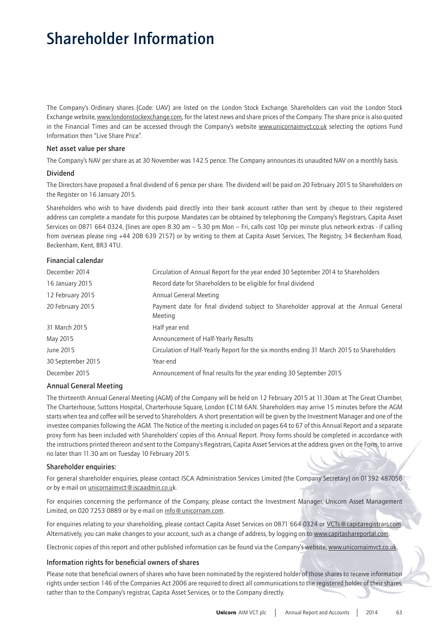# Shareholder Information

The Company's Ordinary shares (Code: UAV) are listed on the London Stock Exchange. Shareholders can visit the London Stock Exchange website, www.londonstockexchange.com, for the latest news and share prices of the Company. The share price is also quoted in the Financial Times and can be accessed through the Company's website www.unicornaimvct.co.uk selecting the options Fund Information then "Live Share Price".

#### Net asset value per share

The Company's NAV per share as at 30 November was 142.5 pence. The Company announces its unaudited NAV on a monthly basis.

#### Dividend

The Directors have proposed a final dividend of 6 pence per share. The dividend will be paid on 20 February 2015 to Shareholders on the Register on 16 January 2015.

Shareholders who wish to have dividends paid directly into their bank account rather than sent by cheque to their registered address can complete a mandate for this purpose. Mandates can be obtained by telephoning the Company's Registrars, Capita Asset Services on 0871 664 0324, (lines are open 8.30 am – 5.30 pm Mon – Fri, calls cost 10p per minute plus network extras - if calling from overseas please ring +44 208 639 2157) or by writing to them at Capita Asset Services, The Registry, 34 Beckenham Road, Beckenham, Kent, BR3 4TU.

#### Financial calendar

| December 2014     | Circulation of Annual Report for the year ended 30 September 2014 to Shareholders                |
|-------------------|--------------------------------------------------------------------------------------------------|
| 16 January 2015   | Record date for Shareholders to be eligible for final dividend                                   |
| 12 February 2015  | Annual General Meeting                                                                           |
| 20 February 2015  | Payment date for final dividend subject to Shareholder approval at the Annual General<br>Meeting |
| 31 March 2015     | Half year end                                                                                    |
| May 2015          | Announcement of Half-Yearly Results                                                              |
| June 2015         | Circulation of Half-Yearly Report for the six months ending 31 March 2015 to Shareholders        |
| 30 September 2015 | Year-end                                                                                         |
| December 2015     | Announcement of final results for the year ending 30 September 2015                              |

#### Annual General Meeting

The thirteenth Annual General Meeting (AGM) of the Company will be held on 12 February 2015 at 11.30am at The Great Chamber, The Charterhouse, Suttons Hospital, Charterhouse Square, London EC1M 6AN. Shareholders may arrive 15 minutes before the AGM starts when tea and coffee will be served to Shareholders. A short presentation will be given by the Investment Manager and one of the investee companies following the AGM. The Notice of the meeting is included on pages 64 to 67 of this Annual Report and a separate proxy form has been included with Shareholders' copies of this Annual Report. Proxy forms should be completed in accordance with the instructions printed thereon and sent to the Company's Registrars, Capita Asset Services at the address given on the Form, to arrive no later than 11.30 am on Tuesday 10 February 2015.

#### Shareholder enquiries:

For general shareholder enquiries, please contact ISCA Administration Services Limited (the Company Secretary) on 01392 487056 or by e-mail on *unicornaimvct*@iscaadmin.co.uk.

For enquiries concerning the performance of the Company, please contact the Investment Manager, Unicorn Asset Management Limited, on 020 7253 0889 or by e-mail on info@unicornam.com.

For enquiries relating to your shareholding, please contact Capita Asset Services on 0871 664 0324 or VCTs@capitaregistrars.com. Alternatively, you can make changes to your account, such as a change of address, by logging on to www.capitashareportal.com.

Electronic copies of this report and other published information can be found via the Company's website, www.unicornaimvct.co.uk.

#### Information rights for beneficial owners of shares

Please note that beneficial owners of shares who have been nominated by the registered holder of those shares to receive information rights under section 146 of the Companies Act 2006 are required to direct all communications to the registered holder of their shares, rather than to the Company's registrar, Capita Asset Services, or to the Company directly.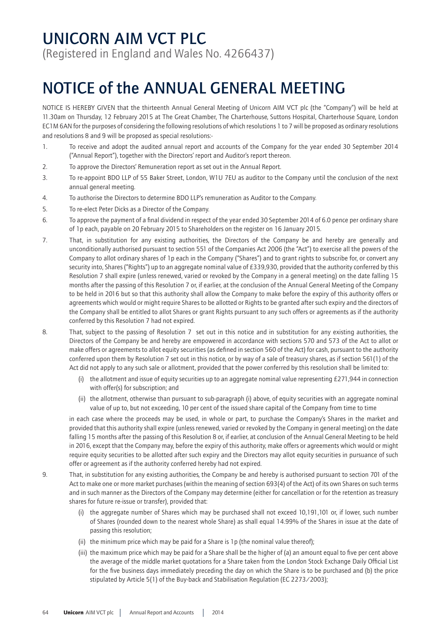### UNICORN AIM VCT PLC (Registered in England and Wales No. 4266437)

# NOTICE of the ANNUAL GENERAL MEETING

NOTICE IS HEREBY GIVEN that the thirteenth Annual General Meeting of Unicorn AIM VCT plc (the "Company") will be held at 11.30am on Thursday, 12 February 2015 at The Great Chamber, The Charterhouse, Suttons Hospital, Charterhouse Square, London EC1M 6AN for the purposes of considering the following resolutions of which resolutions 1 to 7 will be proposed as ordinary resolutions and resolutions 8 and 9 will be proposed as special resolutions:-

- 1. To receive and adopt the audited annual report and accounts of the Company for the year ended 30 September 2014 ("Annual Report"), together with the Directors' report and Auditor's report thereon.
- 2. To approve the Directors' Remuneration report as set out in the Annual Report.
- 3. To re-appoint BDO LLP of 55 Baker Street, London, W1U 7EU as auditor to the Company until the conclusion of the next annual general meeting.
- 4. To authorise the Directors to determine BDO LLP's remuneration as Auditor to the Company.
- 5. To re-elect Peter Dicks as a Director of the Company.
- 6. To approve the payment of a final dividend in respect of the year ended 30 September 2014 of 6.0 pence per ordinary share of 1p each, payable on 20 February 2015 to Shareholders on the register on 16 January 2015.
- 7. That, in substitution for any existing authorities, the Directors of the Company be and hereby are generally and unconditionally authorised pursuant to section 551 of the Companies Act 2006 (the "Act") to exercise all the powers of the Company to allot ordinary shares of 1p each in the Company ("Shares") and to grant rights to subscribe for, or convert any security into, Shares ("Rights") up to an aggregate nominal value of £339,930, provided that the authority conferred by this Resolution 7 shall expire (unless renewed, varied or revoked by the Company in a general meeting) on the date falling 15 months after the passing of this Resolution 7 or, if earlier, at the conclusion of the Annual General Meeting of the Company to be held in 2016 but so that this authority shall allow the Company to make before the expiry of this authority offers or agreements which would or might require Shares to be allotted or Rights to be granted after such expiry and the directors of the Company shall be entitled to allot Shares or grant Rights pursuant to any such offers or agreements as if the authority conferred by this Resolution 7 had not expired.
- 8. That, subject to the passing of Resolution 7 set out in this notice and in substitution for any existing authorities, the Directors of the Company be and hereby are empowered in accordance with sections 570 and 573 of the Act to allot or make offers or agreements to allot equity securities (as defined in section 560 of the Act) for cash, pursuant to the authority conferred upon them by Resolution 7 set out in this notice, or by way of a sale of treasury shares, as if section 561(1) of the Act did not apply to any such sale or allotment, provided that the power conferred by this resolution shall be limited to:
	- (i) the allotment and issue of equity securities up to an aggregate nominal value representing  $E271,944$  in connection with offer(s) for subscription; and
	- (ii) the allotment, otherwise than pursuant to sub-paragraph (i) above, of equity securities with an aggregate nominal value of up to, but not exceeding, 10 per cent of the issued share capital of the Company from time to time

 in each case where the proceeds may be used, in whole or part, to purchase the Company's Shares in the market and provided that this authority shall expire (unless renewed, varied or revoked by the Company in general meeting) on the date falling 15 months after the passing of this Resolution 8 or, if earlier, at conclusion of the Annual General Meeting to be held in 2016, except that the Company may, before the expiry of this authority, make offers or agreements which would or might require equity securities to be allotted after such expiry and the Directors may allot equity securities in pursuance of such offer or agreement as if the authority conferred hereby had not expired.

- 9. That, in substitution for any existing authorities, the Company be and hereby is authorised pursuant to section 701 of the Act to make one or more market purchases (within the meaning of section 693(4) of the Act) of its own Shares on such terms and in such manner as the Directors of the Company may determine (either for cancellation or for the retention as treasury shares for future re-issue or transfer), provided that:
	- (i) the aggregate number of Shares which may be purchased shall not exceed 10,191,101 or, if lower, such number of Shares (rounded down to the nearest whole Share) as shall equal 14.99% of the Shares in issue at the date of passing this resolution;
	- (ii) the minimum price which may be paid for a Share is 1p (the nominal value thereof);
	- (iii) the maximum price which may be paid for a Share shall be the higher of (a) an amount equal to five per cent above the average of the middle market quotations for a Share taken from the London Stock Exchange Daily Official List for the five business days immediately preceding the day on which the Share is to be purchased and (b) the price stipulated by Article 5(1) of the Buy-back and Stabilisation Regulation (EC 2273/2003);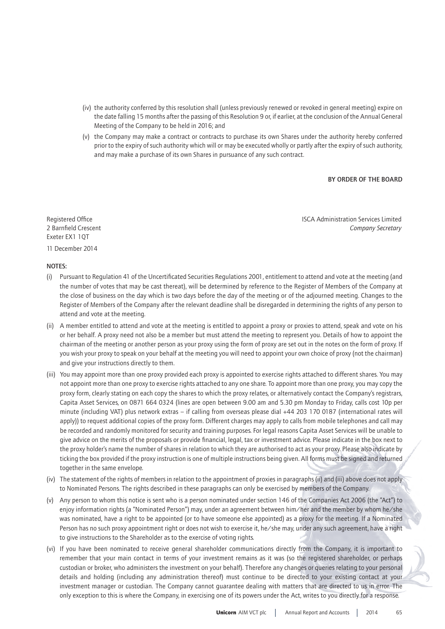- (iv) the authority conferred by this resolution shall (unless previously renewed or revoked in general meeting) expire on the date falling 15 months after the passing of this Resolution 9 or, if earlier, at the conclusion of the Annual General Meeting of the Company to be held in 2016; and
- (v) the Company may make a contract or contracts to purchase its own Shares under the authority hereby conferred prior to the expiry of such authority which will or may be executed wholly or partly after the expiry of such authority, and may make a purchase of its own Shares in pursuance of any such contract.

#### BY ORDER OF THE BOARD

Registered Office **Internal and Services Limited** ISCA Administration Services Limited 2 Barnfield Crescent *Company Secretary* Exeter EX1 1QT

11 December 2014

### NOTES:

- (i) Pursuant to Regulation 41 of the Uncertificated Securities Regulations 2001, entitlement to attend and vote at the meeting (and the number of votes that may be cast thereat), will be determined by reference to the Register of Members of the Company at the close of business on the day which is two days before the day of the meeting or of the adjourned meeting. Changes to the Register of Members of the Company after the relevant deadline shall be disregarded in determining the rights of any person to attend and vote at the meeting.
- (ii) A member entitled to attend and vote at the meeting is entitled to appoint a proxy or proxies to attend, speak and vote on his or her behalf. A proxy need not also be a member but must attend the meeting to represent you. Details of how to appoint the chairman of the meeting or another person as your proxy using the form of proxy are set out in the notes on the form of proxy. If you wish your proxy to speak on your behalf at the meeting you will need to appoint your own choice of proxy (not the chairman) and give your instructions directly to them.
- (iii) You may appoint more than one proxy provided each proxy is appointed to exercise rights attached to different shares. You may not appoint more than one proxy to exercise rights attached to any one share. To appoint more than one proxy, you may copy the proxy form, clearly stating on each copy the shares to which the proxy relates, or alternatively contact the Company's registrars, Capita Asset Services, on 0871 664 0324 (lines are open between 9.00 am and 5.30 pm Monday to Friday, calls cost 10p per minute (including VAT) plus network extras – if calling from overseas please dial +44 203 170 0187 (international rates will apply)) to request additional copies of the proxy form. Different charges may apply to calls from mobile telephones and call may be recorded and randomly monitored for security and training purposes. For legal reasons Capita Asset Services will be unable to give advice on the merits of the proposals or provide financial, legal, tax or investment advice. Please indicate in the box next to the proxy holder's name the number of shares in relation to which they are authorised to act as your proxy. Please also indicate by ticking the box provided if the proxy instruction is one of multiple instructions being given. All forms must be signed and returned together in the same envelope.
- (iv) The statement of the rights of members in relation to the appointment of proxies in paragraphs (ii) and (iii) above does not apply to Nominated Persons. The rights described in these paragraphs can only be exercised by members of the Company.
- (v) Any person to whom this notice is sent who is a person nominated under section 146 of the Companies Act 2006 (the "Act") to enjoy information rights (a "Nominated Person") may, under an agreement between him/her and the member by whom he/she was nominated, have a right to be appointed (or to have someone else appointed) as a proxy for the meeting. If a Nominated Person has no such proxy appointment right or does not wish to exercise it, he/she may, under any such agreement, have a right to give instructions to the Shareholder as to the exercise of voting rights.
- (vi) If you have been nominated to receive general shareholder communications directly from the Company, it is important to remember that your main contact in terms of your investment remains as it was (so the registered shareholder, or perhaps custodian or broker, who administers the investment on your behalf). Therefore any changes or queries relating to your personal details and holding (including any administration thereof) must continue to be directed to your existing contact at your investment manager or custodian. The Company cannot guarantee dealing with matters that are directed to us in error. The only exception to this is where the Company, in exercising one of its powers under the Act, writes to you directly for a response.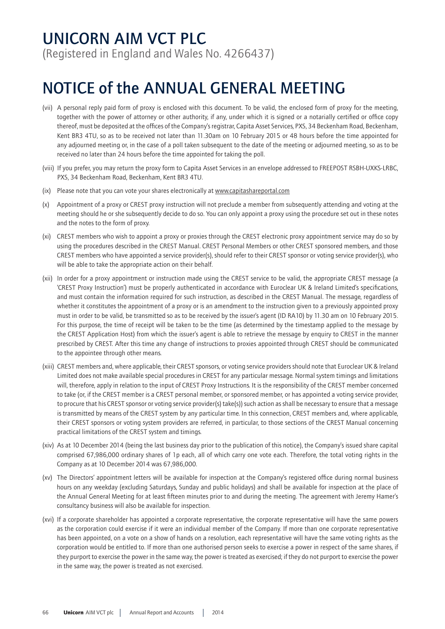### UNICORN AIM VCT PLC (Registered in England and Wales No. 4266437)

# NOTICE of the ANNUAL GENERAL MEETING

- (vii) A personal reply paid form of proxy is enclosed with this document. To be valid, the enclosed form of proxy for the meeting, together with the power of attorney or other authority, if any, under which it is signed or a notarially certified or office copy thereof, must be deposited at the offices of the Company's registrar, Capita Asset Services, PXS, 34 Beckenham Road, Beckenham, Kent BR3 4TU, so as to be received not later than 11.30am on 10 February 2015 or 48 hours before the time appointed for any adjourned meeting or, in the case of a poll taken subsequent to the date of the meeting or adjourned meeting, so as to be received no later than 24 hours before the time appointed for taking the poll.
- (viii) If you prefer, you may return the proxy form to Capita Asset Services in an envelope addressed to FREEPOST RSBH-UXKS-LRBC, PXS, 34 Beckenham Road, Beckenham, Kent BR3 4TU.
- (ix) Please note that you can vote your shares electronically at www.capitashareportal.com
- (x) Appointment of a proxy or CREST proxy instruction will not preclude a member from subsequently attending and voting at the meeting should he or she subsequently decide to do so. You can only appoint a proxy using the procedure set out in these notes and the notes to the form of proxy.
- (xi) CREST members who wish to appoint a proxy or proxies through the CREST electronic proxy appointment service may do so by using the procedures described in the CREST Manual. CREST Personal Members or other CREST sponsored members, and those CREST members who have appointed a service provider(s), should refer to their CREST sponsor or voting service provider(s), who will be able to take the appropriate action on their behalf.
- (xii) In order for a proxy appointment or instruction made using the CREST service to be valid, the appropriate CREST message (a 'CREST Proxy Instruction') must be properly authenticated in accordance with Euroclear UK & Ireland Limited's specifications, and must contain the information required for such instruction, as described in the CREST Manual. The message, regardless of whether it constitutes the appointment of a proxy or is an amendment to the instruction given to a previously appointed proxy must in order to be valid, be transmitted so as to be received by the issuer's agent (ID RA10) by 11.30 am on 10 February 2015. For this purpose, the time of receipt will be taken to be the time (as determined by the timestamp applied to the message by the CREST Application Host) from which the issuer's agent is able to retrieve the message by enquiry to CREST in the manner prescribed by CREST. After this time any change of instructions to proxies appointed through CREST should be communicated to the appointee through other means.
- (xiii) CREST members and, where applicable, their CREST sponsors, or voting service providers should note that Euroclear UK & Ireland Limited does not make available special procedures in CREST for any particular message. Normal system timings and limitations will, therefore, apply in relation to the input of CREST Proxy Instructions. It is the responsibility of the CREST member concerned to take (or, if the CREST member is a CREST personal member, or sponsored member, or has appointed a voting service provider, to procure that his CREST sponsor or voting service provider(s) take(s)) such action as shall be necessary to ensure that a message is transmitted by means of the CREST system by any particular time. In this connection, CREST members and, where applicable, their CREST sponsors or voting system providers are referred, in particular, to those sections of the CREST Manual concerning practical limitations of the CREST system and timings.
- (xiv) As at 10 December 2014 (being the last business day prior to the publication of this notice), the Company's issued share capital comprised 67,986,000 ordinary shares of 1p each, all of which carry one vote each. Therefore, the total voting rights in the Company as at 10 December 2014 was 67,986,000.
- (xv) The Directors' appointment letters will be available for inspection at the Company's registered office during normal business hours on any weekday (excluding Saturdays, Sunday and public holidays) and shall be available for inspection at the place of the Annual General Meeting for at least fifteen minutes prior to and during the meeting. The agreement with Jeremy Hamer's consultancy business will also be available for inspection.
- (xvi) If a corporate shareholder has appointed a corporate representative, the corporate representative will have the same powers as the corporation could exercise if it were an individual member of the Company. If more than one corporate representative has been appointed, on a vote on a show of hands on a resolution, each representative will have the same voting rights as the corporation would be entitled to. If more than one authorised person seeks to exercise a power in respect of the same shares, if they purport to exercise the power in the same way, the power is treated as exercised; if they do not purport to exercise the power in the same way, the power is treated as not exercised.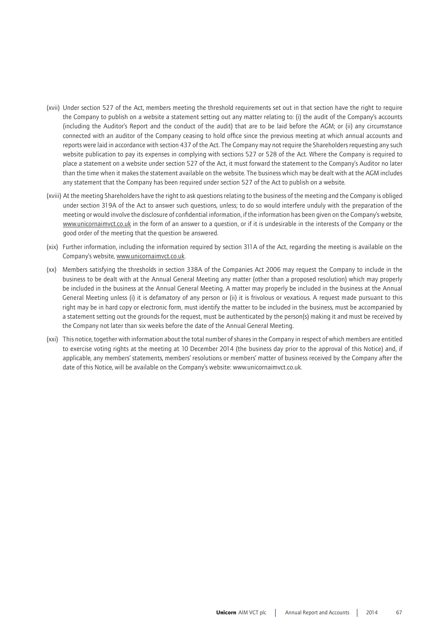- (xvii) Under section 527 of the Act, members meeting the threshold requirements set out in that section have the right to require the Company to publish on a website a statement setting out any matter relating to: (i) the audit of the Company's accounts (including the Auditor's Report and the conduct of the audit) that are to be laid before the AGM; or (ii) any circumstance connected with an auditor of the Company ceasing to hold office since the previous meeting at which annual accounts and reports were laid in accordance with section 437 of the Act. The Company may not require the Shareholders requesting any such website publication to pay its expenses in complying with sections 527 or 528 of the Act. Where the Company is required to place a statement on a website under section 527 of the Act, it must forward the statement to the Company's Auditor no later than the time when it makes the statement available on the website. The business which may be dealt with at the AGM includes any statement that the Company has been required under section 527 of the Act to publish on a website.
- (xviii) At the meeting Shareholders have the right to ask questions relating to the business of the meeting and the Company is obliged under section 319A of the Act to answer such questions, unless; to do so would interfere unduly with the preparation of the meeting or would involve the disclosure of confidential information, if the information has been given on the Company's website, www.unicornaimvct.co.uk in the form of an answer to a question, or if it is undesirable in the interests of the Company or the good order of the meeting that the question be answered.
- (xix) Further information, including the information required by section 311A of the Act, regarding the meeting is available on the Company's website, www.unicornaimvct.co.uk.
- (xx) Members satisfying the thresholds in section 338A of the Companies Act 2006 may request the Company to include in the business to be dealt with at the Annual General Meeting any matter (other than a proposed resolution) which may properly be included in the business at the Annual General Meeting. A matter may properly be included in the business at the Annual General Meeting unless (i) it is defamatory of any person or (ii) it is frivolous or vexatious. A request made pursuant to this right may be in hard copy or electronic form, must identify the matter to be included in the business, must be accompanied by a statement setting out the grounds for the request, must be authenticated by the person(s) making it and must be received by the Company not later than six weeks before the date of the Annual General Meeting.
- (xxi) This notice, together with information about the total number of shares in the Company in respect of which members are entitled to exercise voting rights at the meeting at 10 December 2014 (the business day prior to the approval of this Notice) and, if applicable, any members' statements, members' resolutions or members' matter of business received by the Company after the date of this Notice, will be available on the Company's website: www.unicornaimvct.co.uk.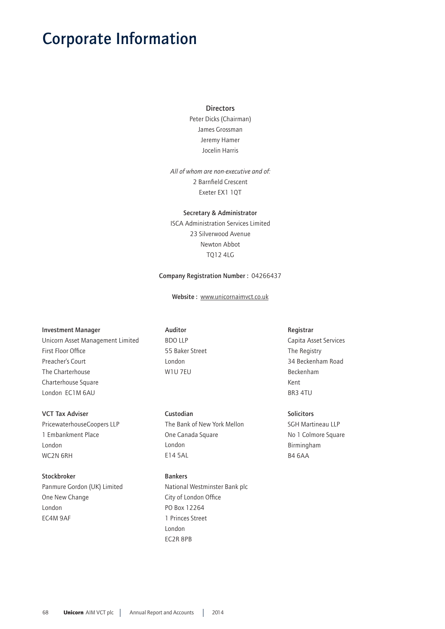# Corporate Information

#### **Directors**

Peter Dicks (Chairman) James Grossman Jeremy Hamer Jocelin Harris

*All of whom are non-executive and of:* 2 Barnfield Crescent Exeter EX1 1QT

#### Secretary & Administrator

ISCA Administration Services Limited 23 Silverwood Avenue Newton Abbot TQ12 4LG

#### Company Registration Number : 04266437

Website : www.unicornaimvct.co.uk

#### Investment Manager

Unicorn Asset Management Limited First Floor Office Preacher's Court The Charterhouse Charterhouse Square London EC1M 6AU

#### VCT Tax Adviser

PricewaterhouseCoopers LLP 1 Embankment Place London WC2N 6RH

#### Stockbroker

Panmure Gordon (UK) Limited One New Change London EC4M 9AF

### Auditor

BDO LLP 55 Baker Street London W1U 7EU

#### Custodian

The Bank of New York Mellon One Canada Square London E14 5AL

#### Bankers

National Westminster Bank plc City of London Office PO Box 12264 1 Princes Street London EC2R 8PB

#### Registrar

Capita Asset Services The Registry 34 Beckenham Road Beckenham Kent BR3 4TU

### **Solicitors**

SGH Martineau LLP No 1 Colmore Square Birmingham B4 6AA